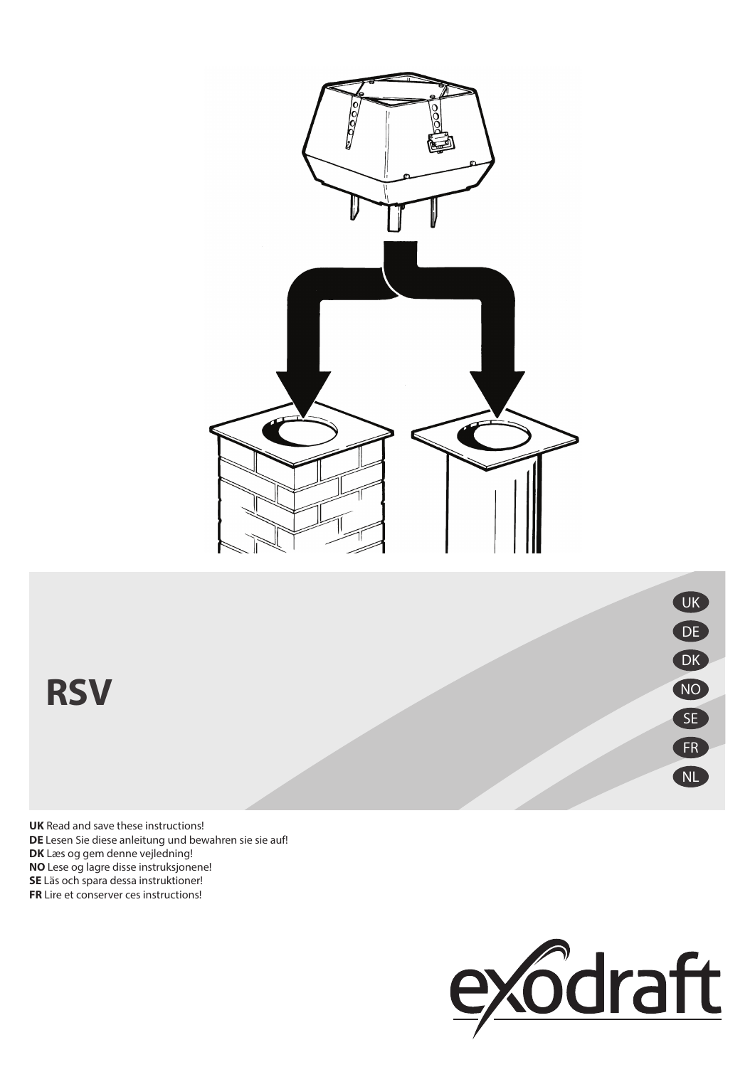

# **RSV**

**UK** Read and save these instructions! **DE** Lesen Sie diese anleitung und bewahren sie sie auf! **DK** Læs og gem denne vejledning! **NO** Lese og lagre disse instruksjonene! **SE** Läs och spara dessa instruktioner! **FR** Lire et conserver ces instructions!



DK

NO

SE

NL

FR

DE

UK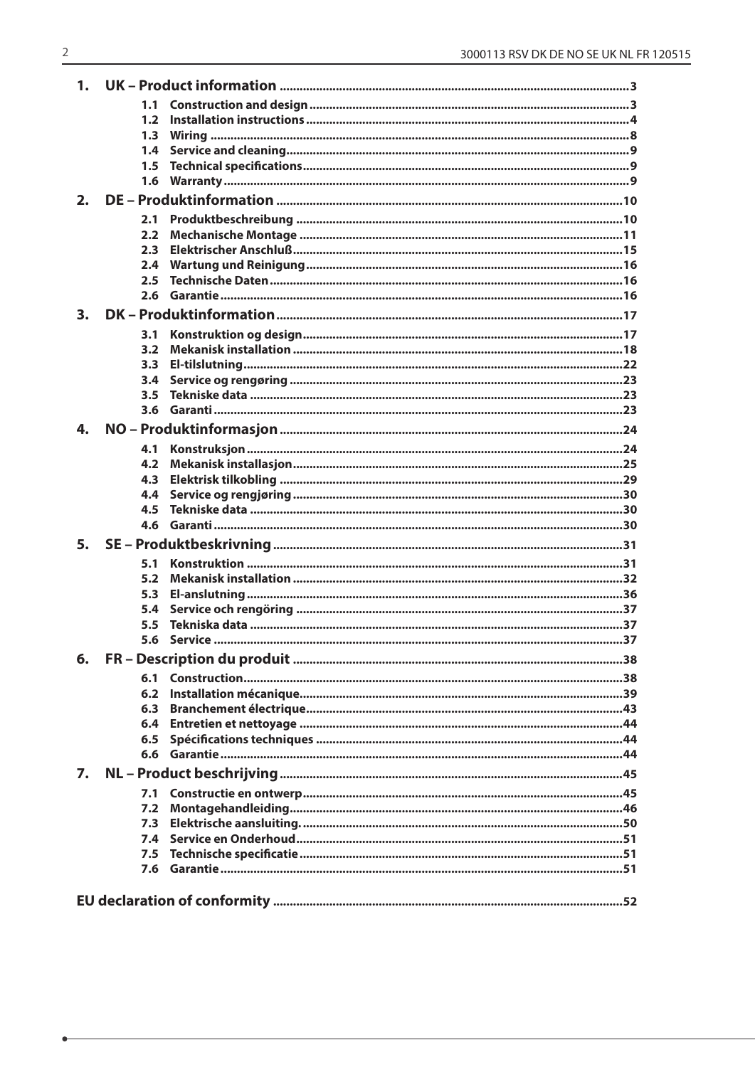|    | 1.1   |  |
|----|-------|--|
|    | $1.2$ |  |
|    | 1.3   |  |
|    | 1.4   |  |
|    | 1.5   |  |
|    | 1.6   |  |
| 2. |       |  |
|    | 2.1   |  |
|    | 2.2   |  |
|    | 2.3   |  |
|    | 2.4   |  |
|    | 2.5   |  |
|    | 2.6   |  |
| 3. |       |  |
|    | 3.1   |  |
|    | 3.2   |  |
|    | 3.3   |  |
|    | 3.4   |  |
|    | 3.5   |  |
|    |       |  |
| 4. |       |  |
|    | 4.1   |  |
|    | 4.2   |  |
|    | 4.3   |  |
|    | 4.4   |  |
|    | 4.5   |  |
|    |       |  |
| 5. |       |  |
|    | 5.1   |  |
|    | 5.2   |  |
|    | 5.3   |  |
|    | 5.4   |  |
|    | 5.5   |  |
|    | 5.6   |  |
| 6. |       |  |
|    | 6.1   |  |
|    | 6.2   |  |
|    | 6.3   |  |
|    | 6.4   |  |
|    | 6.5   |  |
|    |       |  |
| 7. |       |  |
|    | 7.1   |  |
|    | 7.2   |  |
|    | 7.3   |  |
|    |       |  |
|    | 7.5   |  |
|    | 7.6   |  |
|    |       |  |
|    |       |  |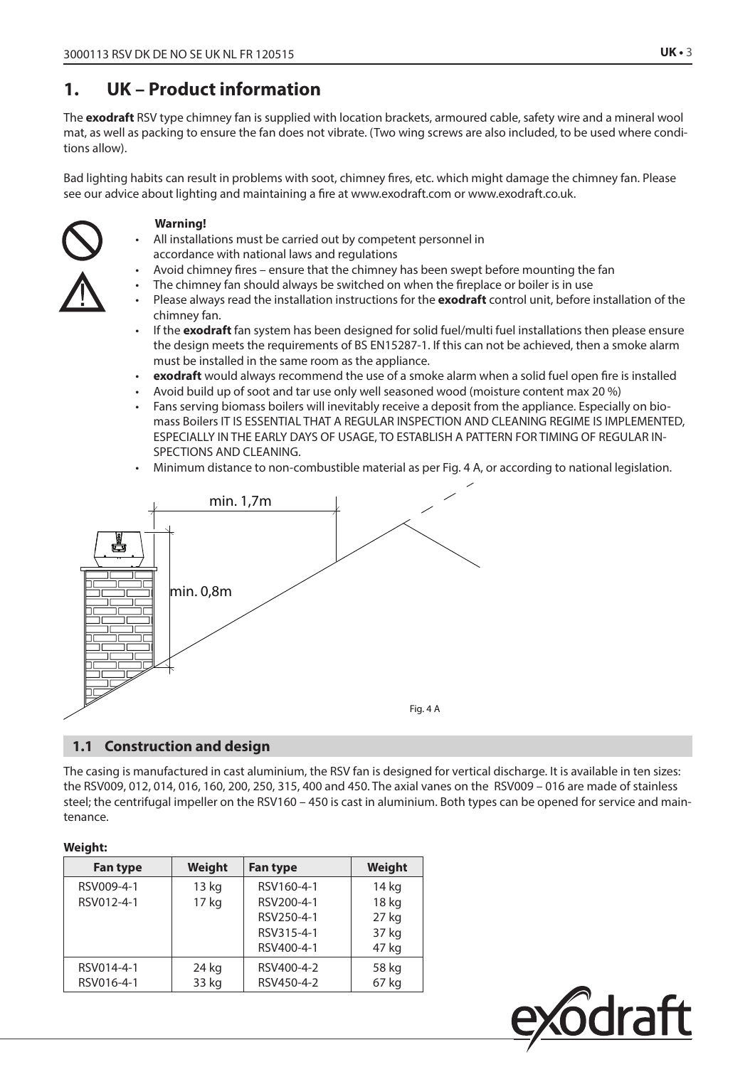# **1. UK – Product information**

The **exodraft** RSV type chimney fan is supplied with location brackets, armoured cable, safety wire and a mineral wool mat, as well as packing to ensure the fan does not vibrate. (Two wing screws are also included, to be used where conditions allow).

Bad lighting habits can result in problems with soot, chimney ires, etc. which might damage the chimney fan. Please see our advice about lighting and maintaining a fire at www.exodraft.com or www.exodraft.co.uk.



#### **Warning!**

- All installations must be carried out by competent personnel in accordance with national laws and regulations
- Avoid chimney fires ensure that the chimney has been swept before mounting the fan
- The chimney fan should always be switched on when the fireplace or boiler is in use
- Please always read the installation instructions for the **exodraft** control unit, before installation of the chimney fan.
- If the **exodraft** fan system has been designed for solid fuel/multi fuel installations then please ensure the design meets the requirements of BS EN15287-1. If this can not be achieved, then a smoke alarm must be installed in the same room as the appliance.
- **exodraft** would always recommend the use of a smoke alarm when a solid fuel open fire is installed
- Avoid build up of soot and tar use only well seasoned wood (moisture content max 20 %)
- Fans serving biomass boilers will inevitably receive a deposit from the appliance. Especially on biomass Boilers IT IS ESSENTIAL THAT A REGULAR INSPECTION AND CLEANING REGIME IS IMPLEMENTED, ESPECIALLY IN THE EARLY DAYS OF USAGE, TO ESTABLISH A PATTERN FOR TIMING OF REGULAR IN-SPECTIONS AND CLEANING.
- Minimum distance to non-combustible material as per Fig. 4 A, or according to national legislation.



#### **1.1 Construction and design**

The casing is manufactured in cast aluminium, the RSV fan is designed for vertical discharge. It is available in ten sizes: the RSV009, 012, 014, 016, 160, 200, 250, 315, 400 and 450. The axial vanes on the RSV009 – 016 are made of stainless steel; the centrifugal impeller on the RSV160 – 450 is cast in aluminium. Both types can be opened for service and maintenance.

#### **Weight:**

|            | Weight |            | Weight |
|------------|--------|------------|--------|
| Fan type   |        | Fan type   |        |
| RSV009-4-1 | 13 kg  | RSV160-4-1 | 14 kg  |
| RSV012-4-1 | 17 kg  | RSV200-4-1 | 18 kg  |
|            |        | RSV250-4-1 | 27 kg  |
|            |        | RSV315-4-1 | 37 kg  |
|            |        | RSV400-4-1 | 47 kg  |
| RSV014-4-1 | 24 kg  | RSV400-4-2 | 58 kg  |
| RSV016-4-1 | 33 kg  | RSV450-4-2 | 67 kg  |

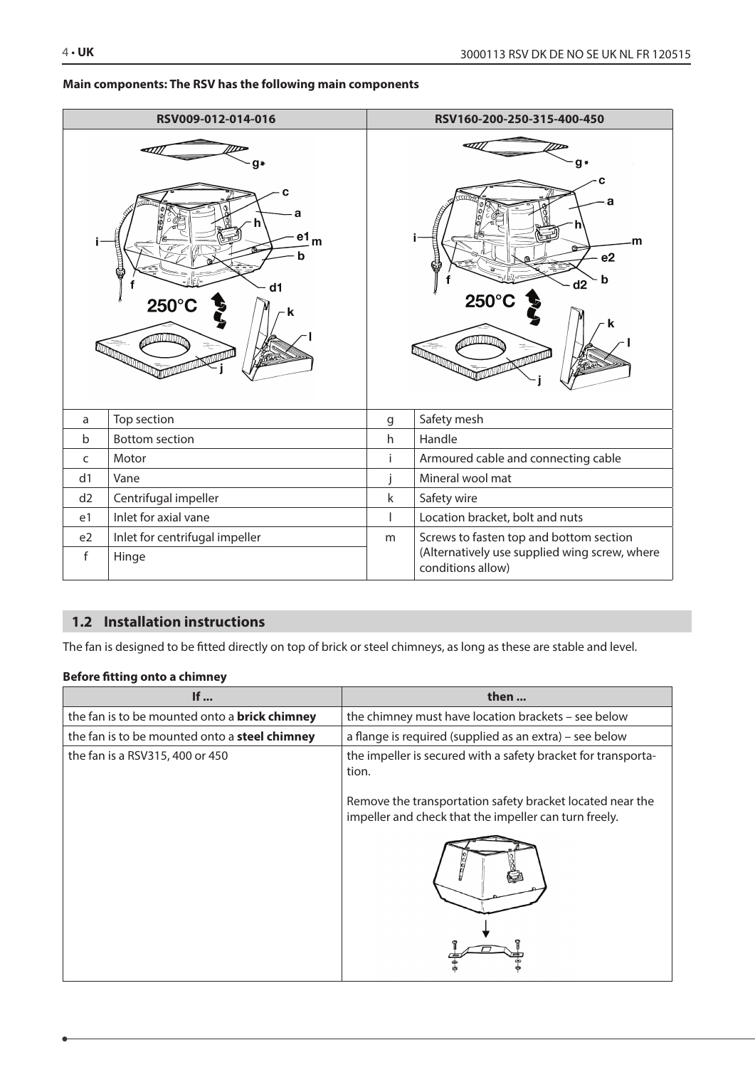| RSV009-012-014-016     |                                | RSV160-200-250-315-400-450 |                                                                    |
|------------------------|--------------------------------|----------------------------|--------------------------------------------------------------------|
| я<br>е1<br>d1<br>250°C |                                |                            | m<br>ര<br>e <sub>2</sub><br>b<br>d2<br>$250^{\circ}$ C             |
| a                      | Top section                    | g                          | Safety mesh                                                        |
| $\mathsf b$            | <b>Bottom section</b>          | h                          | Handle                                                             |
| C                      | Motor                          | i.                         | Armoured cable and connecting cable                                |
| d1                     | Vane                           |                            | Mineral wool mat                                                   |
| d2                     | Centrifugal impeller           | $\mathsf k$                | Safety wire                                                        |
| e1                     | Inlet for axial vane           | I                          | Location bracket, bolt and nuts                                    |
| e <sub>2</sub>         | Inlet for centrifugal impeller | m                          | Screws to fasten top and bottom section                            |
| f                      | Hinge                          |                            | (Alternatively use supplied wing screw, where<br>conditions allow) |

#### **Main components: The RSV has the following main components**

## **1.2 Installation instructions**

The fan is designed to be fitted directly on top of brick or steel chimneys, as long as these are stable and level.

#### **Before fitting onto a chimney**

| If                                                   | then                                                                                                               |
|------------------------------------------------------|--------------------------------------------------------------------------------------------------------------------|
| the fan is to be mounted onto a <b>brick chimney</b> | the chimney must have location brackets - see below                                                                |
| the fan is to be mounted onto a steel chimney        | a flange is required (supplied as an extra) – see below                                                            |
| the fan is a RSV315, 400 or 450                      | the impeller is secured with a safety bracket for transporta-<br>tion.                                             |
|                                                      | Remove the transportation safety bracket located near the<br>impeller and check that the impeller can turn freely. |
|                                                      |                                                                                                                    |
|                                                      |                                                                                                                    |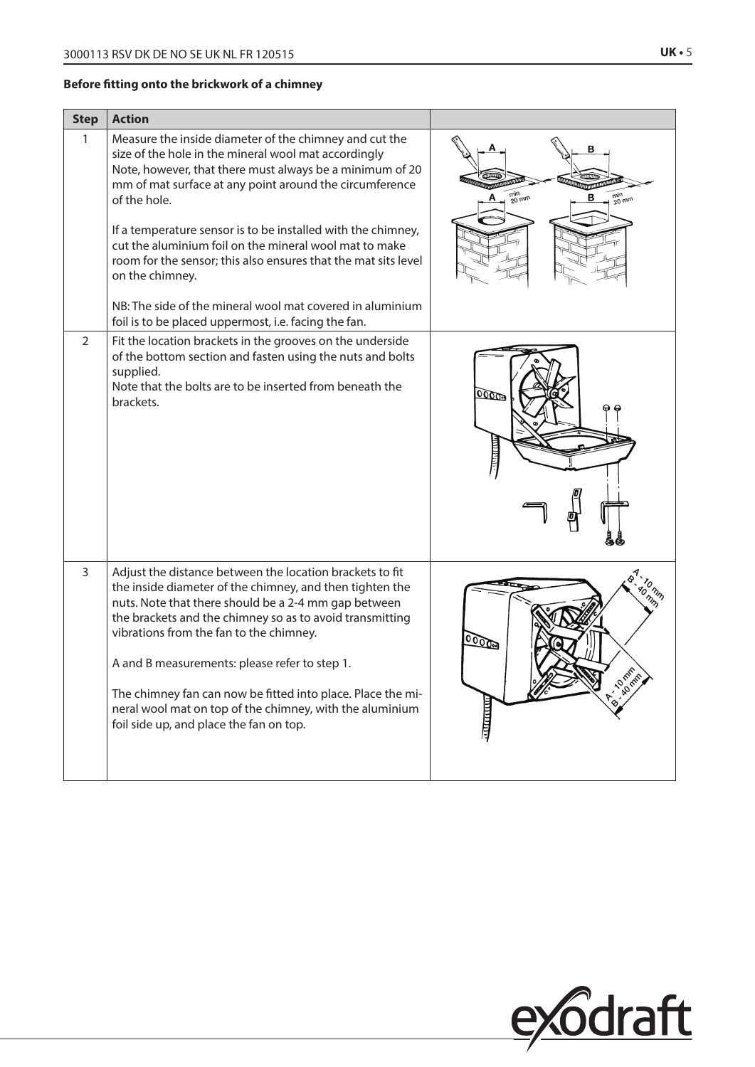# **Before itting onto the brickwork of a chimney**

| <b>Step</b>    | <b>Action</b>                                                                                                                                                                                                                                                                                                                                                                                                                                                                                              |                                                             |
|----------------|------------------------------------------------------------------------------------------------------------------------------------------------------------------------------------------------------------------------------------------------------------------------------------------------------------------------------------------------------------------------------------------------------------------------------------------------------------------------------------------------------------|-------------------------------------------------------------|
| 1              | Measure the inside diameter of the chimney and cut the<br>size of the hole in the mineral wool mat accordingly<br>Note, however, that there must always be a minimum of 20<br>mm of mat surface at any point around the circumference<br>of the hole.<br>If a temperature sensor is to be installed with the chimney,                                                                                                                                                                                      | в<br>$\frac{\text{min}}{20}$ mm<br>$\frac{min}{20}$ mm<br>в |
|                | cut the aluminium foil on the mineral wool mat to make<br>room for the sensor; this also ensures that the mat sits level<br>on the chimney.<br>NB: The side of the mineral wool mat covered in aluminium<br>foil is to be placed uppermost, i.e. facing the fan.                                                                                                                                                                                                                                           |                                                             |
| $\overline{2}$ | Fit the location brackets in the grooves on the underside<br>of the bottom section and fasten using the nuts and bolts<br>supplied.<br>Note that the bolts are to be inserted from beneath the<br>brackets.                                                                                                                                                                                                                                                                                                | $\overline{\text{co}}$<br>ഒ ഭ                               |
| 3              | Adjust the distance between the location brackets to fit<br>the inside diameter of the chimney, and then tighten the<br>nuts. Note that there should be a 2-4 mm gap between<br>the brackets and the chimney so as to avoid transmitting<br>vibrations from the fan to the chimney.<br>A and B measurements: please refer to step 1.<br>The chimney fan can now be fitted into place. Place the mi-<br>neral wool mat on top of the chimney, with the aluminium<br>foil side up, and place the fan on top. | 10 mm<br>$\frac{1}{\sqrt{2}}$                               |

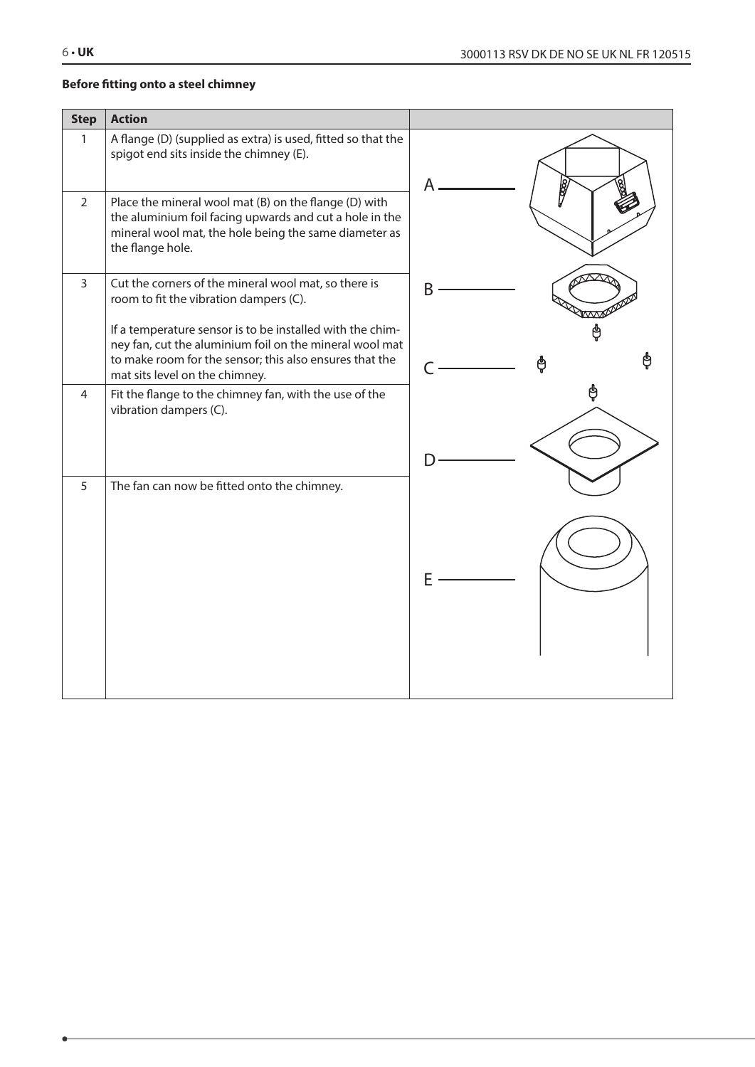# **Before fitting onto a steel chimney**

| <b>Step</b>    | <b>Action</b>                                                                                                                                                                                                     |   |
|----------------|-------------------------------------------------------------------------------------------------------------------------------------------------------------------------------------------------------------------|---|
| 1              | A flange (D) (supplied as extra) is used, fitted so that the<br>spigot end sits inside the chimney (E).                                                                                                           | A |
| 2              | Place the mineral wool mat (B) on the flange (D) with<br>the aluminium foil facing upwards and cut a hole in the<br>mineral wool mat, the hole being the same diameter as<br>the flange hole.                     |   |
| 3              | Cut the corners of the mineral wool mat, so there is<br>room to fit the vibration dampers (C).                                                                                                                    | B |
|                | If a temperature sensor is to be installed with the chim-<br>ney fan, cut the aluminium foil on the mineral wool mat<br>to make room for the sensor; this also ensures that the<br>mat sits level on the chimney. | ტ |
| $\overline{4}$ | Fit the flange to the chimney fan, with the use of the<br>vibration dampers (C).                                                                                                                                  | O |
| 5              | The fan can now be fitted onto the chimney.                                                                                                                                                                       |   |
|                |                                                                                                                                                                                                                   | E |
|                |                                                                                                                                                                                                                   |   |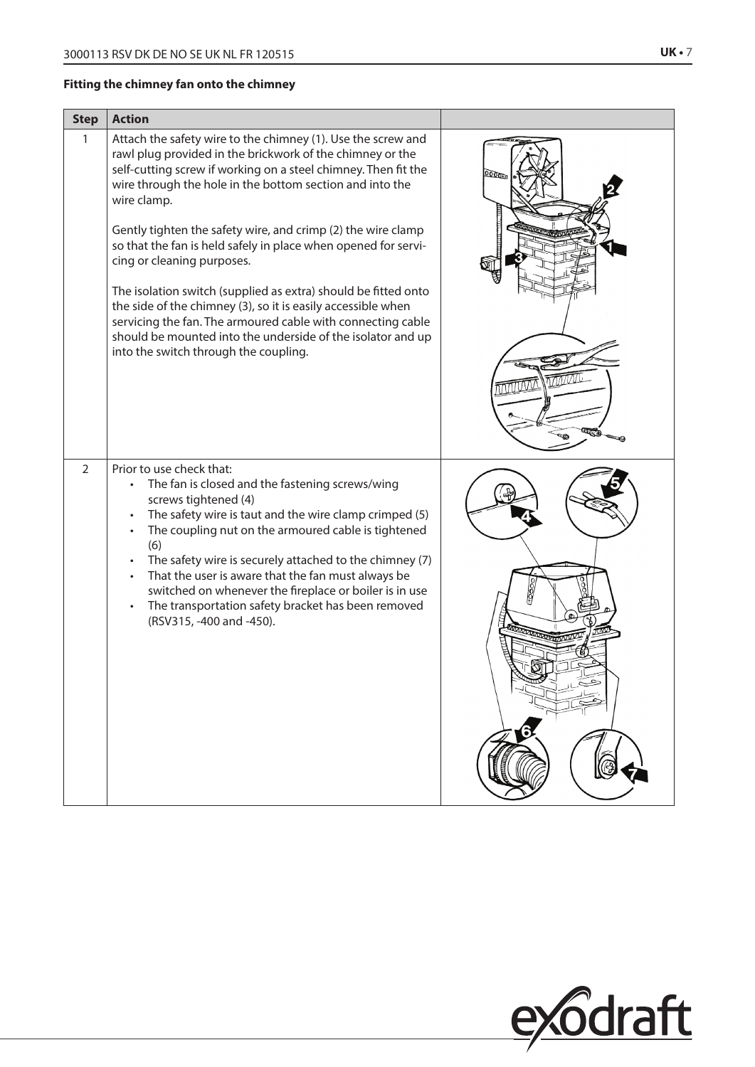# **Fitting the chimney fan onto the chimney**

| <b>Step</b>    | <b>Action</b>                                                                                                                                                                                                                                                                                                                                                                                                                                                                                                                                                                                                                                                                                                                                   |     |
|----------------|-------------------------------------------------------------------------------------------------------------------------------------------------------------------------------------------------------------------------------------------------------------------------------------------------------------------------------------------------------------------------------------------------------------------------------------------------------------------------------------------------------------------------------------------------------------------------------------------------------------------------------------------------------------------------------------------------------------------------------------------------|-----|
| 1              | Attach the safety wire to the chimney (1). Use the screw and<br>rawl plug provided in the brickwork of the chimney or the<br>self-cutting screw if working on a steel chimney. Then fit the<br>wire through the hole in the bottom section and into the<br>wire clamp.<br>Gently tighten the safety wire, and crimp (2) the wire clamp<br>so that the fan is held safely in place when opened for servi-<br>cing or cleaning purposes.<br>The isolation switch (supplied as extra) should be fitted onto<br>the side of the chimney (3), so it is easily accessible when<br>servicing the fan. The armoured cable with connecting cable<br>should be mounted into the underside of the isolator and up<br>into the switch through the coupling. | ৽৹৽ |
| $\overline{2}$ | Prior to use check that:<br>The fan is closed and the fastening screws/wing<br>screws tightened (4)<br>The safety wire is taut and the wire clamp crimped (5)<br>The coupling nut on the armoured cable is tightened<br>(6)<br>The safety wire is securely attached to the chimney (7)<br>That the user is aware that the fan must always be<br>switched on whenever the fireplace or boiler is in use<br>The transportation safety bracket has been removed<br>(RSV315, -400 and -450).                                                                                                                                                                                                                                                        | G   |

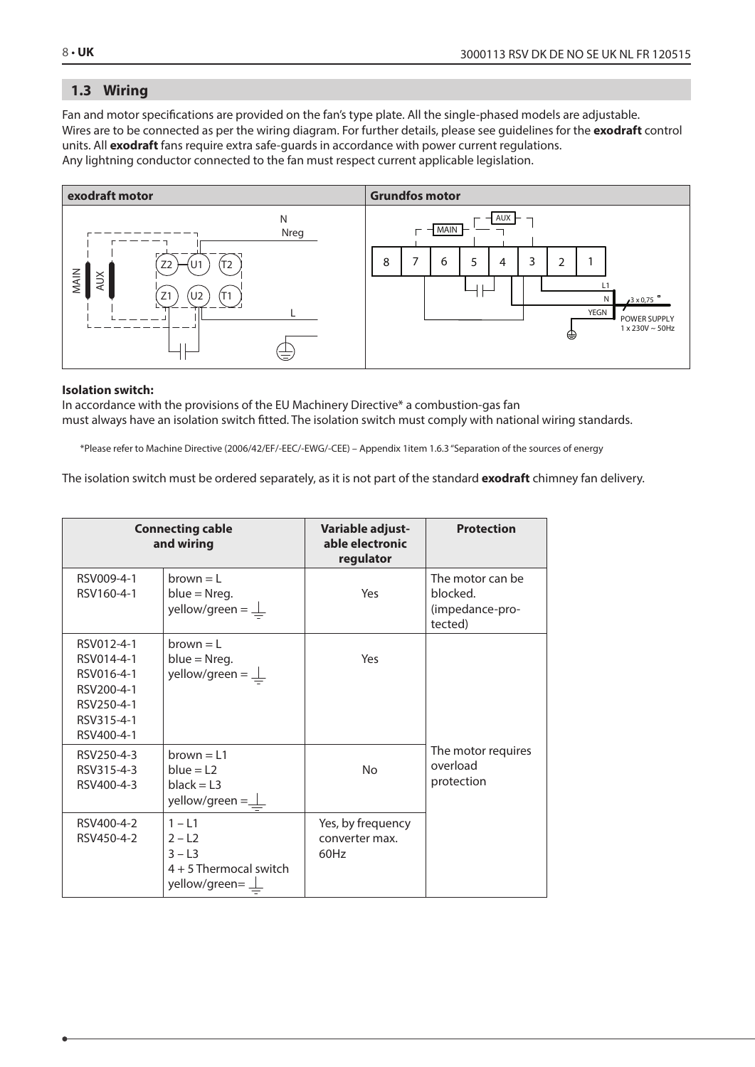## **1.3 Wiring**

Fan and motor specifications are provided on the fan's type plate. All the single-phased models are adjustable. Wires are to be connected as per the wiring diagram. For further details, please see guidelines for the **exodraft** control units. All **exodraft** fans require extra safe-guards in accordance with power current regulations. Any lightning conductor connected to the fan must respect current applicable legislation.



#### **Isolation switch:**

In accordance with the provisions of the EU Machinery Directive\* a combustion-gas fan must always have an isolation switch fitted. The isolation switch must comply with national wiring standards.

\*Please refer to Machine Directive (2006/42/EF/-EEC/-EWG/-CEE) – Appendix 1item 1.6.3 "Separation of the sources of energy

The isolation switch must be ordered separately, as it is not part of the standard **exodraft** chimney fan delivery.

| <b>Connecting cable</b><br>and wiring                                                          |                                                                                       | Variable adjust-<br>able electronic<br>regulator | <b>Protection</b>                                          |
|------------------------------------------------------------------------------------------------|---------------------------------------------------------------------------------------|--------------------------------------------------|------------------------------------------------------------|
| RSV009-4-1<br>RSV160-4-1                                                                       | $brown = 1$<br>$blue = Nreg.$<br>yellow/green = $\perp$                               | Yes                                              | The motor can be<br>blocked.<br>(impedance-pro-<br>tected) |
| RSV012-4-1<br>RSV014-4-1<br>RSV016-4-1<br>RSV200-4-1<br>RSV250-4-1<br>RSV315-4-1<br>RSV400-4-1 | $brown = 1$<br>$blue = Nreg.$<br>yellow/green = $\perp$                               | Yes                                              |                                                            |
| RSV250-4-3<br>RSV315-4-3<br>RSV400-4-3                                                         | $brown = 11$<br>$blue = L2$<br>$black = L3$<br>yellow/green = $\perp$                 | No                                               | The motor requires<br>overload<br>protection               |
| RSV400-4-2<br>RSV450-4-2                                                                       | $1 - L1$<br>$2 - L2$<br>$3 - L3$<br>$4 + 5$ Thermocal switch<br>yellow/green= $\perp$ | Yes, by frequency<br>converter max.<br>60Hz      |                                                            |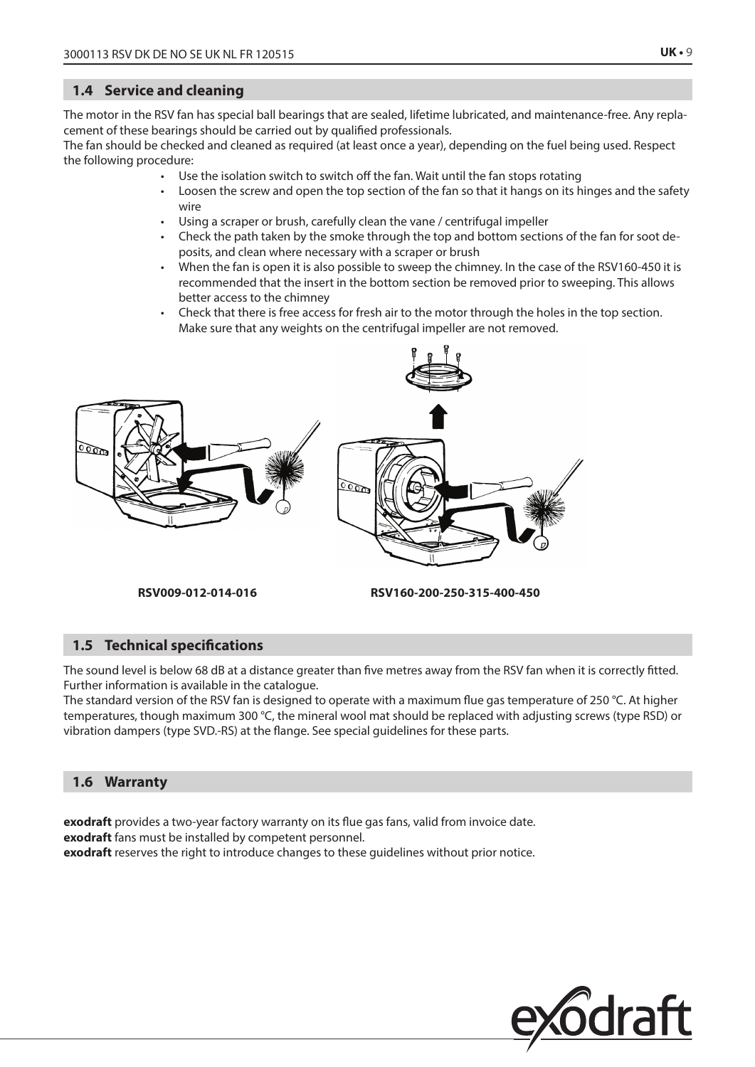## **1.4 Service and cleaning**

The motor in the RSV fan has special ball bearings that are sealed, lifetime lubricated, and maintenance-free. Any replacement of these bearings should be carried out by qualified professionals.

The fan should be checked and cleaned as required (at least once a year), depending on the fuel being used. Respect the following procedure:

- Use the isolation switch to switch off the fan. Wait until the fan stops rotating
- Loosen the screw and open the top section of the fan so that it hangs on its hinges and the safety wire
- Using a scraper or brush, carefully clean the vane / centrifugal impeller
- Check the path taken by the smoke through the top and bottom sections of the fan for soot deposits, and clean where necessary with a scraper or brush
- When the fan is open it is also possible to sweep the chimney. In the case of the RSV160-450 it is recommended that the insert in the bottom section be removed prior to sweeping. This allows better access to the chimney
- Check that there is free access for fresh air to the motor through the holes in the top section. Make sure that any weights on the centrifugal impeller are not removed.



#### **1.5 Technical specifications**

The sound level is below 68 dB at a distance greater than five metres away from the RSV fan when it is correctly fitted. Further information is available in the catalogue.

The standard version of the RSV fan is designed to operate with a maximum flue gas temperature of 250 °C. At higher temperatures, though maximum 300 °C, the mineral wool mat should be replaced with adjusting screws (type RSD) or vibration dampers (type SVD.-RS) at the lange. See special guidelines for these parts.

#### **1.6 Warranty**

**exodraft** provides a two-year factory warranty on its flue gas fans, valid from invoice date. **exodraft** fans must be installed by competent personnel. **exodraft** reserves the right to introduce changes to these guidelines without prior notice.

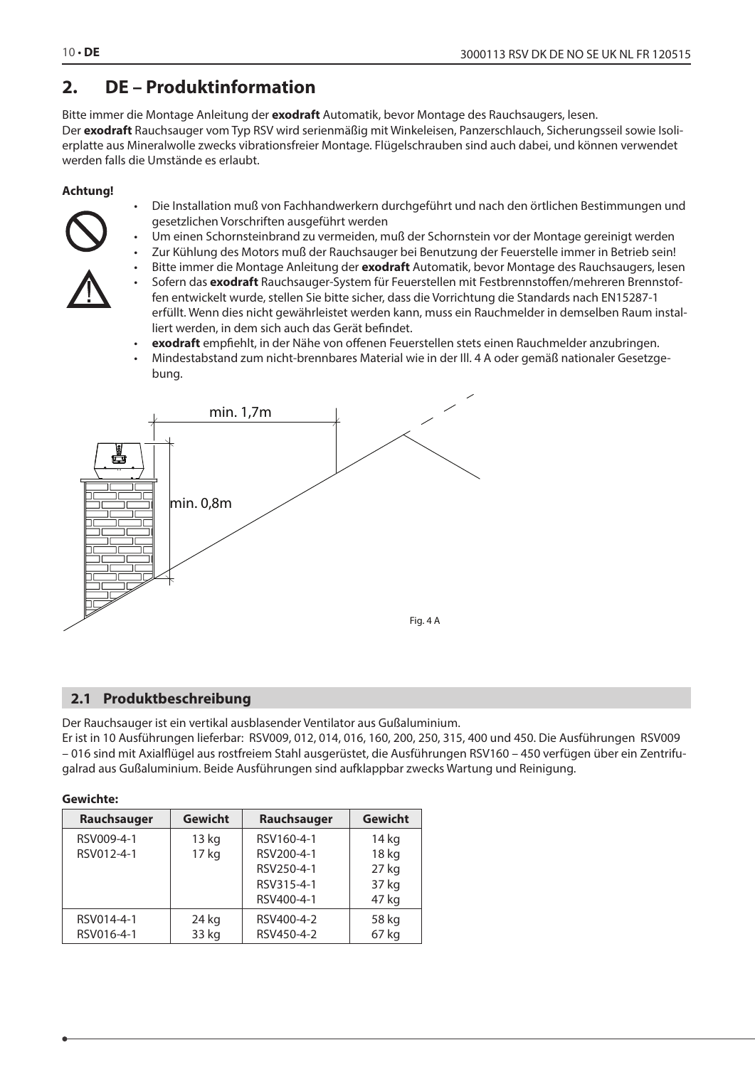# **2. DE – Produktinformation**

Bitte immer die Montage Anleitung der **exodraft** Automatik, bevor Montage des Rauchsaugers, lesen. Der **exodraft** Rauchsauger vom Typ RSV wird serienmäßig mit Winkeleisen, Panzerschlauch, Sicherungsseil sowie Isolierplatte aus Mineralwolle zwecks vibrationsfreier Montage. Flügelschrauben sind auch dabei, und können verwendet werden falls die Umstände es erlaubt.

#### **Achtung!**

- Die Installation muß von Fachhandwerkern durchgeführt und nach den örtlichen Bestimmungen und gesetzlichen Vorschriften ausgeführt werden
- Um einen Schornsteinbrand zu vermeiden, muß der Schornstein vor der Montage gereinigt werden
- Zur Kühlung des Motors muß der Rauchsauger bei Benutzung der Feuerstelle immer in Betrieb sein!
- Bitte immer die Montage Anleitung der **exodraft** Automatik, bevor Montage des Rauchsaugers, lesen
- Sofern das **exodraft** Rauchsauger-System für Feuerstellen mit Festbrennstofen/mehreren Brennstoffen entwickelt wurde, stellen Sie bitte sicher, dass die Vorrichtung die Standards nach EN15287-1 erfüllt. Wenn dies nicht gewährleistet werden kann, muss ein Rauchmelder in demselben Raum installiert werden, in dem sich auch das Gerät befindet.
- **exodraft** empiehlt, in der Nähe von ofenen Feuerstellen stets einen Rauchmelder anzubringen.
- Mindestabstand zum nicht-brennbares Material wie in der Ill. 4 A oder gemäß nationaler Gesetzgebung.



#### **2.1 Produktbeschreibung**

Der Rauchsauger ist ein vertikal ausblasender Ventilator aus Gußaluminium.

Er ist in 10 Ausführungen lieferbar: RSV009, 012, 014, 016, 160, 200, 250, 315, 400 und 450. Die Ausführungen RSV009 – 016 sind mit Axiallügel aus rostfreiem Stahl ausgerüstet, die Ausführungen RSV160 – 450 verfügen über ein Zentrifugalrad aus Gußaluminium. Beide Ausführungen sind aufklappbar zwecks Wartung und Reinigung.

| Rauchsauger | Gewicht | Rauchsauger | <b>Gewicht</b> |  |  |
|-------------|---------|-------------|----------------|--|--|
| RSV009-4-1  | 13 kg   | RSV160-4-1  | 14 kg          |  |  |
| RSV012-4-1  | 17 kg   | RSV200-4-1  | 18 kg          |  |  |
|             |         | RSV250-4-1  | 27 kg          |  |  |
|             |         | RSV315-4-1  | 37 kg          |  |  |
|             |         | RSV400-4-1  | 47 kg          |  |  |
| RSV014-4-1  | 24 kg   | RSV400-4-2  | 58 kg          |  |  |
| RSV016-4-1  | 33 kg   | RSV450-4-2  | 67 kg          |  |  |
|             |         |             |                |  |  |

#### **Gewichte:**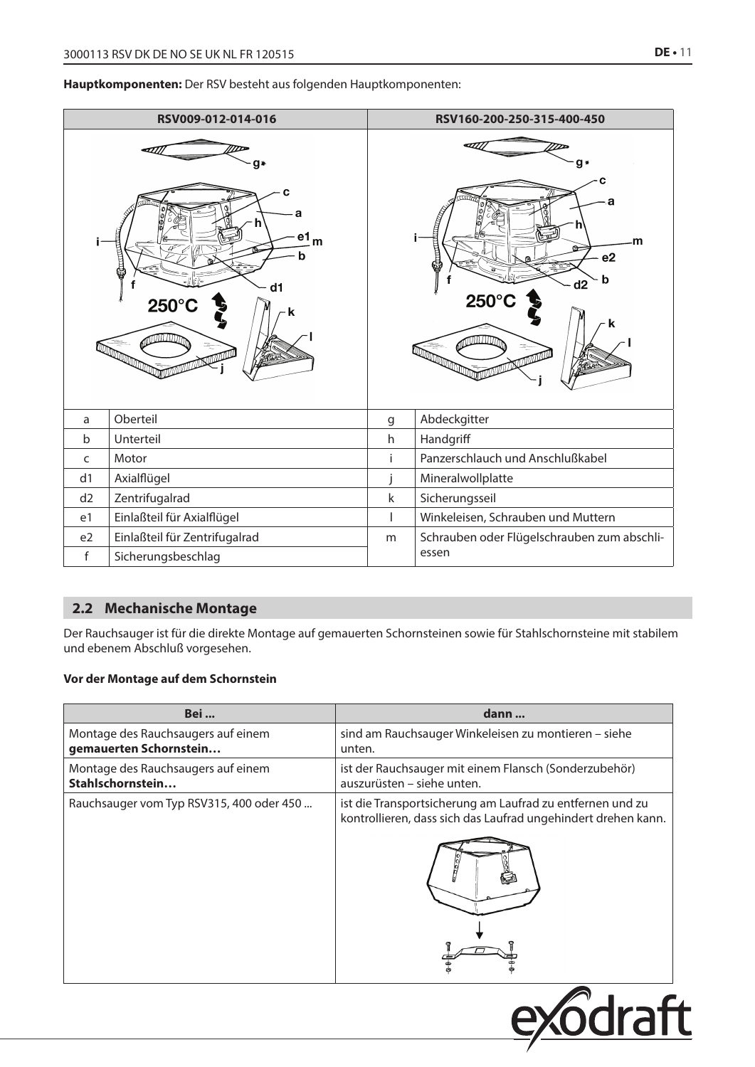**Hauptkomponenten:** Der RSV besteht aus folgenden Hauptkomponenten:

| RSV009-012-014-016              |                               | RSV160-200-250-315-400-450 |                                                                 |
|---------------------------------|-------------------------------|----------------------------|-----------------------------------------------------------------|
| я<br>m<br>d1<br>$250^{\circ}$ C |                               |                            | 977.<br>a ×<br>С<br>m<br>ര-<br>e2<br>b<br>d2<br>$250^{\circ}$ C |
| a                               | Oberteil                      | g                          | Abdeckgitter                                                    |
| $\mathsf b$                     | Unterteil                     | h                          | Handgriff                                                       |
| $\mathsf C$                     | Motor                         | i                          | Panzerschlauch und Anschlußkabel                                |
| d1                              | Axialflügel                   | j                          | Mineralwollplatte                                               |
| d2                              | Zentrifugalrad                | k                          | Sicherungsseil                                                  |
| e1                              | Einlaßteil für Axialflügel    |                            | Winkeleisen, Schrauben und Muttern                              |
| e <sub>2</sub>                  | Einlaßteil für Zentrifugalrad | m                          | Schrauben oder Flügelschrauben zum abschli-                     |
| $\mathsf f$                     | Sicherungsbeschlag            |                            | essen                                                           |

## **2.2 Mechanische Montage**

Der Rauchsauger ist für die direkte Montage auf gemauerten Schornsteinen sowie für Stahlschornsteine mit stabilem und ebenem Abschluß vorgesehen.

#### **Vor der Montage auf dem Schornstein**

| <b>Bei </b>                              | dann                                                                                                                       |
|------------------------------------------|----------------------------------------------------------------------------------------------------------------------------|
| Montage des Rauchsaugers auf einem       | sind am Rauchsauger Winkeleisen zu montieren – siehe                                                                       |
| gemauerten Schornstein                   | unten.                                                                                                                     |
| Montage des Rauchsaugers auf einem       | ist der Rauchsauger mit einem Flansch (Sonderzubehör)                                                                      |
| Stahlschornstein                         | auszurüsten – siehe unten.                                                                                                 |
| Rauchsauger vom Typ RSV315, 400 oder 450 | ist die Transportsicherung am Laufrad zu entfernen und zu<br>kontrollieren, dass sich das Laufrad ungehindert drehen kann. |

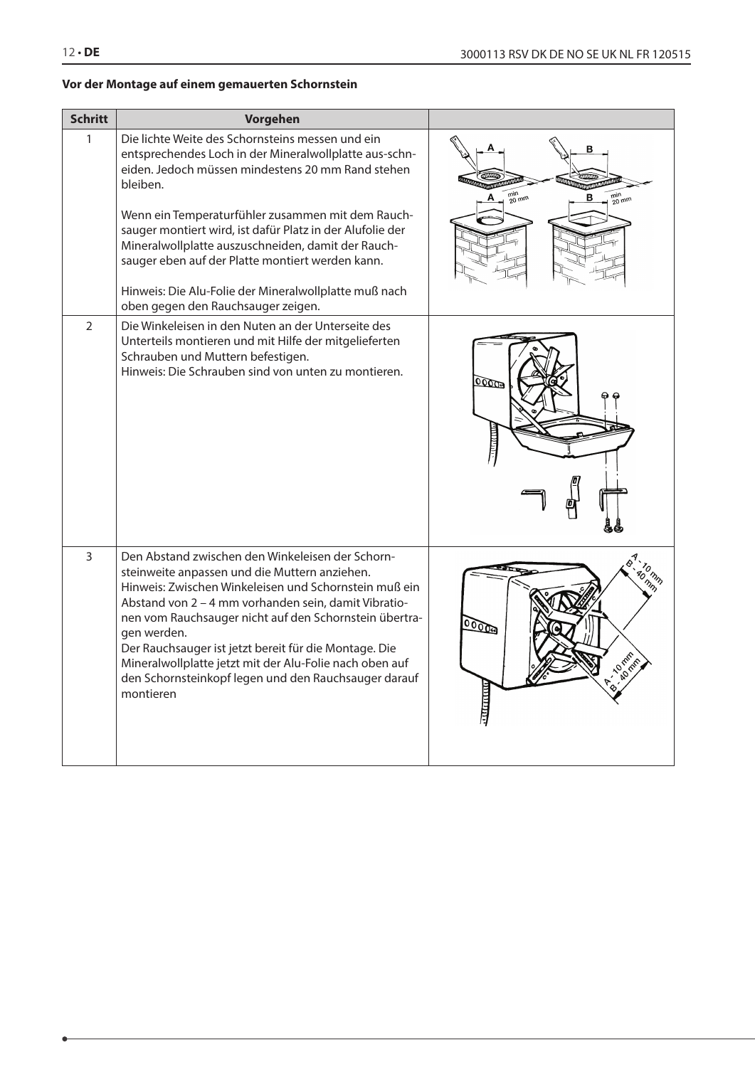# **Vor der Montage auf einem gemauerten Schornstein**

| <b>Schritt</b> | Vorgehen                                                                                                                                                                                                                                                                                                                                                                                                                                                                             |                                                        |
|----------------|--------------------------------------------------------------------------------------------------------------------------------------------------------------------------------------------------------------------------------------------------------------------------------------------------------------------------------------------------------------------------------------------------------------------------------------------------------------------------------------|--------------------------------------------------------|
| $\mathbf{1}$   | Die lichte Weite des Schornsteins messen und ein<br>entsprechendes Loch in der Mineralwollplatte aus-schn-<br>eiden. Jedoch müssen mindestens 20 mm Rand stehen<br>bleiben.                                                                                                                                                                                                                                                                                                          | в<br>$\frac{min}{20}$ mm<br>$\frac{\text{min}}{20}$ mm |
|                | Wenn ein Temperaturfühler zusammen mit dem Rauch-<br>sauger montiert wird, ist dafür Platz in der Alufolie der<br>Mineralwollplatte auszuschneiden, damit der Rauch-<br>sauger eben auf der Platte montiert werden kann.                                                                                                                                                                                                                                                             |                                                        |
|                | Hinweis: Die Alu-Folie der Mineralwollplatte muß nach<br>oben gegen den Rauchsauger zeigen.                                                                                                                                                                                                                                                                                                                                                                                          |                                                        |
| 2              | Die Winkeleisen in den Nuten an der Unterseite des<br>Unterteils montieren und mit Hilfe der mitgelieferten<br>Schrauben und Muttern befestigen.<br>Hinweis: Die Schrauben sind von unten zu montieren.                                                                                                                                                                                                                                                                              | <u>ಯಾಂ</u>                                             |
| $\overline{3}$ | Den Abstand zwischen den Winkeleisen der Schorn-<br>steinweite anpassen und die Muttern anziehen.<br>Hinweis: Zwischen Winkeleisen und Schornstein muß ein<br>Abstand von 2 - 4 mm vorhanden sein, damit Vibratio-<br>nen vom Rauchsauger nicht auf den Schornstein übertra-<br>gen werden.<br>Der Rauchsauger ist jetzt bereit für die Montage. Die<br>Mineralwollplatte jetzt mit der Alu-Folie nach oben auf<br>den Schornsteinkopf legen und den Rauchsauger darauf<br>montieren | $\overline{\text{OOS}}$<br><b>O</b> ran<br>&O ram      |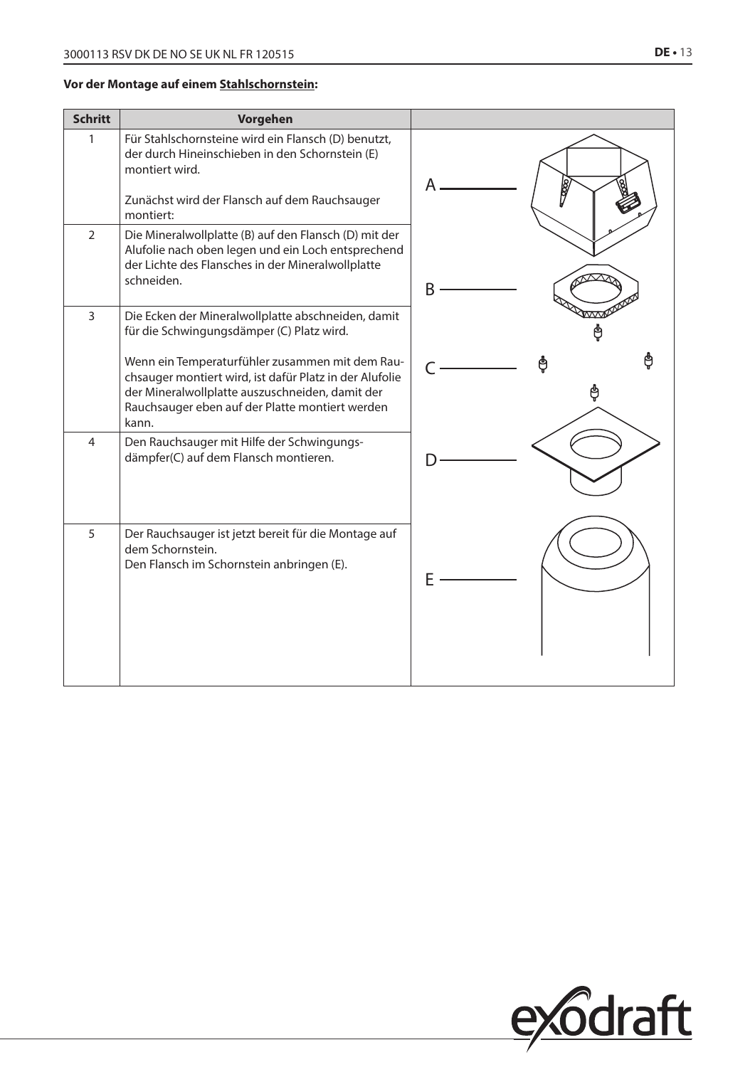#### **Vor der Montage auf einem Stahlschornstein:**

| <b>Schritt</b> | Vorgehen                                                                                                                                                                                                                  |   |
|----------------|---------------------------------------------------------------------------------------------------------------------------------------------------------------------------------------------------------------------------|---|
| 1              | Für Stahlschornsteine wird ein Flansch (D) benutzt,<br>der durch Hineinschieben in den Schornstein (E)<br>montiert wird.                                                                                                  |   |
|                | Zunächst wird der Flansch auf dem Rauchsauger<br>montiert:                                                                                                                                                                |   |
| 2              | Die Mineralwollplatte (B) auf den Flansch (D) mit der<br>Alufolie nach oben legen und ein Loch entsprechend<br>der Lichte des Flansches in der Mineralwollplatte<br>schneiden.                                            | B |
| $\overline{3}$ | Die Ecken der Mineralwollplatte abschneiden, damit<br>für die Schwingungsdämper (C) Platz wird.                                                                                                                           |   |
|                | Wenn ein Temperaturfühler zusammen mit dem Rau-<br>chsauger montiert wird, ist dafür Platz in der Alufolie<br>der Mineralwollplatte auszuschneiden, damit der<br>Rauchsauger eben auf der Platte montiert werden<br>kann. | ტ |
| 4              | Den Rauchsauger mit Hilfe der Schwingungs-<br>dämpfer(C) auf dem Flansch montieren.                                                                                                                                       |   |
| 5              | Der Rauchsauger ist jetzt bereit für die Montage auf<br>dem Schornstein.<br>Den Flansch im Schornstein anbringen (E).                                                                                                     | F |



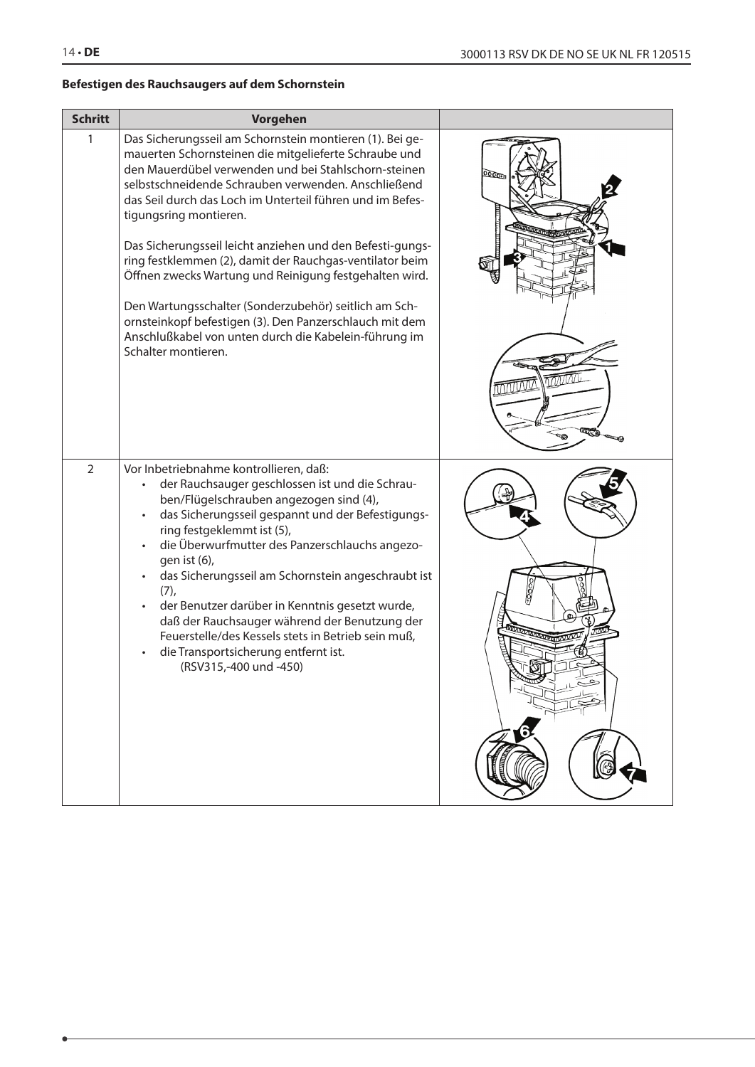# **Befestigen des Rauchsaugers auf dem Schornstein**

| <b>Schritt</b> | Vorgehen                                                                                                                                                                                                                                                                                                                                                                                                                                                                                                                                                                                                                                                                                                       |                                    |
|----------------|----------------------------------------------------------------------------------------------------------------------------------------------------------------------------------------------------------------------------------------------------------------------------------------------------------------------------------------------------------------------------------------------------------------------------------------------------------------------------------------------------------------------------------------------------------------------------------------------------------------------------------------------------------------------------------------------------------------|------------------------------------|
| 1              | Das Sicherungsseil am Schornstein montieren (1). Bei ge-<br>mauerten Schornsteinen die mitgelieferte Schraube und<br>den Mauerdübel verwenden und bei Stahlschorn-steinen<br>selbstschneidende Schrauben verwenden. Anschließend<br>das Seil durch das Loch im Unterteil führen und im Befes-<br>tigungsring montieren.<br>Das Sicherungsseil leicht anziehen und den Befesti-gungs-<br>ring festklemmen (2), damit der Rauchgas-ventilator beim<br>Öffnen zwecks Wartung und Reinigung festgehalten wird.<br>Den Wartungsschalter (Sonderzubehör) seitlich am Sch-<br>ornsteinkopf befestigen (3). Den Panzerschlauch mit dem<br>Anschlußkabel von unten durch die Kabelein-führung im<br>Schalter montieren. | <u>ಯೋ.</u><br>mm<br>$\pi\pi\pi\pi$ |
| $\overline{2}$ | Vor Inbetriebnahme kontrollieren, daß:<br>der Rauchsauger geschlossen ist und die Schrau-<br>ben/Flügelschrauben angezogen sind (4),<br>das Sicherungsseil gespannt und der Befestigungs-<br>ring festgeklemmt ist (5),<br>die Überwurfmutter des Panzerschlauchs angezo-<br>gen ist (6),<br>das Sicherungsseil am Schornstein angeschraubt ist<br>(7),<br>der Benutzer darüber in Kenntnis gesetzt wurde,<br>daß der Rauchsauger während der Benutzung der<br>Feuerstelle/des Kessels stets in Betrieb sein muß,<br>die Transportsicherung entfernt ist.<br>(RSV315,-400 und -450)                                                                                                                            |                                    |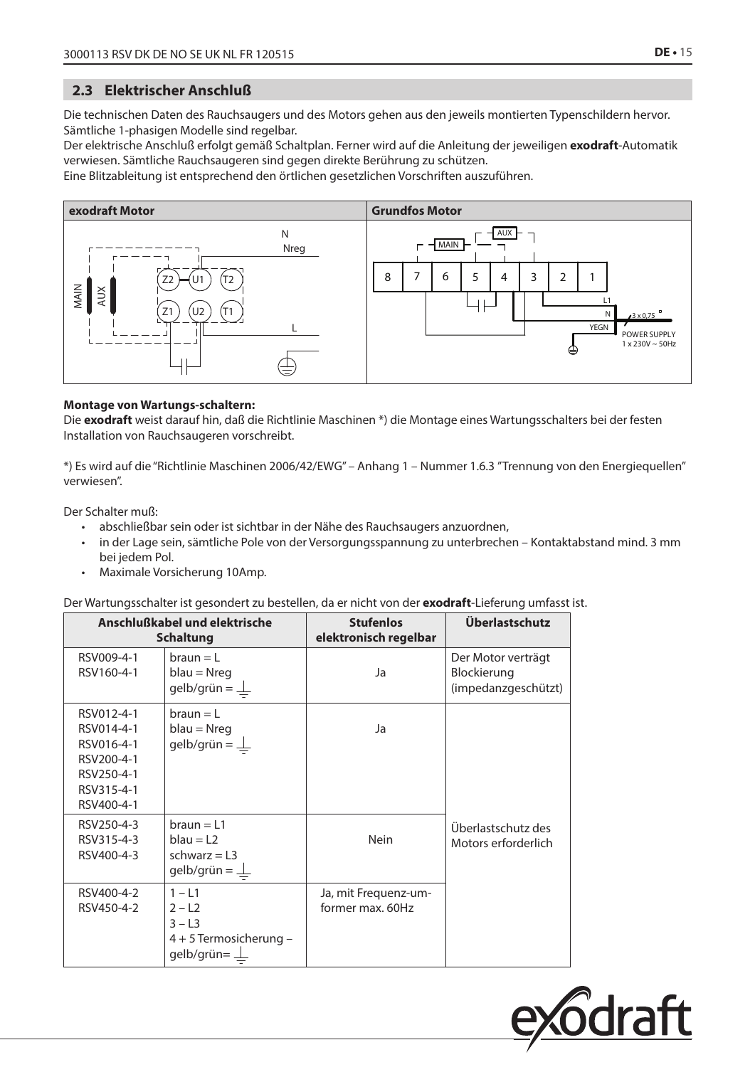# **2.3 Elektrischer Anschluß**

Die technischen Daten des Rauchsaugers und des Motors gehen aus den jeweils montierten Typenschildern hervor. Sämtliche 1-phasigen Modelle sind regelbar.

Der elektrische Anschluß erfolgt gemäß Schaltplan. Ferner wird auf die Anleitung der jeweiligen **exodraft**-Automatik verwiesen. Sämtliche Rauchsaugeren sind gegen direkte Berührung zu schützen.

Eine Blitzableitung ist entsprechend den örtlichen gesetzlichen Vorschriften auszuführen.



#### **Montage von Wartungs-schaltern:**

Die **exodraft** weist darauf hin, daß die Richtlinie Maschinen \*) die Montage eines Wartungsschalters bei der festen Installation von Rauchsaugeren vorschreibt.

\*) Es wird auf die "Richtlinie Maschinen 2006/42/EWG" – Anhang 1 – Nummer 1.6.3 "Trennung von den Energiequellen" verwiesen".

Der Schalter muß:

- abschließbar sein oder ist sichtbar in der Nähe des Rauchsaugers anzuordnen,
- in der Lage sein, sämtliche Pole von der Versorgungsspannung zu unterbrechen Kontaktabstand mind. 3 mm bei jedem Pol.
- Maximale Vorsicherung 10Amp.

Der Wartungsschalter ist gesondert zu bestellen, da er nicht von der **exodraft**-Lieferung umfasst ist.

|                                                                                                | Anschlußkabel und elektrische<br><b>Schaltung</b>                            | <b>Stufenlos</b><br>elektronisch regelbar | Überlastschutz                                           |
|------------------------------------------------------------------------------------------------|------------------------------------------------------------------------------|-------------------------------------------|----------------------------------------------------------|
| RSV009-4-1<br>RSV160-4-1                                                                       | $braun = L$<br>$blau = Nreg$<br>gelb/grün = $\perp$                          | Ja                                        | Der Motor verträgt<br>Blockierung<br>(impedanzgeschützt) |
| RSV012-4-1<br>RSV014-4-1<br>RSV016-4-1<br>RSV200-4-1<br>RSV250-4-1<br>RSV315-4-1<br>RSV400-4-1 | $braun = L$<br>$blau = Nreg$<br>gelb/grün = $\perp$                          | Ja                                        |                                                          |
| RSV250-4-3<br>RSV315-4-3<br>RSV400-4-3                                                         | $braun = L1$<br>$blau = L2$<br>schwarz $=$ L3<br>gelb/grün = $\perp$         | <b>Nein</b>                               | Überlastschutz des<br>Motors erforderlich                |
| RSV400-4-2<br>RSV450-4-2                                                                       | $1 - 11$<br>$2 - L2$<br>$3 - L3$<br>$4 + 5$ Termosicherung -<br>gelb/grün= _ | Ja, mit Frequenz-um-<br>former max. 60Hz  |                                                          |

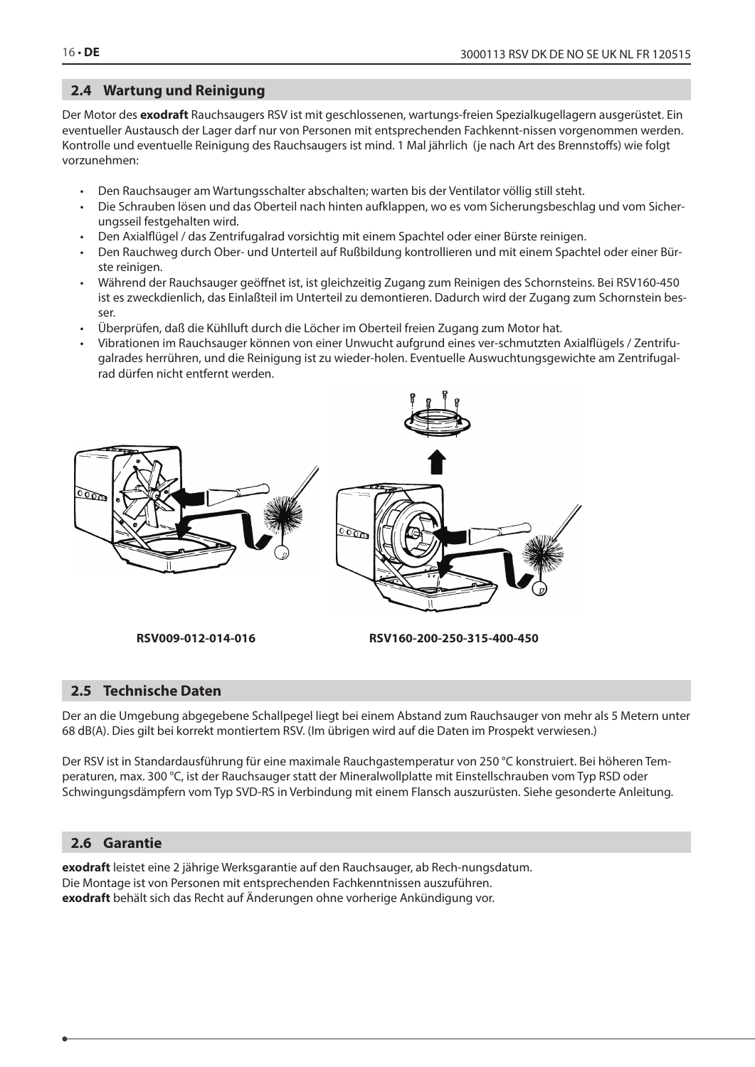#### **2.4 Wartung und Reinigung**

Der Motor des **exodraft** Rauchsaugers RSV ist mit geschlossenen, wartungs-freien Spezialkugellagern ausgerüstet. Ein eventueller Austausch der Lager darf nur von Personen mit entsprechenden Fachkennt-nissen vorgenommen werden. Kontrolle und eventuelle Reinigung des Rauchsaugers ist mind. 1 Mal jährlich (je nach Art des Brennstofs) wie folgt vorzunehmen:

- Den Rauchsauger am Wartungsschalter abschalten; warten bis der Ventilator völlig still steht.
- Die Schrauben lösen und das Oberteil nach hinten aufklappen, wo es vom Sicherungsbeschlag und vom Sicherungsseil festgehalten wird.
- Den Axiallügel / das Zentrifugalrad vorsichtig mit einem Spachtel oder einer Bürste reinigen.
- Den Rauchweg durch Ober- und Unterteil auf Rußbildung kontrollieren und mit einem Spachtel oder einer Bürste reinigen.
- Während der Rauchsauger geöfnet ist, ist gleichzeitig Zugang zum Reinigen des Schornsteins. Bei RSV160-450 ist es zweckdienlich, das Einlaßteil im Unterteil zu demontieren. Dadurch wird der Zugang zum Schornstein besser.
- Überprüfen, daß die Kühlluft durch die Löcher im Oberteil freien Zugang zum Motor hat.
- Vibrationen im Rauchsauger können von einer Unwucht aufgrund eines ver-schmutzten Axiallügels / Zentrifugalrades herrühren, und die Reinigung ist zu wieder-holen. Eventuelle Auswuchtungsgewichte am Zentrifugalrad dürfen nicht entfernt werden.



 **RSV009-012-014-016 RSV160-200-250-315-400-450**

#### **2.5 Technische Daten**

Der an die Umgebung abgegebene Schallpegel liegt bei einem Abstand zum Rauchsauger von mehr als 5 Metern unter 68 dB(A). Dies gilt bei korrekt montiertem RSV. (Im übrigen wird auf die Daten im Prospekt verwiesen.)

Der RSV ist in Standardausführung für eine maximale Rauchgastemperatur von 250 °C konstruiert. Bei höheren Temperaturen, max. 300 °C, ist der Rauchsauger statt der Mineralwollplatte mit Einstellschrauben vom Typ RSD oder Schwingungsdämpfern vom Typ SVD-RS in Verbindung mit einem Flansch auszurüsten. Siehe gesonderte Anleitung.

# **2.6 Garantie**

**exodraft** leistet eine 2 jährige Werksgarantie auf den Rauchsauger, ab Rech-nungsdatum. Die Montage ist von Personen mit entsprechenden Fachkenntnissen auszuführen. **exodraft** behält sich das Recht auf Änderungen ohne vorherige Ankündigung vor.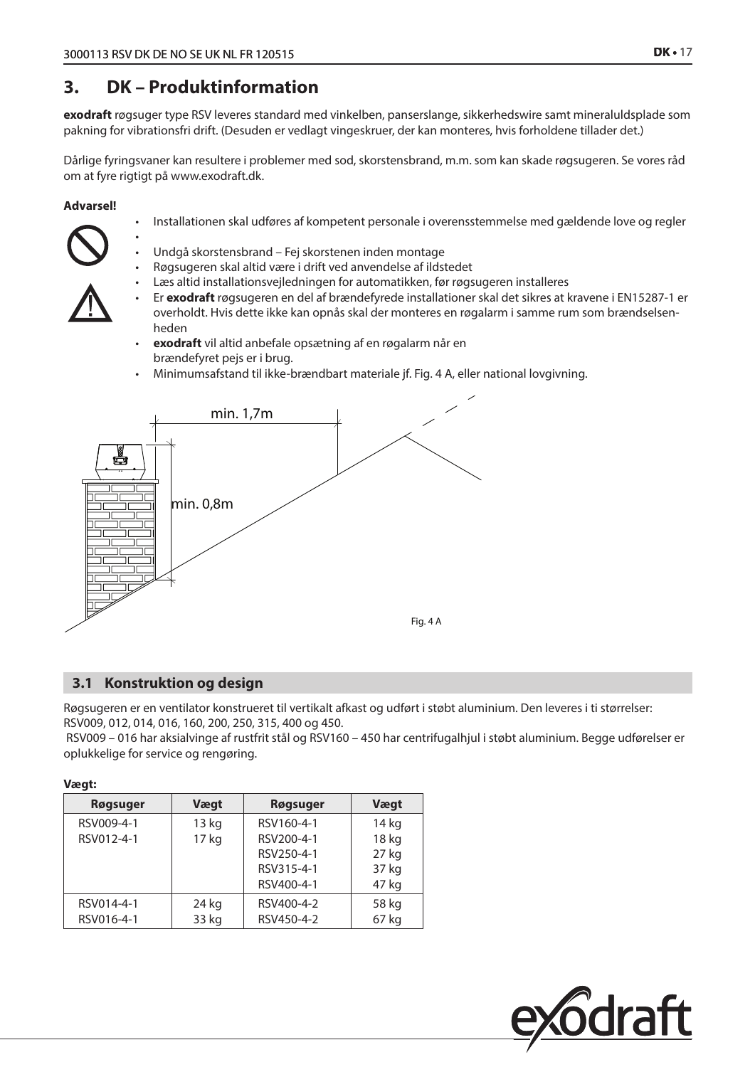# **3. DK – Produktinformation**

**exodraft** røgsuger type RSV leveres standard med vinkelben, panserslange, sikkerhedswire samt mineraluldsplade som pakning for vibrationsfri drift. (Desuden er vedlagt vingeskruer, der kan monteres, hvis forholdene tillader det.)

Dårlige fyringsvaner kan resultere i problemer med sod, skorstensbrand, m.m. som kan skade røgsugeren. Se vores råd om at fyre rigtigt på www.exodraft.dk.

#### **Advarsel!**



- Installationen skal udføres af kompetent personale i overensstemmelse med gældende love og regler
- • Undgå skorstensbrand – Fej skorstenen inden montage
- Røgsugeren skal altid være i drift ved anvendelse af ildstedet
- Læs altid installationsvejledningen for automatikken, før røgsugeren installeres
- Er **exodraft** røgsugeren en del af brændefyrede installationer skal det sikres at kravene i EN15287-1 er overholdt. Hvis dette ikke kan opnås skal der monteres en røgalarm i samme rum som brændselsenheden
- **exodraft** vil altid anbefale opsætning af en røgalarm når en brændefyret pejs er i brug.
- Minimumsafstand til ikke-brændbart materiale jf. Fig. 4 A, eller national lovgivning.



# **3.1 Konstruktion og design**

Røgsugeren er en ventilator konstrueret til vertikalt afkast og udført i støbt aluminium. Den leveres i ti størrelser: RSV009, 012, 014, 016, 160, 200, 250, 315, 400 og 450.

 RSV009 – 016 har aksialvinge af rustfrit stål og RSV160 – 450 har centrifugalhjul i støbt aluminium. Begge udførelser er oplukkelige for service og rengøring.

| ۰,<br>×<br>۰,<br>×<br>٠ |
|-------------------------|
|-------------------------|

| Røgsuger   | Vægt  | Røgsuger   | Vægt  |
|------------|-------|------------|-------|
| RSV009-4-1 | 13 kg | RSV160-4-1 | 14 kg |
| RSV012-4-1 | 17 kg | RSV200-4-1 | 18 kg |
|            |       | RSV250-4-1 | 27 kg |
|            |       | RSV315-4-1 | 37 kg |
|            |       | RSV400-4-1 | 47 kg |
| RSV014-4-1 | 24 kg | RSV400-4-2 | 58 kg |
| RSV016-4-1 | 33 kg | RSV450-4-2 | 67 kg |

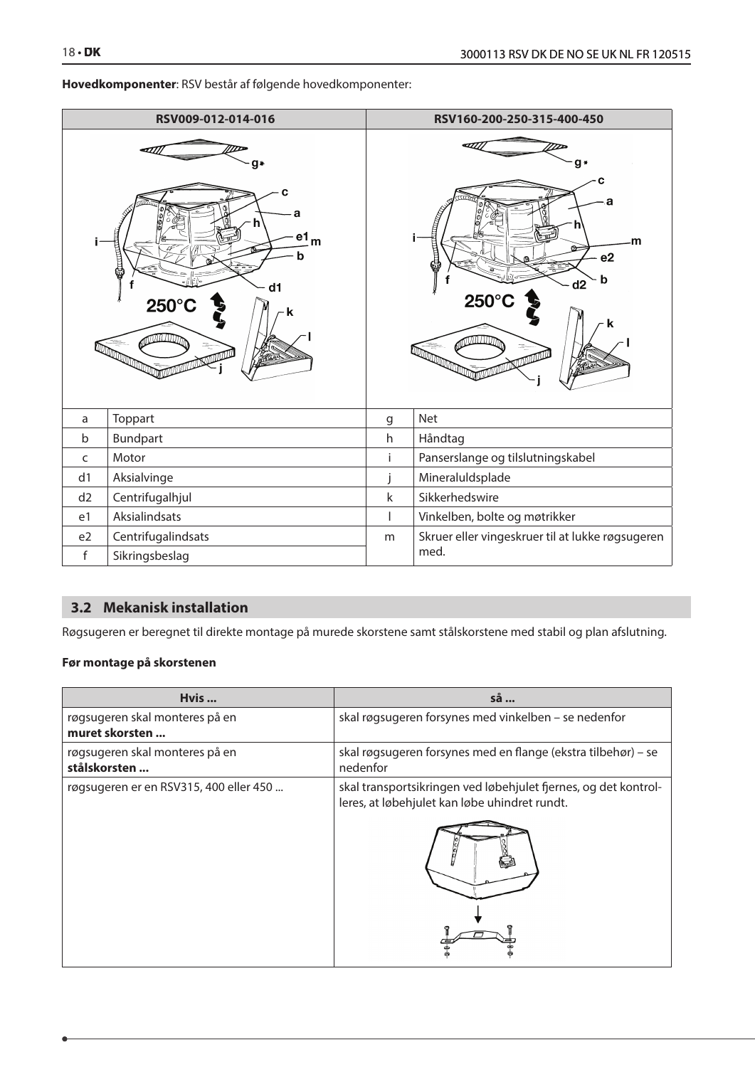**Hovedkomponenter**: RSV består af følgende hovedkomponenter:

|                       | RSV009-012-014-016 |                                        | RSV160-200-250-315-400-450                       |
|-----------------------|--------------------|----------------------------------------|--------------------------------------------------|
| d1<br>$250^{\circ}$ C |                    | ٠m<br>e2<br>b<br>d2<br>$250^{\circ}$ C |                                                  |
| a                     | Toppart            | g                                      | <b>Net</b>                                       |
| b                     | Bundpart           | h                                      | Håndtag                                          |
| C                     | Motor              | i                                      | Panserslange og tilslutningskabel                |
| d1                    | Aksialvinge        |                                        | Mineraluldsplade                                 |
| d2                    | Centrifugalhjul    | k                                      | Sikkerhedswire                                   |
| e1                    | Aksialindsats      |                                        | Vinkelben, bolte og møtrikker                    |
| e2                    | Centrifugalindsats | m                                      | Skruer eller vingeskruer til at lukke røgsugeren |
| f                     | Sikringsbeslag     |                                        | med.                                             |

# **3.2 Mekanisk installation**

Røgsugeren er beregnet til direkte montage på murede skorstene samt stålskorstene med stabil og plan afslutning.

#### **Før montage på skorstenen**

| Hvis                                             | så                                                                                                               |
|--------------------------------------------------|------------------------------------------------------------------------------------------------------------------|
| røgsugeren skal monteres på en<br>muret skorsten | skal røgsugeren forsynes med vinkelben – se nedenfor                                                             |
| røgsugeren skal monteres på en<br>stålskorsten   | skal røgsugeren forsynes med en flange (ekstra tilbehør) – se<br>nedenfor                                        |
| røgsugeren er en RSV315, 400 eller 450           | skal transportsikringen ved løbehjulet fjernes, og det kontrol-<br>leres, at løbehjulet kan løbe uhindret rundt. |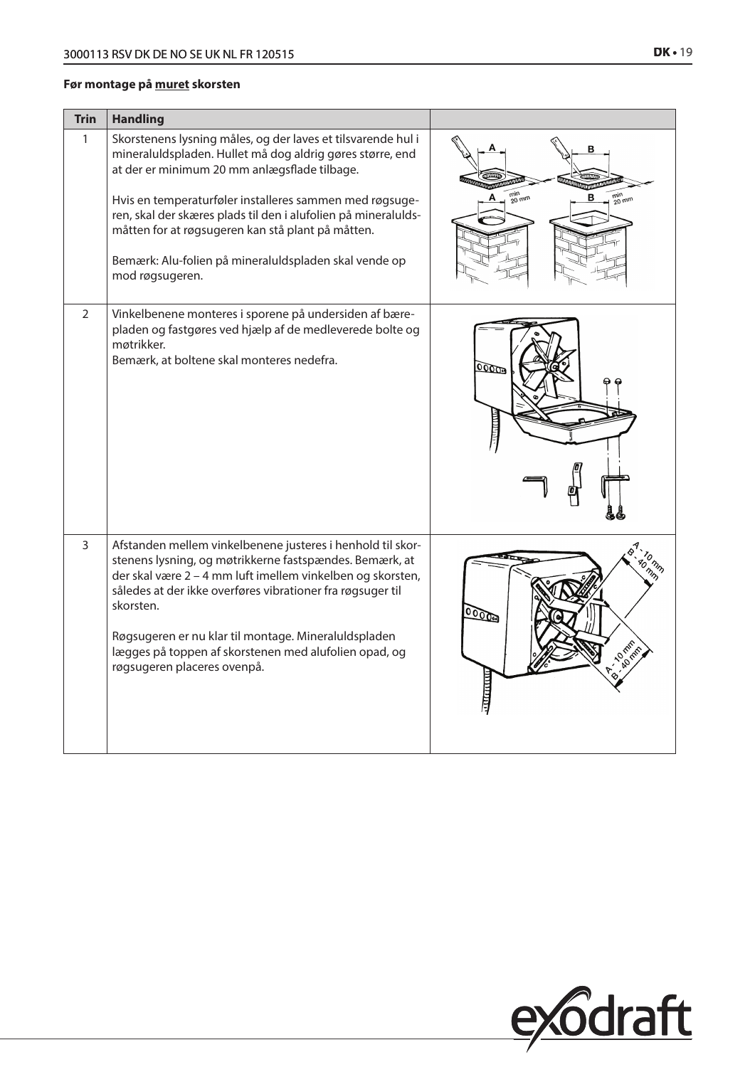# **Før montage på muret skorsten**

| <b>Trin</b>  | <b>Handling</b>                                                                                                                                                                                                                                                                                                                                                                                                                         |                                                             |
|--------------|-----------------------------------------------------------------------------------------------------------------------------------------------------------------------------------------------------------------------------------------------------------------------------------------------------------------------------------------------------------------------------------------------------------------------------------------|-------------------------------------------------------------|
| $\mathbf{1}$ | Skorstenens lysning måles, og der laves et tilsvarende hul i<br>mineraluldspladen. Hullet må dog aldrig gøres større, end<br>at der er minimum 20 mm anlægsflade tilbage.<br>Hvis en temperaturføler installeres sammen med røgsuge-<br>ren, skal der skæres plads til den i alufolien på mineralulds-<br>måtten for at røgsugeren kan stå plant på måtten.<br>Bemærk: Alu-folien på mineraluldspladen skal vende op<br>mod røgsugeren. | в<br>$\frac{\text{min}}{20}$ mm<br>$\frac{min}{20}$ mm<br>в |
| 2            | Vinkelbenene monteres i sporene på undersiden af bære-<br>pladen og fastgøres ved hjælp af de medleverede bolte og<br>møtrikker.<br>Bemærk, at boltene skal monteres nedefra.                                                                                                                                                                                                                                                           | $\overline{\text{000}}$                                     |
| 3            | Afstanden mellem vinkelbenene justeres i henhold til skor-<br>stenens lysning, og møtrikkerne fastspændes. Bemærk, at<br>der skal være 2 - 4 mm luft imellem vinkelben og skorsten,<br>således at der ikke overføres vibrationer fra røgsuger til<br>skorsten.<br>Røgsugeren er nu klar til montage. Mineraluldspladen<br>lægges på toppen af skorstenen med alufolien opad, og<br>røgsugeren placeres ovenpå.                          | $\frac{10000}{10000}$<br>AO ram                             |

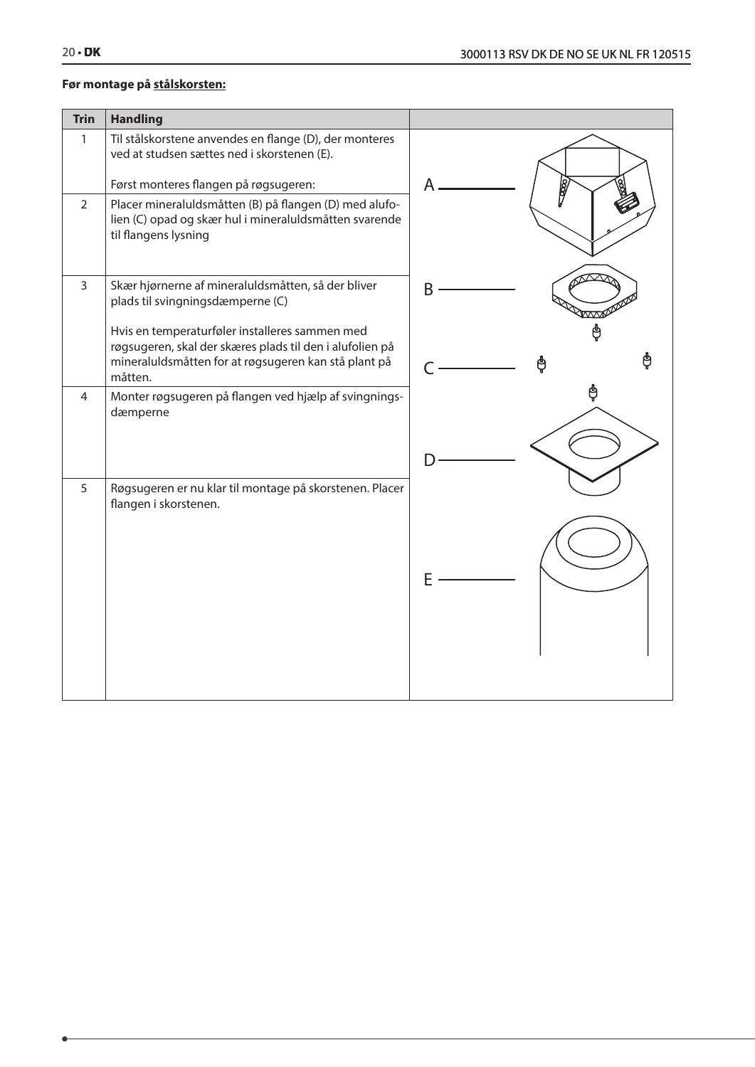# **Før montage på stålskorsten:**

| <b>Trin</b>    | <b>Handling</b>                                                                                                                                |        |
|----------------|------------------------------------------------------------------------------------------------------------------------------------------------|--------|
| $\mathbf{1}$   | Til stålskorstene anvendes en flange (D), der monteres<br>ved at studsen sættes ned i skorstenen (E).<br>Først monteres flangen på røgsugeren: |        |
| $\overline{2}$ | Placer mineraluldsmåtten (B) på flangen (D) med alufo-<br>lien (C) opad og skær hul i mineraluldsmåtten svarende<br>til flangens lysning       |        |
| $\overline{3}$ | Skær hjørnerne af mineraluldsmåtten, så der bliver<br>plads til svingningsdæmperne (C)<br>Hvis en temperaturføler installeres sammen med       | B      |
|                | røgsugeren, skal der skæres plads til den i alufolien på<br>mineraluldsmåtten for at røgsugeren kan stå plant på<br>måtten.                    | ඏ<br>ტ |
| $\overline{4}$ | Monter røgsugeren på flangen ved hjælp af svingnings-<br>dæmperne                                                                              | අ      |
| 5              | Røgsugeren er nu klar til montage på skorstenen. Placer<br>flangen i skorstenen.                                                               |        |
|                |                                                                                                                                                | E      |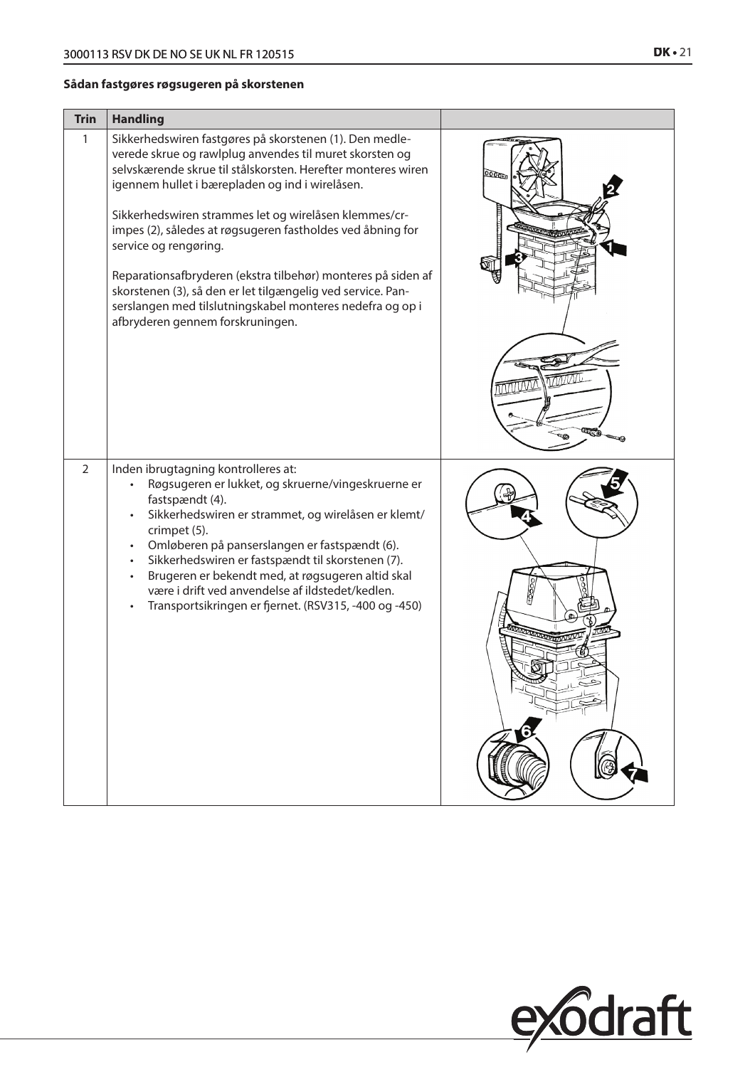#### **Sådan fastgøres røgsugeren på skorstenen**

| <b>Trin</b>    | <b>Handling</b>                                                                                                                                                                                                                                                                                                                                                                                                                                             |    |
|----------------|-------------------------------------------------------------------------------------------------------------------------------------------------------------------------------------------------------------------------------------------------------------------------------------------------------------------------------------------------------------------------------------------------------------------------------------------------------------|----|
| 1              | Sikkerhedswiren fastgøres på skorstenen (1). Den medle-<br>verede skrue og rawlplug anvendes til muret skorsten og<br>selvskærende skrue til stålskorsten. Herefter monteres wiren<br>igennem hullet i bærepladen og ind i wirelåsen.                                                                                                                                                                                                                       | ೲೲ |
|                | Sikkerhedswiren strammes let og wirelåsen klemmes/cr-<br>impes (2), således at røgsugeren fastholdes ved åbning for<br>service og rengøring.                                                                                                                                                                                                                                                                                                                |    |
|                | Reparationsafbryderen (ekstra tilbehør) monteres på siden af<br>skorstenen (3), så den er let tilgængelig ved service. Pan-<br>serslangen med tilslutningskabel monteres nedefra og op i<br>afbryderen gennem forskruningen.                                                                                                                                                                                                                                |    |
|                |                                                                                                                                                                                                                                                                                                                                                                                                                                                             |    |
| $\overline{2}$ | Inden ibrugtagning kontrolleres at:<br>Røgsugeren er lukket, og skruerne/vingeskruerne er<br>fastspændt (4).<br>Sikkerhedswiren er strammet, og wirelåsen er klemt/<br>crimpet (5).<br>Omløberen på panserslangen er fastspændt (6).<br>Sikkerhedswiren er fastspændt til skorstenen (7).<br>Brugeren er bekendt med, at røgsugeren altid skal<br>være i drift ved anvendelse af ildstedet/kedlen.<br>Transportsikringen er fjernet. (RSV315, -400 og -450) |    |
|                |                                                                                                                                                                                                                                                                                                                                                                                                                                                             | G  |

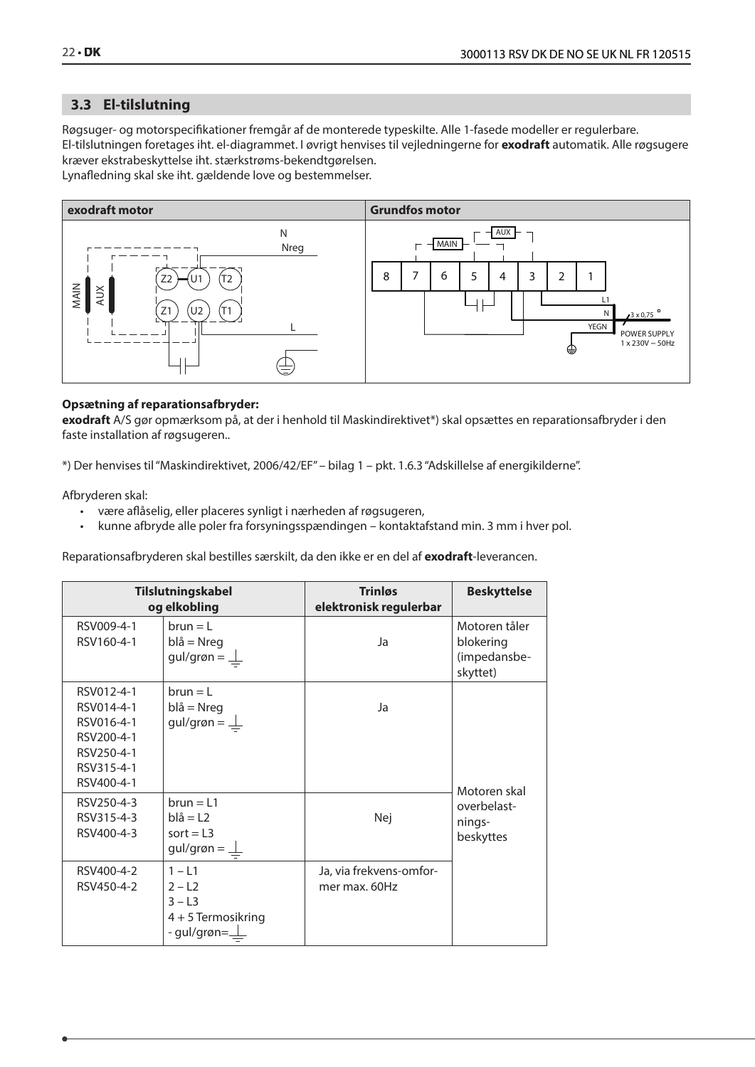## **3.3 El-tilslutning**

Røgsuger- og motorspecifikationer fremgår af de monterede typeskilte. Alle 1-fasede modeller er regulerbare. El-tilslutningen foretages iht. el-diagrammet. I øvrigt henvises til vejledningerne for **exodraft** automatik. Alle røgsugere kræver ekstrabeskyttelse iht. stærkstrøms-bekendtgørelsen.

Lynafledning skal ske iht. gældende love og bestemmelser.



#### **Opsætning af reparationsafbryder:**

**exodraft** A/S gør opmærksom på, at der i henhold til Maskindirektivet\*) skal opsættes en reparationsafbryder i den faste installation af røgsugeren..

\*) Der henvises til "Maskindirektivet, 2006/42/EF" – bilag 1 – pkt. 1.6.3 "Adskillelse af energikilderne".

Afbryderen skal:

- være alåselig, eller placeres synligt i nærheden af røgsugeren,
- kunne afbryde alle poler fra forsyningsspændingen kontaktafstand min. 3 mm i hver pol.

Reparationsafbryderen skal bestilles særskilt, da den ikke er en del af **exodraft**-leverancen.

|                                                                                                | <b>Tilslutningskabel</b><br>og elkobling                                 | <b>Trinløs</b><br>elektronisk regulerbar | <b>Beskyttelse</b>                                     |
|------------------------------------------------------------------------------------------------|--------------------------------------------------------------------------|------------------------------------------|--------------------------------------------------------|
| RSV009-4-1<br>RSV160-4-1                                                                       | $brun = L$<br>blå = Nreg<br>gul/grøn = $-$                               | Ja                                       | Motoren tåler<br>blokering<br>(impedansbe-<br>skyttet) |
| RSV012-4-1<br>RSV014-4-1<br>RSV016-4-1<br>RSV200-4-1<br>RSV250-4-1<br>RSV315-4-1<br>RSV400-4-1 | $brun = L$<br>blå = Nreg<br>gul/grøn = $\perp$                           | Ja                                       | Motoren skal                                           |
| RSV250-4-3<br>RSV315-4-3<br>RSV400-4-3                                                         | $brun = 11$<br>$bla = L2$<br>sort = $L3$<br>gul/grøn = $\perp$           | Nej                                      | overbelast-<br>nings-<br>beskyttes                     |
| RSV400-4-2<br>RSV450-4-2                                                                       | $1 - L1$<br>$2 - L2$<br>$3 - L3$<br>$4 + 5$ Termosikring<br>- gul/grøn=_ | Ja, via frekvens-omfor-<br>mer max. 60Hz |                                                        |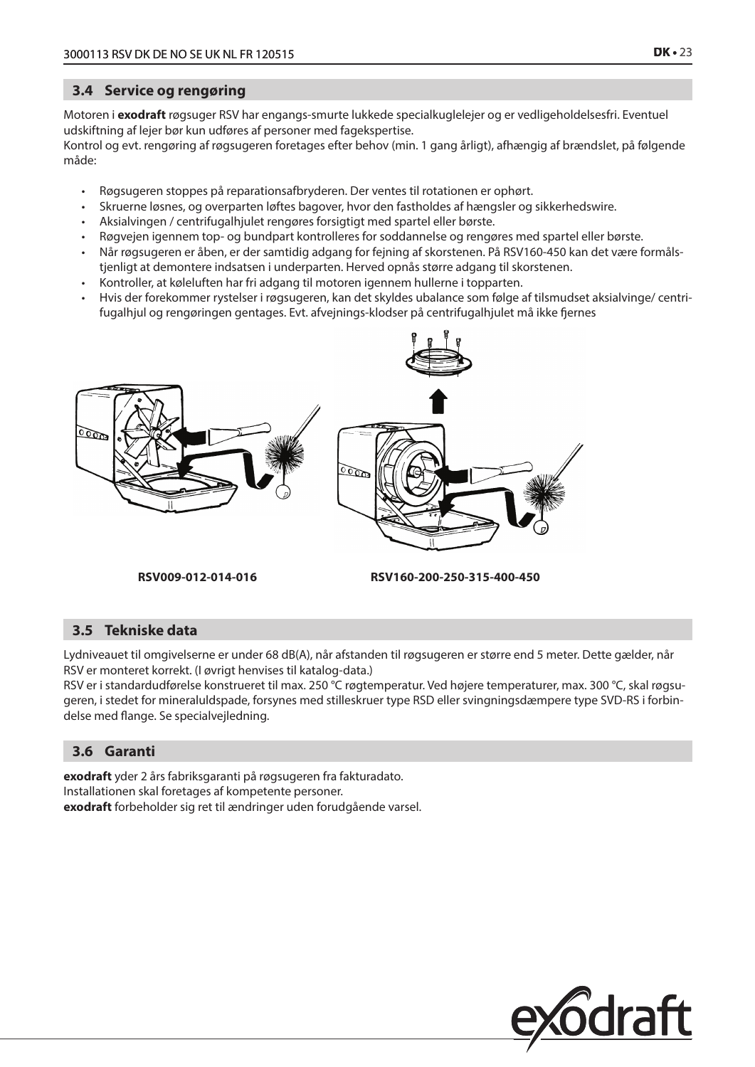#### **3.4 Service og rengøring**

Motoren i **exodraft** røgsuger RSV har engangs-smurte lukkede specialkuglelejer og er vedligeholdelsesfri. Eventuel udskiftning af lejer bør kun udføres af personer med fagekspertise.

Kontrol og evt. rengøring af røgsugeren foretages efter behov (min. 1 gang årligt), afhængig af brændslet, på følgende måde:

- Røgsugeren stoppes på reparationsafbryderen. Der ventes til rotationen er ophørt.
- Skruerne løsnes, og overparten løftes bagover, hvor den fastholdes af hængsler og sikkerhedswire.
- Aksialvingen / centrifugalhjulet rengøres forsigtigt med spartel eller børste.
- Røgvejen igennem top- og bundpart kontrolleres for soddannelse og rengøres med spartel eller børste.
- Når røgsugeren er åben, er der samtidig adgang for fejning af skorstenen. På RSV160-450 kan det være formålstjenligt at demontere indsatsen i underparten. Herved opnås større adgang til skorstenen.
- Kontroller, at køleluften har fri adgang til motoren igennem hullerne i topparten.
- Hvis der forekommer rystelser i røgsugeren, kan det skyldes ubalance som følge af tilsmudset aksialvinge/ centrifugalhjul og rengøringen gentages. Evt. afvejnings-klodser på centrifugalhjulet må ikke fjernes



 **RSV009-012-014-016 RSV160-200-250-315-400-450**

#### **3.5 Tekniske data**

Lydniveauet til omgivelserne er under 68 dB(A), når afstanden til røgsugeren er større end 5 meter. Dette gælder, når RSV er monteret korrekt. (I øvrigt henvises til katalog-data.)

RSV er i standardudførelse konstrueret til max. 250 °C røgtemperatur. Ved højere temperaturer, max. 300 °C, skal røgsugeren, i stedet for mineraluldspade, forsynes med stilleskruer type RSD eller svingningsdæmpere type SVD-RS i forbindelse med flange. Se specialvejledning.

#### **3.6 Garanti**

**exodraft** yder 2 års fabriksgaranti på røgsugeren fra fakturadato. Installationen skal foretages af kompetente personer. **exodraft** forbeholder sig ret til ændringer uden forudgående varsel.

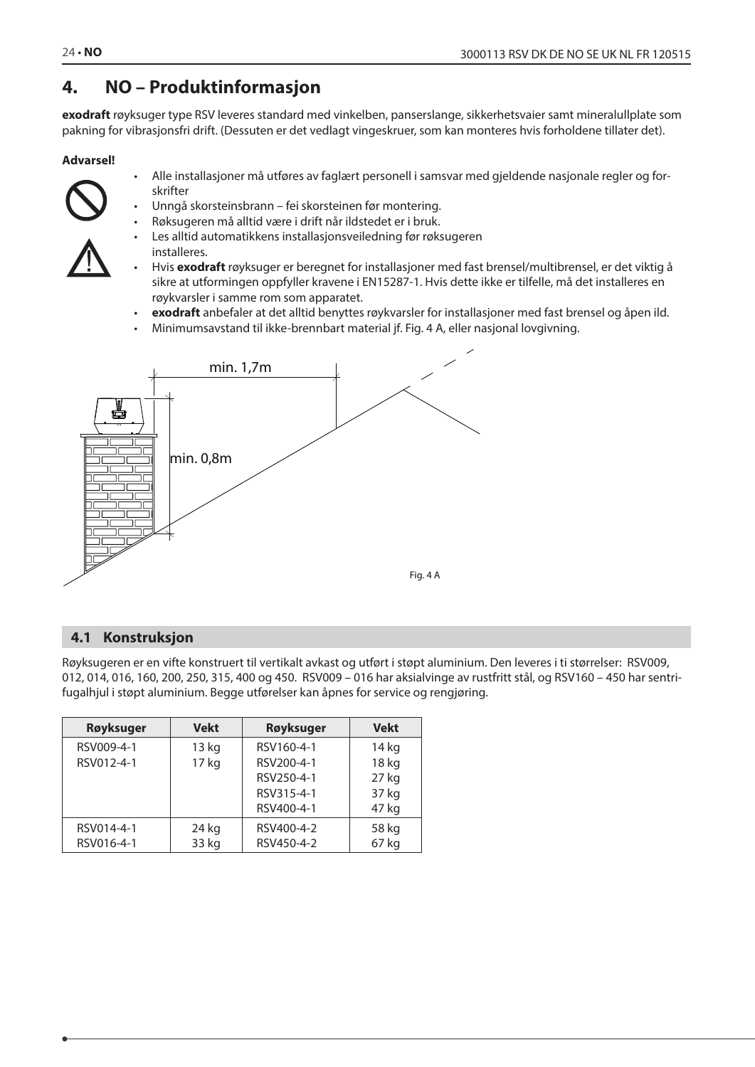# **4. NO – Produktinformasjon**

**exodraft** røyksuger type RSV leveres standard med vinkelben, panserslange, sikkerhetsvaier samt mineralullplate som pakning for vibrasjonsfri drift. (Dessuten er det vedlagt vingeskruer, som kan monteres hvis forholdene tillater det).

#### **Advarsel!**



- Alle installasjoner må utføres av faglært personell i samsvar med gjeldende nasjonale regler og forskrifter
- Unngå skorsteinsbrann fei skorsteinen før montering.
- Røksugeren må alltid være i drift når ildstedet er i bruk.
- Les alltid automatikkens installasjonsveiledning før røksugeren installeres.
- Hvis **exodraft** røyksuger er beregnet for installasjoner med fast brensel/multibrensel, er det viktig å sikre at utformingen oppfyller kravene i EN15287-1. Hvis dette ikke er tilfelle, må det installeres en røykvarsler i samme rom som apparatet.
- **exodraft** anbefaler at det alltid benyttes røykvarsler for installasjoner med fast brensel og åpen ild.
- Minimumsavstand til ikke-brennbart material jf. Fig. 4 A, eller nasjonal lovgivning.



# **4.1 Konstruksjon**

Røyksugeren er en vifte konstruert til vertikalt avkast og utført i støpt aluminium. Den leveres i ti størrelser: RSV009, 012, 014, 016, 160, 200, 250, 315, 400 og 450. RSV009 – 016 har aksialvinge av rustfritt stål, og RSV160 – 450 har sentrifugalhjul i støpt aluminium. Begge utførelser kan åpnes for service og rengjøring.

| Røyksuger                | <b>Vekt</b>    | Røyksuger                | <b>Vekt</b>    |
|--------------------------|----------------|--------------------------|----------------|
| RSV009-4-1<br>RSV012-4-1 | 13 kg<br>17 kg | RSV160-4-1<br>RSV200-4-1 | 14 kg<br>18 kg |
|                          |                | RSV250-4-1               | 27 kg          |
|                          |                | RSV315-4-1<br>RSV400-4-1 | 37 kg<br>47 kg |
| RSV014-4-1<br>RSV016-4-1 | 24 kg<br>33 kg | RSV400-4-2<br>RSV450-4-2 | 58 kg<br>67 kg |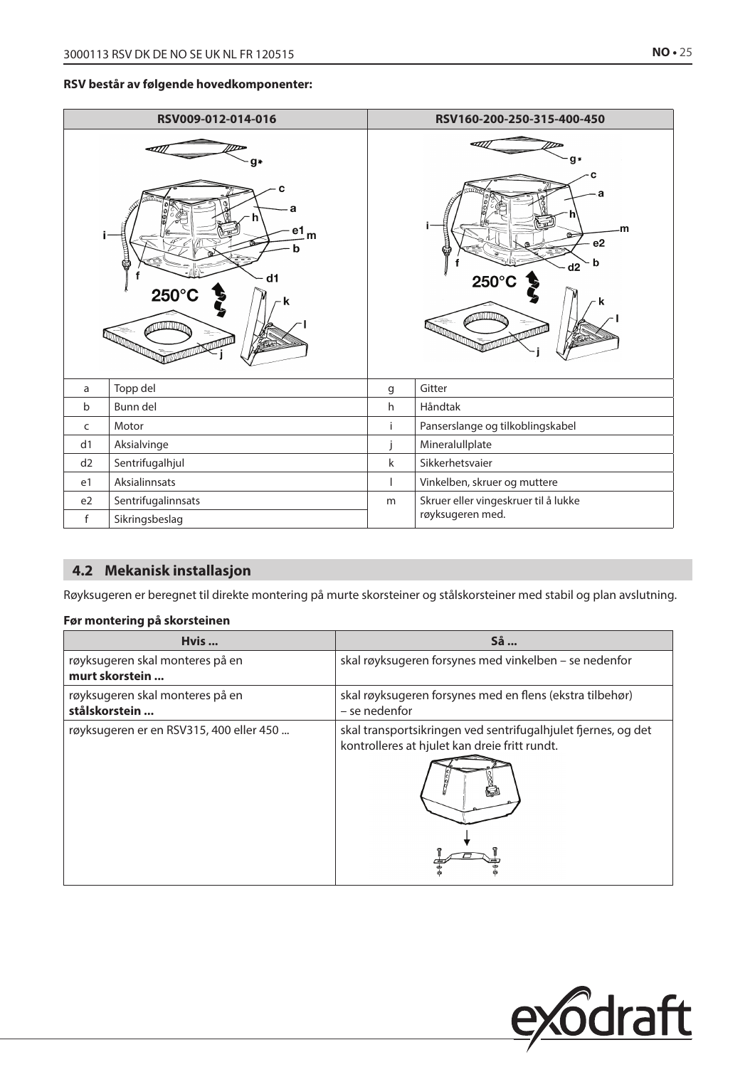#### **RSV består av følgende hovedkomponenter:**

| RSV009-012-014-016 |                                                         | RSV160-200-250-315-400-450 |                                      |
|--------------------|---------------------------------------------------------|----------------------------|--------------------------------------|
|                    | а<br>e <sub>1</sub><br>m<br>h<br>dd1<br>$250^{\circ}$ C |                            | q *<br>m.<br>e2<br>b<br>d2<br>250°C  |
| a                  | Topp del                                                | g                          | Gitter                               |
| b                  | Bunn del                                                | h                          | Håndtak                              |
| C                  | Motor                                                   | i.                         | Panserslange og tilkoblingskabel     |
| d1                 | Aksialvinge                                             |                            | Mineralullplate                      |
| d2                 | Sentrifugalhjul                                         | k                          | Sikkerhetsvaier                      |
| e1                 | Aksialinnsats                                           |                            | Vinkelben, skruer og muttere         |
| e <sub>2</sub>     | Sentrifugalinnsats                                      | m                          | Skruer eller vingeskruer til å lukke |
| $\mathsf{f}$       | Sikringsbeslag                                          |                            | røyksugeren med.                     |

# **4.2 Mekanisk installasjon**

Røyksugeren er beregnet til direkte montering på murte skorsteiner og stålskorsteiner med stabil og plan avslutning.

#### **Før montering på skorsteinen**

| Hvis                                              | $S\aa$                                                                                                         |
|---------------------------------------------------|----------------------------------------------------------------------------------------------------------------|
| røyksugeren skal monteres på en<br>murt skorstein | skal røyksugeren forsynes med vinkelben - se nedenfor                                                          |
| røyksugeren skal monteres på en<br>stålskorstein  | skal røyksugeren forsynes med en flens (ekstra tilbehør)<br>– se nedenfor                                      |
| røyksugeren er en RSV315, 400 eller 450           | skal transportsikringen ved sentrifugalhjulet fjernes, og det<br>kontrolleres at hjulet kan dreie fritt rundt. |

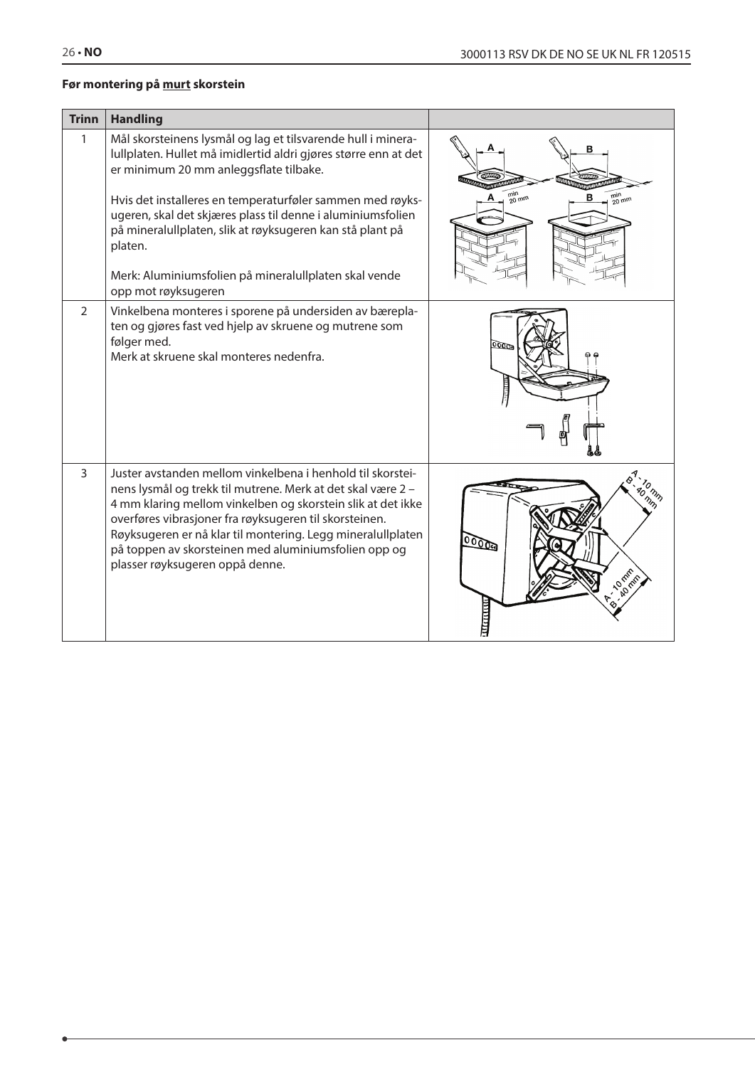#### **Før montering på murt skorstein**

| <b>Trinn</b>   | <b>Handling</b>                                                                                                                                                                                                                                                                                                                                                                                                                                               |                                                    |
|----------------|---------------------------------------------------------------------------------------------------------------------------------------------------------------------------------------------------------------------------------------------------------------------------------------------------------------------------------------------------------------------------------------------------------------------------------------------------------------|----------------------------------------------------|
| $\mathbf{1}$   | Mål skorsteinens lysmål og lag et tilsvarende hull i minera-<br>lullplaten. Hullet må imidlertid aldri gjøres større enn at det<br>er minimum 20 mm anleggsflate tilbake.<br>Hvis det installeres en temperaturføler sammen med røyks-<br>ugeren, skal det skjæres plass til denne i aluminiumsfolien<br>på mineralullplaten, slik at røyksugeren kan stå plant på<br>platen.<br>Merk: Aluminiumsfolien på mineralullplaten skal vende<br>opp mot røyksugeren | в<br>$\frac{min}{20}$ mm<br>nim<br>$20 \text{ mm}$ |
| $\overline{2}$ | Vinkelbena monteres i sporene på undersiden av bærepla-<br>ten og gjøres fast ved hjelp av skruene og mutrene som<br>følger med.<br>Merk at skruene skal monteres nedenfra.                                                                                                                                                                                                                                                                                   | ০০০                                                |
| 3              | Juster avstanden mellom vinkelbena i henhold til skorstei-<br>nens lysmål og trekk til mutrene. Merk at det skal være 2-<br>4 mm klaring mellom vinkelben og skorstein slik at det ikke<br>overføres vibrasjoner fra røyksugeren til skorsteinen.<br>Røyksugeren er nå klar til montering. Legg mineralullplaten<br>på toppen av skorsteinen med aluminiumsfolien opp og<br>plasser røyksugeren oppå denne.                                                   | 6000<br><b>10 mm</b><br><b>AO ran</b>              |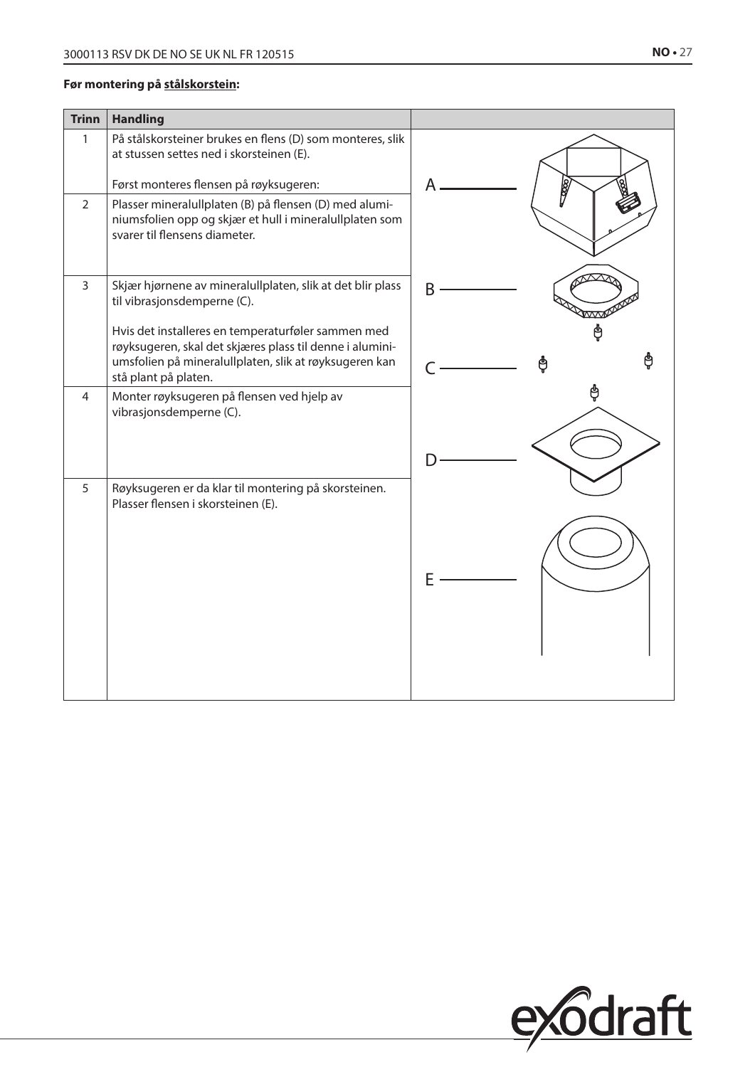# **Før montering på stålskorstein:**

| <b>Trinn</b>   | <b>Handling</b>                                                                                                                                    |        |
|----------------|----------------------------------------------------------------------------------------------------------------------------------------------------|--------|
| 1              | På stålskorsteiner brukes en flens (D) som monteres, slik<br>at stussen settes ned i skorsteinen (E).<br>Først monteres flensen på røyksugeren:    | A      |
| $\overline{2}$ | Plasser mineralullplaten (B) på flensen (D) med alumi-<br>niumsfolien opp og skjær et hull i mineralullplaten som<br>svarer til flensens diameter. |        |
| 3              | Skjær hjørnene av mineralullplaten, slik at det blir plass<br>til vibrasjonsdemperne (C).<br>Hvis det installeres en temperaturføler sammen med    | B<br>ტ |
|                | røyksugeren, skal det skjæres plass til denne i alumini-<br>umsfolien på mineralullplaten, slik at røyksugeren kan<br>stå plant på platen.         | ලී     |
| 4              | Monter røyksugeren på flensen ved hjelp av<br>vibrasjonsdemperne (C).                                                                              | අ      |
| 5              | Røyksugeren er da klar til montering på skorsteinen.<br>Plasser flensen i skorsteinen (E).                                                         |        |
|                |                                                                                                                                                    | E      |

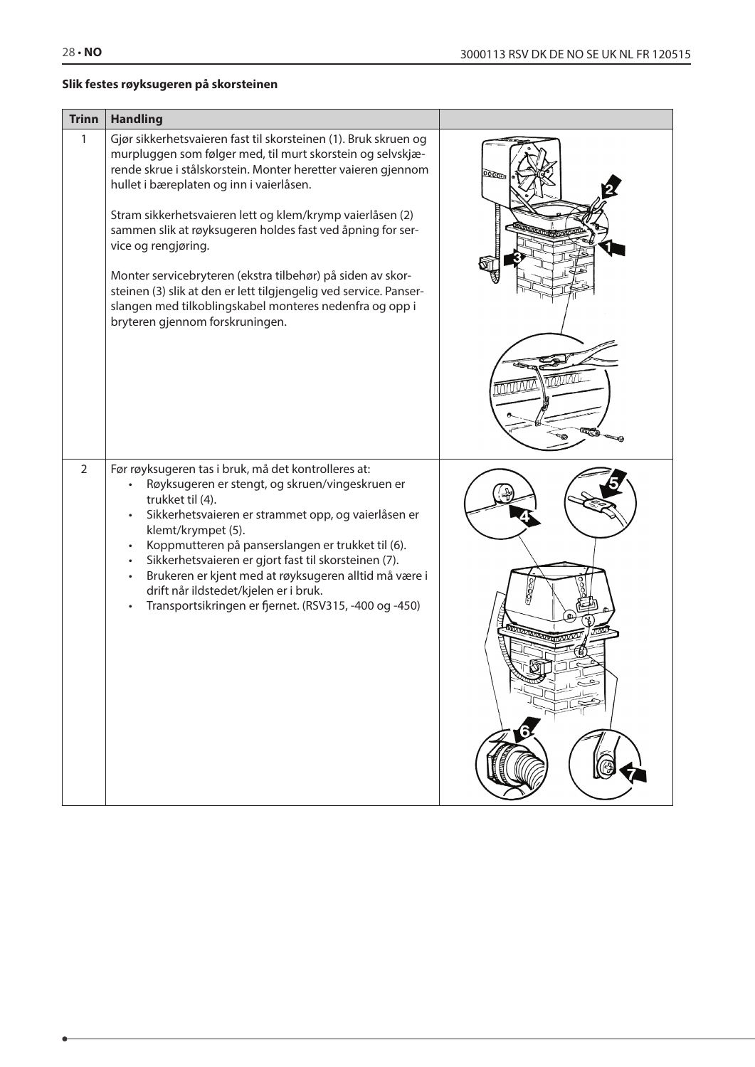| <b>Trinn</b>   | <b>Handling</b>                                                                                                                                                                                                                                                                                                                                                                                                                                                                 |              |
|----------------|---------------------------------------------------------------------------------------------------------------------------------------------------------------------------------------------------------------------------------------------------------------------------------------------------------------------------------------------------------------------------------------------------------------------------------------------------------------------------------|--------------|
| 1              | Gjør sikkerhetsvaieren fast til skorsteinen (1). Bruk skruen og<br>murpluggen som følger med, til murt skorstein og selvskjæ-<br>rende skrue i stålskorstein. Monter heretter vaieren gjennom<br>hullet i bæreplaten og inn i vaierlåsen.                                                                                                                                                                                                                                       | <u> ততেন</u> |
|                | Stram sikkerhetsvaieren lett og klem/krymp vaierlåsen (2)<br>sammen slik at røyksugeren holdes fast ved åpning for ser-<br>vice og rengjøring.                                                                                                                                                                                                                                                                                                                                  |              |
|                | Monter servicebryteren (ekstra tilbehør) på siden av skor-<br>steinen (3) slik at den er lett tilgjengelig ved service. Panser-<br>slangen med tilkoblingskabel monteres nedenfra og opp i<br>bryteren gjennom forskruningen.                                                                                                                                                                                                                                                   |              |
|                |                                                                                                                                                                                                                                                                                                                                                                                                                                                                                 |              |
| $\overline{2}$ | Før røyksugeren tas i bruk, må det kontrolleres at:<br>Røyksugeren er stengt, og skruen/vingeskruen er<br>trukket til (4).<br>Sikkerhetsvaieren er strammet opp, og vaierlåsen er<br>klemt/krympet (5).<br>Koppmutteren på panserslangen er trukket til (6).<br>Sikkerhetsvaieren er gjort fast til skorsteinen (7).<br>Brukeren er kjent med at røyksugeren alltid må være i<br>drift når ildstedet/kjelen er i bruk.<br>Transportsikringen er fjernet. (RSV315, -400 og -450) |              |
|                |                                                                                                                                                                                                                                                                                                                                                                                                                                                                                 | ۳            |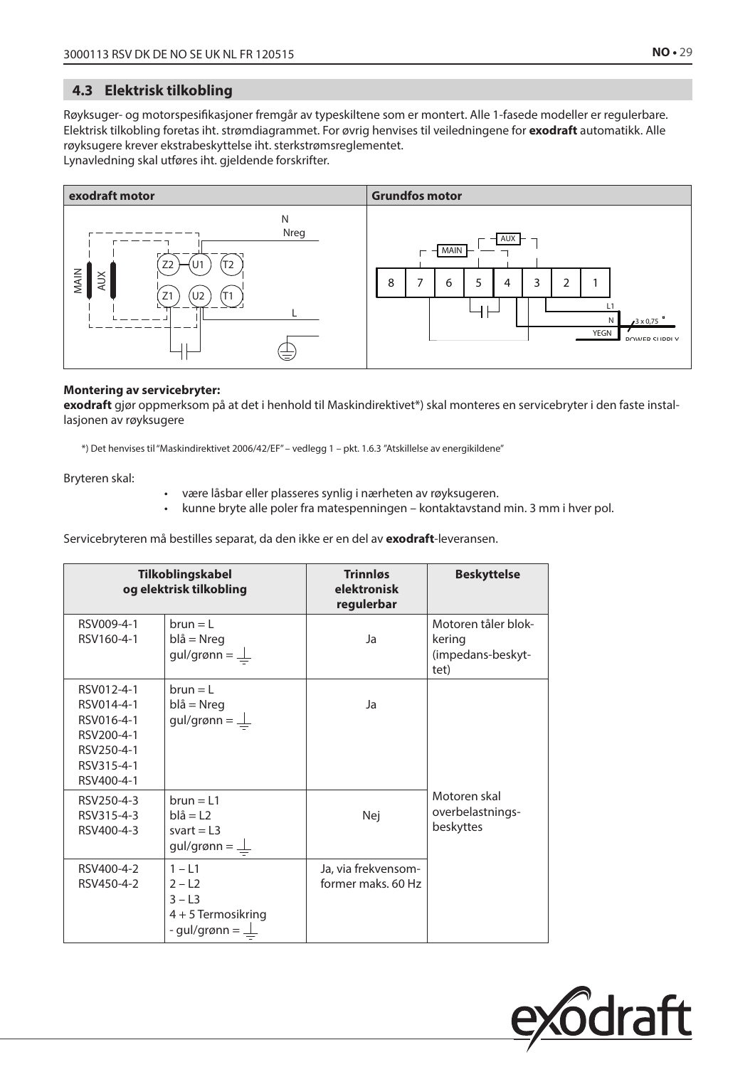## **4.3 Elektrisk tilkobling**

Røyksuger- og motorspesifikasjoner fremgår av typeskiltene som er montert. Alle 1-fasede modeller er regulerbare. Elektrisk tilkobling foretas iht. strømdiagrammet. For øvrig henvises til veiledningene for **exodraft** automatikk. Alle røyksugere krever ekstrabeskyttelse iht. sterkstrømsreglementet.

Lynavledning skal utføres iht. gjeldende forskrifter.



#### **Montering av servicebryter:**

**exodraft** gjør oppmerksom på at det i henhold til Maskindirektivet\*) skal monteres en servicebryter i den faste installasjonen av røyksugere

\*) Det henvises til "Maskindirektivet 2006/42/EF" – vedlegg 1 – pkt. 1.6.3 "Atskillelse av energikildene"

Bryteren skal:

- være låsbar eller plasseres synlig i nærheten av røyksugeren.
- kunne bryte alle poler fra matespenningen kontaktavstand min. 3 mm i hver pol.

Servicebryteren må bestilles separat, da den ikke er en del av **exodraft**-leveransen.

|                                                                                                | Tilkoblingskabel<br>og elektrisk tilkobling                                   | <b>Trinnløs</b><br>elektronisk<br>regulerbar | <b>Beskyttelse</b>                                         |
|------------------------------------------------------------------------------------------------|-------------------------------------------------------------------------------|----------------------------------------------|------------------------------------------------------------|
| RSV009-4-1<br>RSV160-4-1                                                                       | $hrun = 1$<br>$blå = Nreg$<br>gul/grønn = $\perp$                             | Ja                                           | Motoren tåler blok-<br>kering<br>(impedans-beskyt-<br>tet) |
| RSV012-4-1<br>RSV014-4-1<br>RSV016-4-1<br>RSV200-4-1<br>RSV250-4-1<br>RSV315-4-1<br>RSV400-4-1 | $brun = L$<br>blå = Nreg<br>gul/grønn = $\perp$                               | Ja                                           |                                                            |
| RSV250-4-3<br>RSV315-4-3<br>RSV400-4-3                                                         | $brun = 11$<br>$h\lambda = 12$<br>svart = $L3$<br>gul/grønn = $\perp$         | Nej                                          | Motoren skal<br>overbelastnings-<br>beskyttes              |
| RSV400-4-2<br>RSV450-4-2                                                                       | $1 - L1$<br>$2 - L2$<br>$3 - L3$<br>$4 + 5$ Termosikring<br>- gul/grønn $=$ . | Ja, via frekvensom-<br>former maks, 60 Hz    |                                                            |

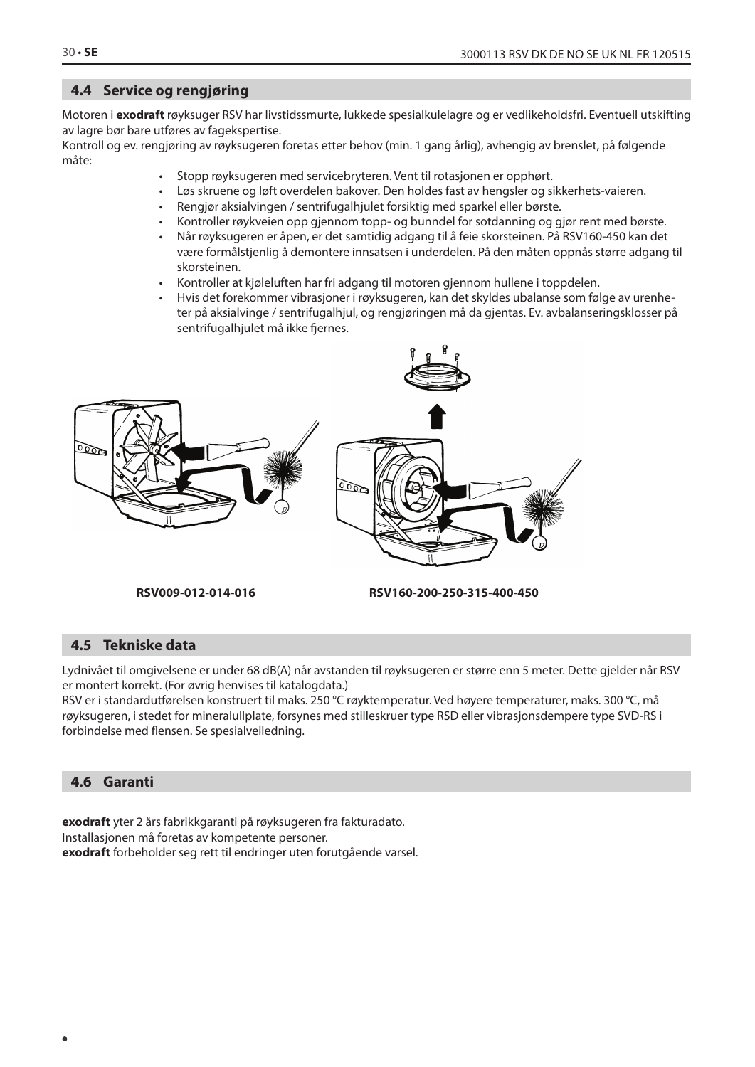#### **4.4 Service og rengjøring**

Motoren i **exodraft** røyksuger RSV har livstidssmurte, lukkede spesialkulelagre og er vedlikeholdsfri. Eventuell utskifting av lagre bør bare utføres av fagekspertise.

Kontroll og ev. rengjøring av røyksugeren foretas etter behov (min. 1 gang årlig), avhengig av brenslet, på følgende måte:

- Stopp røyksugeren med servicebryteren. Vent til rotasjonen er opphørt.
- Løs skruene og løft overdelen bakover. Den holdes fast av hengsler og sikkerhets-vaieren.
- Rengjør aksialvingen / sentrifugalhjulet forsiktig med sparkel eller børste.
- Kontroller røykveien opp gjennom topp- og bunndel for sotdanning og gjør rent med børste.
- Når røyksugeren er åpen, er det samtidig adgang til å feie skorsteinen. På RSV160-450 kan det være formålstjenlig å demontere innsatsen i underdelen. På den måten oppnås større adgang til skorsteinen.
- Kontroller at kjøleluften har fri adgang til motoren gjennom hullene i toppdelen.
- Hvis det forekommer vibrasjoner i røyksugeren, kan det skyldes ubalanse som følge av urenheter på aksialvinge / sentrifugalhjul, og rengjøringen må da gjentas. Ev. avbalanseringsklosser på sentrifugalhjulet må ikke fjernes.



# **4.5 Tekniske data**

Lydnivået til omgivelsene er under 68 dB(A) når avstanden til røyksugeren er større enn 5 meter. Dette gjelder når RSV er montert korrekt. (For øvrig henvises til katalogdata.)

RSV er i standardutførelsen konstruert til maks. 250 °C røyktemperatur. Ved høyere temperaturer, maks. 300 °C, må røyksugeren, i stedet for mineralullplate, forsynes med stilleskruer type RSD eller vibrasjonsdempere type SVD-RS i forbindelse med flensen. Se spesialveiledning.

#### **4.6 Garanti**

**exodraft** yter 2 års fabrikkgaranti på røyksugeren fra fakturadato. Installasjonen må foretas av kompetente personer. **exodraft** forbeholder seg rett til endringer uten forutgående varsel.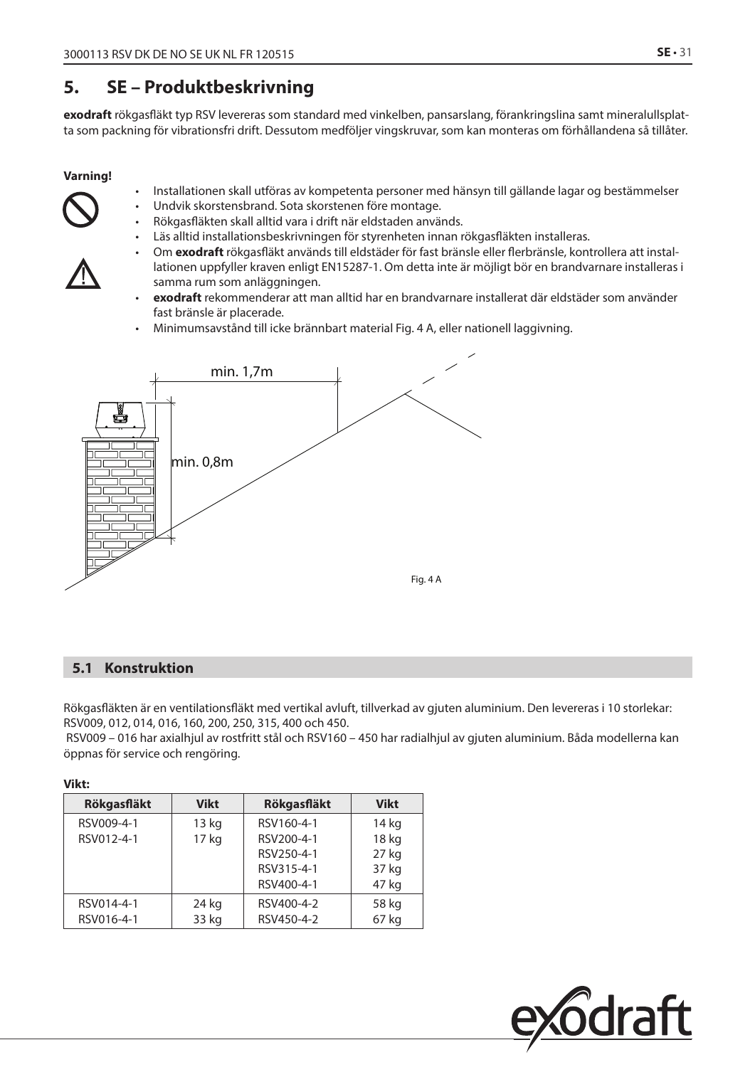# **5. SE – Produktbeskrivning**

**exodraft** rökgasläkt typ RSV levereras som standard med vinkelben, pansarslang, förankringslina samt mineralullsplatta som packning för vibrationsfri drift. Dessutom medföljer vingskruvar, som kan monteras om förhållandena så tillåter.

#### **Varning!**

- Installationen skall utföras av kompetenta personer med hänsyn till gällande lagar og bestämmelser
- Undvik skorstensbrand. Sota skorstenen före montage.
- Rökgasfläkten skall alltid vara i drift när eldstaden används.
- Läs alltid installationsbeskrivningen för styrenheten innan rökgasläkten installeras.
- Om **exodraft** rökgasläkt används till eldstäder för fast bränsle eller lerbränsle, kontrollera att installationen uppfyller kraven enligt EN15287-1. Om detta inte är möjligt bör en brandvarnare installeras i samma rum som anläggningen.
- **exodraft** rekommenderar att man alltid har en brandvarnare installerat där eldstäder som använder fast bränsle är placerade.
- Minimumsavstånd till icke brännbart material Fig. 4 A, eller nationell laggivning.



# **5.1 Konstruktion**

Rökgasfläkten är en ventilationsfläkt med vertikal avluft, tillverkad av gjuten aluminium. Den levereras i 10 storlekar: RSV009, 012, 014, 016, 160, 200, 250, 315, 400 och 450.

 RSV009 – 016 har axialhjul av rostfritt stål och RSV160 – 450 har radialhjul av gjuten aluminium. Båda modellerna kan öppnas för service och rengöring.

| Rökgasfläkt | <b>Vikt</b> | Rökgasfläkt | <b>Vikt</b> |
|-------------|-------------|-------------|-------------|
| RSV009-4-1  | 13 kg       | RSV160-4-1  | 14 kg       |
| RSV012-4-1  | 17 kg       | RSV200-4-1  | 18 kg       |
|             |             | RSV250-4-1  | 27 kg       |
|             |             | RSV315-4-1  | 37 kg       |
|             |             | RSV400-4-1  | 47 kg       |
| RSV014-4-1  | 24 kg       | RSV400-4-2  | 58 kg       |
| RSV016-4-1  | 33 kg       | RSV450-4-2  | 67 kg       |

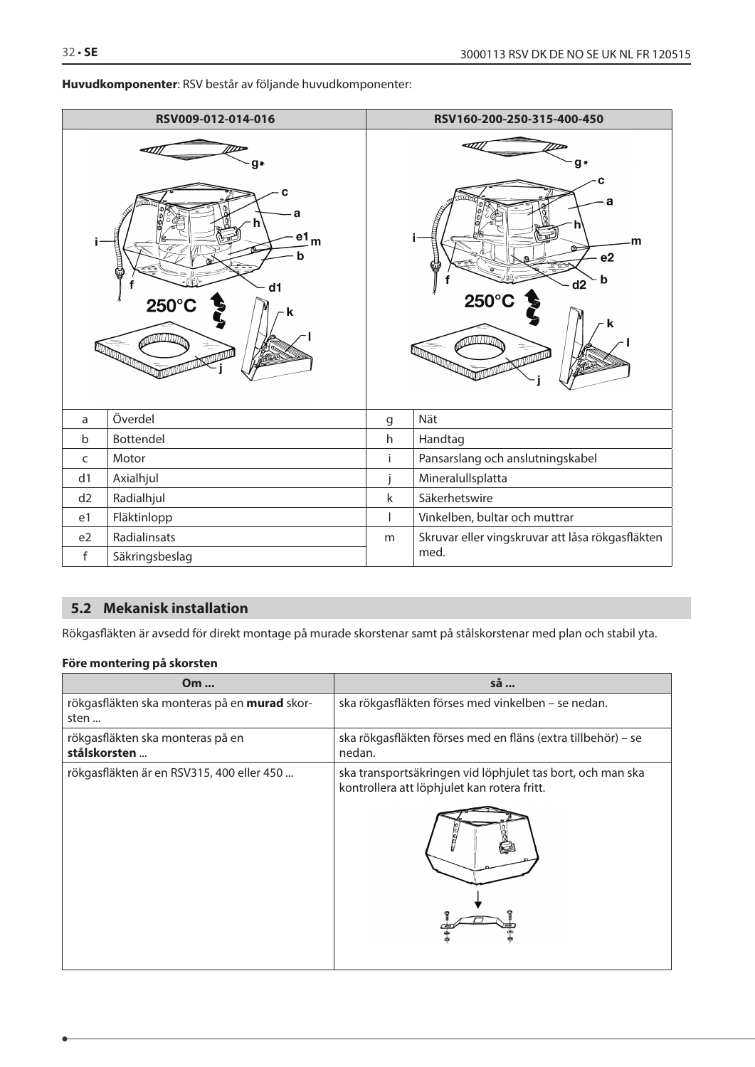**Huvudkomponenter**: RSV består av följande huvudkomponenter:

| RSV009-012-014-016              |                | RSV160-200-250-315-400-450                        |                                                  |
|---------------------------------|----------------|---------------------------------------------------|--------------------------------------------------|
| m<br>b<br>d1<br>$250^{\circ}$ C |                | C<br>٠m<br>ര-<br>e2<br>b<br>d2<br>$250^{\circ}$ C |                                                  |
| a                               | Överdel        | g                                                 | Nät                                              |
| $\mathsf b$                     | Bottendel      | h                                                 | Handtag                                          |
| C                               | Motor          | i                                                 | Pansarslang och anslutningskabel                 |
| d1                              | Axialhjul      |                                                   | Mineralullsplatta                                |
| d2                              | Radialhjul     | $\mathsf k$                                       | Säkerhetswire                                    |
| e1                              | Fläktinlopp    |                                                   | Vinkelben, bultar och muttrar                    |
| e2                              | Radialinsats   | m                                                 | Skruvar eller vingskruvar att låsa rökgasfläkten |
| $\sf f$                         | Säkringsbeslag |                                                   | med.                                             |

# **5.2 Mekanisk installation**

Rökgasfläkten är avsedd för direkt montage på murade skorstenar samt på stålskorstenar med plan och stabil yta.

#### **Före montering på skorsten**

| Om                                                   | så                                                                                                        |
|------------------------------------------------------|-----------------------------------------------------------------------------------------------------------|
| rökgasfläkten ska monteras på en murad skor-<br>sten | ska rökgasfläkten förses med vinkelben - se nedan.                                                        |
| rökgasfläkten ska monteras på en<br>stålskorsten     | ska rökgasfläkten förses med en fläns (extra tillbehör) – se<br>nedan.                                    |
| rökgasfläkten är en RSV315, 400 eller 450            | ska transportsäkringen vid löphjulet tas bort, och man ska<br>kontrollera att löphjulet kan rotera fritt. |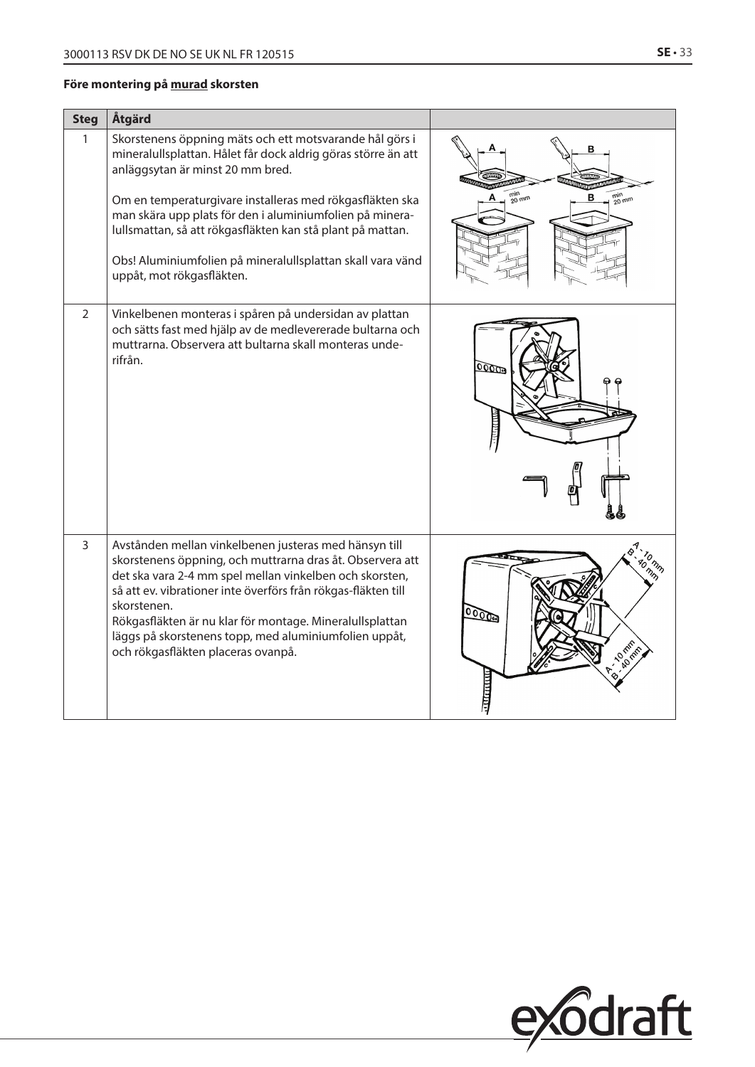#### **Före montering på murad skorsten**

**Steg Åtgärd**

| e montering på murad skorsten |                                                                                                                                                                                    |                                        |  |
|-------------------------------|------------------------------------------------------------------------------------------------------------------------------------------------------------------------------------|----------------------------------------|--|
| teg                           | <b>Åtgärd</b>                                                                                                                                                                      |                                        |  |
| $\mathbf{1}$                  | Skorstenens öppning mäts och ett motsvarande hål görs i<br>mineralullsplattan. Hålet får dock aldrig göras större än att<br>anläggsytan är minst 20 mm bred.                       | в                                      |  |
|                               | Om en temperaturgivare installeras med rökgasfläkten ska<br>man skära upp plats för den i aluminiumfolien på minera-<br>lullsmattan, så att rökgasfläkten kan stå plant på mattan. | $\frac{m}{20}$ mm<br>$\frac{m}{20}$ mm |  |

|                | anläggsytan är minst 20 mm bred.<br>Om en temperaturgivare installeras med rökgasfläkten ska<br>man skära upp plats för den i aluminiumfolien på minera-<br>lullsmattan, så att rökgasfläkten kan stå plant på mattan.<br>Obs! Aluminiumfolien på mineralullsplattan skall vara vänd<br>uppåt, mot rökgasfläkten.                                                                                                        | $\frac{\text{min}}{20}$ mm<br>$\frac{min}{20}$ mm |
|----------------|--------------------------------------------------------------------------------------------------------------------------------------------------------------------------------------------------------------------------------------------------------------------------------------------------------------------------------------------------------------------------------------------------------------------------|---------------------------------------------------|
| $\overline{2}$ | Vinkelbenen monteras i spåren på undersidan av plattan<br>och sätts fast med hjälp av de medlevererade bultarna och<br>muttrarna. Observera att bultarna skall monteras unde-<br>rifrån.                                                                                                                                                                                                                                 | $\overline{\text{000m}}$                          |
| $\overline{3}$ | Avstånden mellan vinkelbenen justeras med hänsyn till<br>skorstenens öppning, och muttrarna dras åt. Observera att<br>det ska vara 2-4 mm spel mellan vinkelben och skorsten,<br>så att ev. vibrationer inte överförs från rökgas-fläkten till<br>skorstenen.<br>Rökgasfläkten är nu klar för montage. Mineralullsplattan<br>läggs på skorstenens topp, med aluminiumfolien uppåt,<br>och rökgasfläkten placeras ovanpå. | AD mm<br>0000<br><b>LO mm</b>                     |

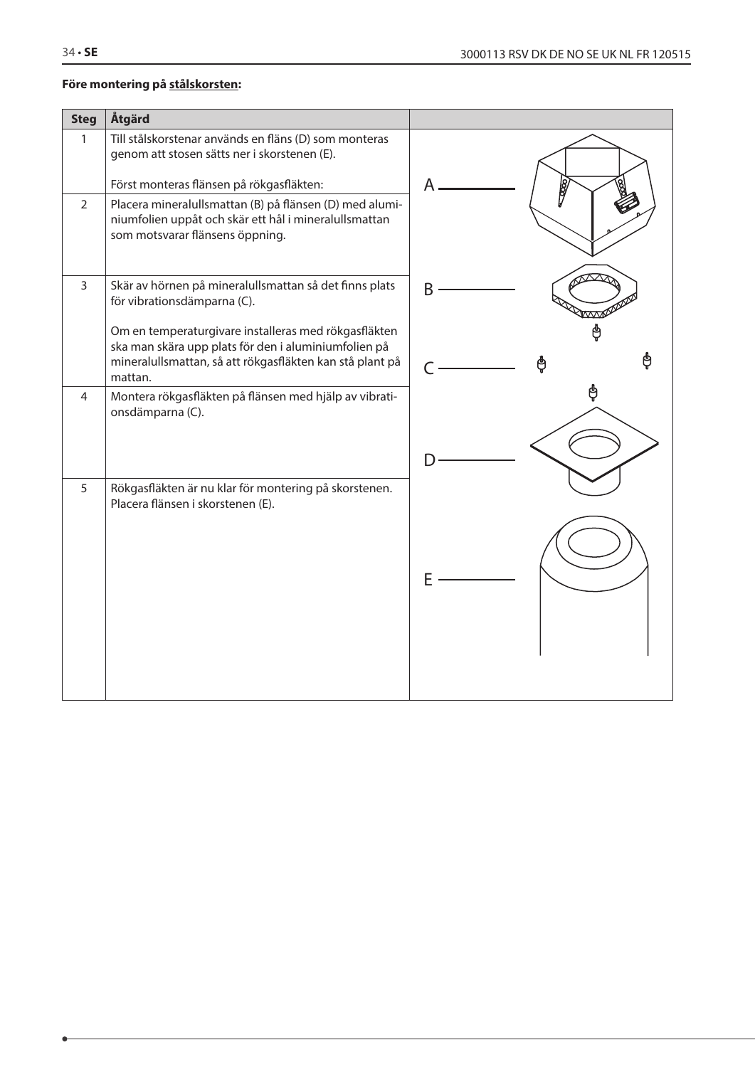# **Före montering på stålskorsten:**

| <b>Steg</b>    | Åtgärd                                                                                                                                              |   |
|----------------|-----------------------------------------------------------------------------------------------------------------------------------------------------|---|
| 1              | Till stålskorstenar används en fläns (D) som monteras<br>genom att stosen sätts ner i skorstenen (E).<br>Först monteras flänsen på rökgasfläkten:   |   |
| $\overline{2}$ | Placera mineralullsmattan (B) på flänsen (D) med alumi-<br>niumfolien uppåt och skär ett hål i mineralullsmattan<br>som motsvarar flänsens öppning. |   |
| $\overline{3}$ | Skär av hörnen på mineralullsmattan så det finns plats<br>för vibrationsdämparna (C).<br>Om en temperaturgivare installeras med rökgasfläkten       |   |
|                | ska man skära upp plats för den i aluminiumfolien på<br>mineralullsmattan, så att rökgasfläkten kan stå plant på<br>mattan.                         | ტ |
| $\overline{4}$ | Montera rökgasfläkten på flänsen med hjälp av vibrati-<br>onsdämparna (C).                                                                          | ტ |
| 5              | Rökgasfläkten är nu klar för montering på skorstenen.<br>Placera flänsen i skorstenen (E).                                                          |   |
|                |                                                                                                                                                     |   |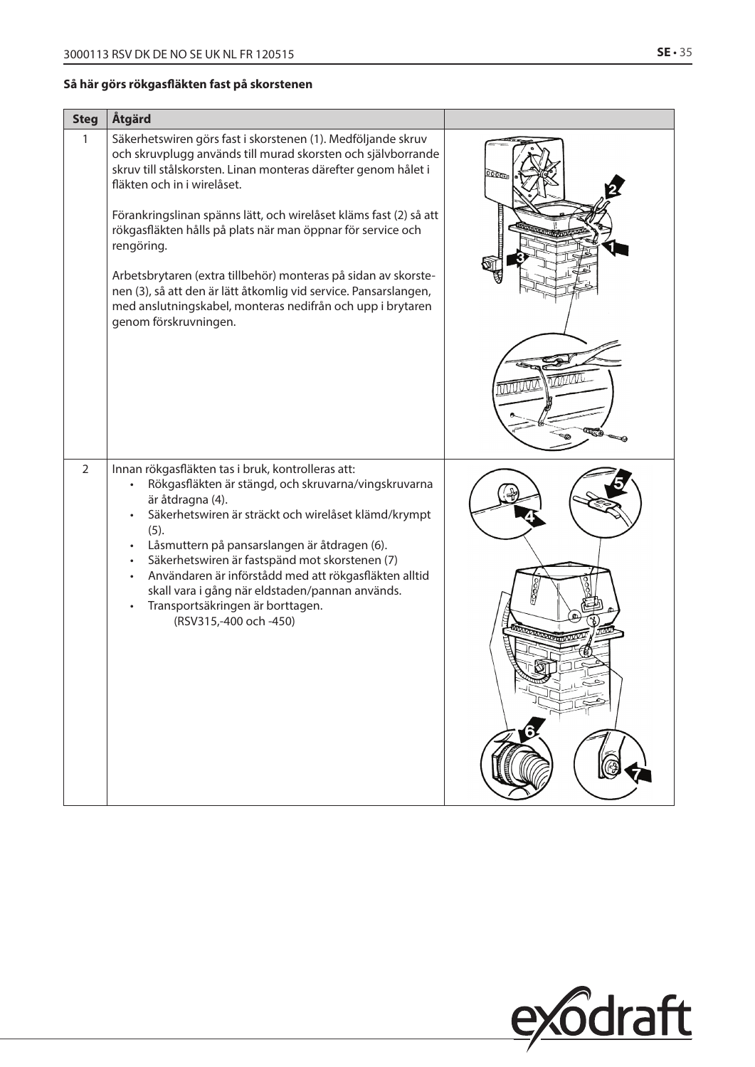#### **Så här görs rökgasläkten fast på skorstenen**

| <b>Steg</b>    | Åtgärd                                                                                                                                                                                                                                                                                                                                                                                                                                                                                                             |                                            |
|----------------|--------------------------------------------------------------------------------------------------------------------------------------------------------------------------------------------------------------------------------------------------------------------------------------------------------------------------------------------------------------------------------------------------------------------------------------------------------------------------------------------------------------------|--------------------------------------------|
| 1              | Säkerhetswiren görs fast i skorstenen (1). Medföljande skruv<br>och skruvplugg används till murad skorsten och självborrande<br>skruv till stålskorsten. Linan monteras därefter genom hålet i<br>fläkten och in i wirelåset.                                                                                                                                                                                                                                                                                      | $\frac{50000}{20000000000000000000000000}$ |
|                | Förankringslinan spänns lätt, och wirelåset kläms fast (2) så att<br>rökgasfläkten hålls på plats när man öppnar för service och<br>rengöring.                                                                                                                                                                                                                                                                                                                                                                     |                                            |
|                | Arbetsbrytaren (extra tillbehör) monteras på sidan av skorste-<br>nen (3), så att den är lätt åtkomlig vid service. Pansarslangen,<br>med anslutningskabel, monteras nedifrån och upp i brytaren<br>genom förskruvningen.                                                                                                                                                                                                                                                                                          |                                            |
|                |                                                                                                                                                                                                                                                                                                                                                                                                                                                                                                                    | WINNA                                      |
| $\overline{2}$ | Innan rökgasfläkten tas i bruk, kontrolleras att:<br>Rökgasfläkten är stängd, och skruvarna/vingskruvarna<br>$\bullet$<br>är åtdragna (4).<br>Säkerhetswiren är sträckt och wirelåset klämd/krympt<br>٠<br>(5).<br>Låsmuttern på pansarslangen är åtdragen (6).<br>٠<br>Säkerhetswiren är fastspänd mot skorstenen (7)<br>Användaren är införstådd med att rökgasfläkten alltid<br>٠<br>skall vara i gång när eldstaden/pannan används.<br>Transportsäkringen är borttagen.<br>$\bullet$<br>(RSV315,-400 och -450) |                                            |

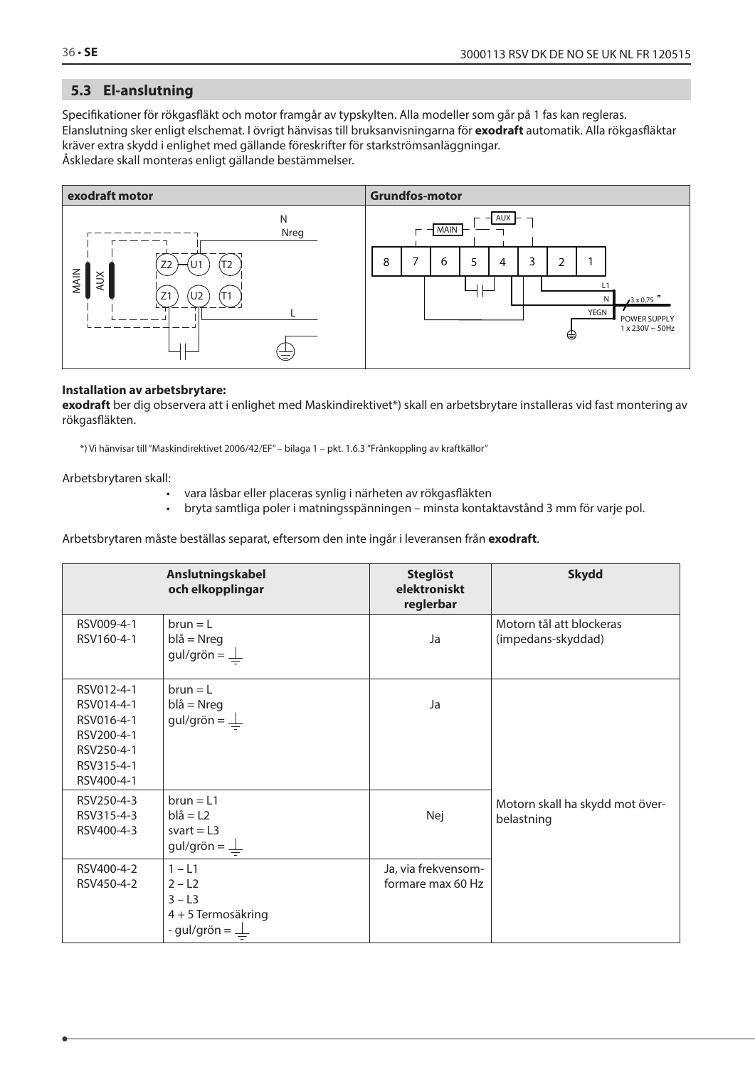## **5.3 El-anslutning**

Specifikationer för rökgasfläkt och motor framgår av typskylten. Alla modeller som går på 1 fas kan regleras. Elanslutning sker enligt elschemat. I övrigt hänvisas till bruksanvisningarna för **exodraft** automatik. Alla rökgasläktar kräver extra skydd i enlighet med gällande föreskrifter för starkströmsanläggningar. Åskledare skall monteras enligt gällande bestämmelser.



#### **Installation av arbetsbrytare:**

**exodraft** ber dig observera att i enlighet med Maskindirektivet\*) skall en arbetsbrytare installeras vid fast montering av rökgasfläkten.

\*) Vi hänvisar till "Maskindirektivet 2006/42/EF" – bilaga 1 – pkt. 1.6.3 "Frånkoppling av kraftkällor"

Arbetsbrytaren skall:

- vara låsbar eller placeras synlig i närheten av rökgasfläkten
- bryta samtliga poler i matningsspänningen minsta kontaktavstånd 3 mm för varje pol.

Arbetsbrytaren måste beställas separat, eftersom den inte ingår i leveransen från **exodraft**.

|                                                                                                | Anslutningskabel<br>och elkopplingar                                           | <b>Steglöst</b><br>elektroniskt<br>reglerbar | <b>Skydd</b>                                   |
|------------------------------------------------------------------------------------------------|--------------------------------------------------------------------------------|----------------------------------------------|------------------------------------------------|
| RSV009-4-1<br>RSV160-4-1                                                                       | $brun = 1$<br>$blå = Nreg$<br>gul/grön = $\perp$                               | Ja                                           | Motorn tål att blockeras<br>(impedans-skyddad) |
| RSV012-4-1<br>RSV014-4-1<br>RSV016-4-1<br>RSV200-4-1<br>RSV250-4-1<br>RSV315-4-1<br>RSV400-4-1 | $brun = L$<br>$blå = Nreg$<br>gul/grön = $\perp$                               | Ja                                           |                                                |
| RSV250-4-3<br>RSV315-4-3<br>RSV400-4-3                                                         | $brun = L1$<br>$bl\aa = L2$<br>svart = $L3$<br>gul/grön = $\perp$              | Nej                                          | Motorn skall ha skydd mot över-<br>belastning  |
| RSV400-4-2<br>RSV450-4-2                                                                       | $1 - L1$<br>$2 - L2$<br>$3 - L3$<br>4 + 5 Termosäkring<br>- gul/grön = $\perp$ | Ja, via frekvensom-<br>formare max 60 Hz     |                                                |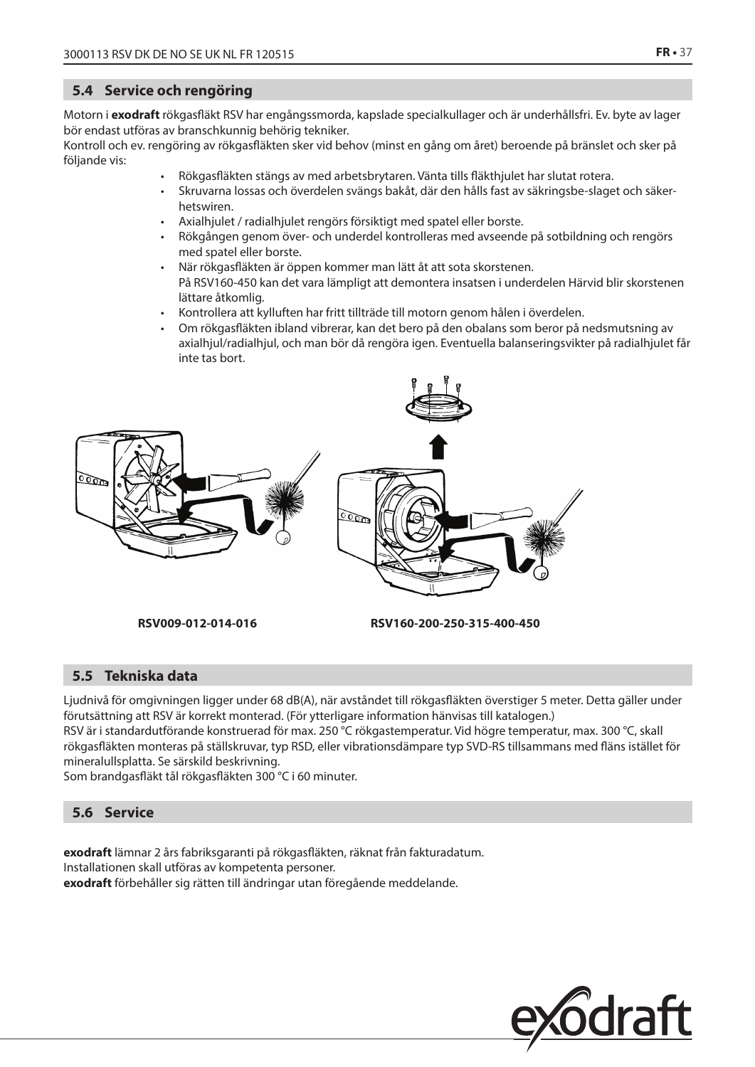#### **5.4 Service och rengöring**

Motorn i **exodraft** rökgasläkt RSV har engångssmorda, kapslade specialkullager och är underhållsfri. Ev. byte av lager bör endast utföras av branschkunnig behörig tekniker.

Kontroll och ev. rengöring av rökgasfläkten sker vid behov (minst en gång om året) beroende på bränslet och sker på följande vis:

- Rökgasfläkten stängs av med arbetsbrytaren. Vänta tills fläkthjulet har slutat rotera.
- Skruvarna lossas och överdelen svängs bakåt, där den hålls fast av säkringsbe-slaget och säkerhetswiren.
- Axialhjulet / radialhjulet rengörs försiktigt med spatel eller borste.
- Rökgången genom över- och underdel kontrolleras med avseende på sotbildning och rengörs med spatel eller borste.
- När rökgasfläkten är öppen kommer man lätt åt att sota skorstenen.
- På RSV160-450 kan det vara lämpligt att demontera insatsen i underdelen Härvid blir skorstenen lättare åtkomlig.
- Kontrollera att kylluften har fritt tillträde till motorn genom hålen i överdelen.
- Om rökgasläkten ibland vibrerar, kan det bero på den obalans som beror på nedsmutsning av axialhjul/radialhjul, och man bör då rengöra igen. Eventuella balanseringsvikter på radialhjulet får inte tas bort.



 **RSV009-012-014-016 RSV160-200-250-315-400-450**

#### **5.5 Tekniska data**

Ljudnivå för omgivningen ligger under 68 dB(A), när avståndet till rökgasläkten överstiger 5 meter. Detta gäller under förutsättning att RSV är korrekt monterad. (För ytterligare information hänvisas till katalogen.)

RSV är i standardutförande konstruerad för max. 250 °C rökgastemperatur. Vid högre temperatur, max. 300 °C, skall rökgasläkten monteras på ställskruvar, typ RSD, eller vibrationsdämpare typ SVD-RS tillsammans med läns istället för mineralullsplatta. Se särskild beskrivning.

Som brandgasfläkt tål rökgasfläkten 300 °C i 60 minuter.

#### **5.6 Service**

**exodraft** lämnar 2 års fabriksgaranti på rökgasläkten, räknat från fakturadatum. Installationen skall utföras av kompetenta personer. **exodraft** förbehåller sig rätten till ändringar utan föregående meddelande.

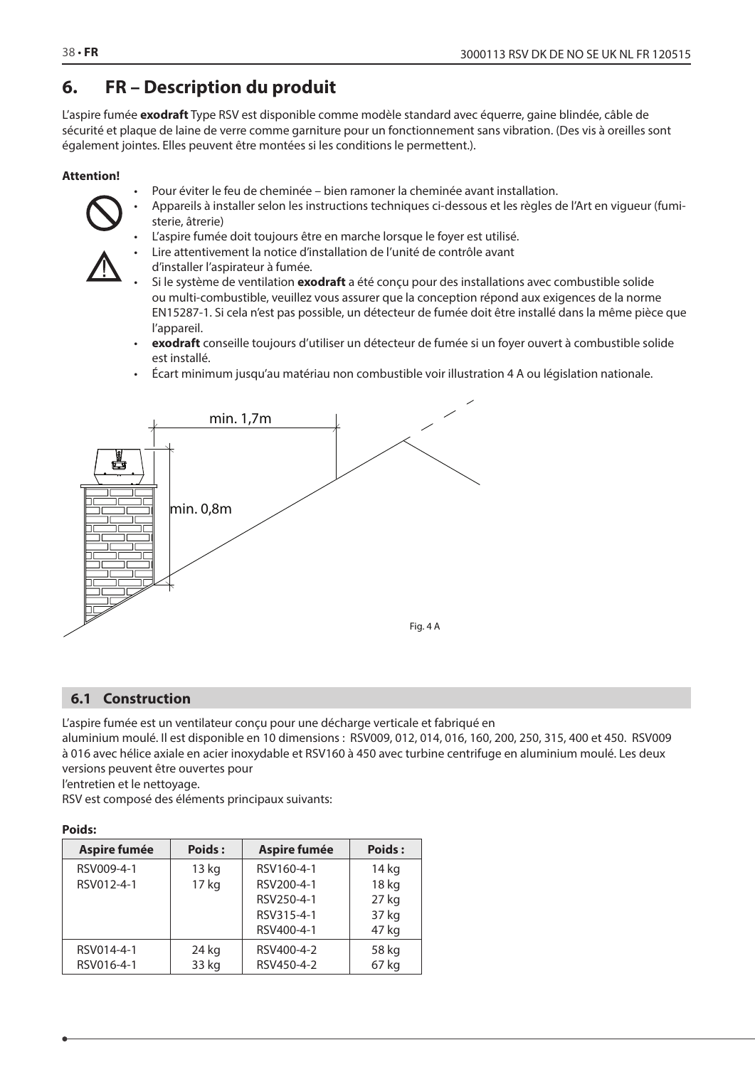# **6. FR – Description du produit**

L'aspire fumée **exodraft** Type RSV est disponible comme modèle standard avec équerre, gaine blindée, câble de sécurité et plaque de laine de verre comme garniture pour un fonctionnement sans vibration. (Des vis à oreilles sont également jointes. Elles peuvent être montées si les conditions le permettent.).

#### **Attention!**

- Pour éviter le feu de cheminée bien ramoner la cheminée avant installation.
- Appareils à installer selon les instructions techniques ci-dessous et les règles de l'Art en vigueur (fumisterie, âtrerie)
- L'aspire fumée doit toujours être en marche lorsque le foyer est utilisé.
- Lire attentivement la notice d'installation de l'unité de contrôle avant
- d'installer l'aspirateur à fumée.
- Si le système de ventilation **exodraft** a été conçu pour des installations avec combustible solide ou multi-combustible, veuillez vous assurer que la conception répond aux exigences de la norme EN15287-1. Si cela n'est pas possible, un détecteur de fumée doit être installé dans la même pièce que l'appareil.
- **exodraft** conseille toujours d'utiliser un détecteur de fumée si un foyer ouvert à combustible solide est installé.
- Écart minimum jusqu'au matériau non combustible voir illustration 4 A ou législation nationale.



# **6.1 Construction**

L'aspire fumée est un ventilateur conçu pour une décharge verticale et fabriqué en

aluminium moulé. Il est disponible en 10 dimensions : RSV009, 012, 014, 016, 160, 200, 250, 315, 400 et 450. RSV009 à 016 avec hélice axiale en acier inoxydable et RSV160 à 450 avec turbine centrifuge en aluminium moulé. Les deux versions peuvent être ouvertes pour

l'entretien et le nettoyage.

RSV est composé des éléments principaux suivants:

#### **Poids:**

| Aspire fumée | Poids: | Aspire fumée | <b>Poids:</b> |
|--------------|--------|--------------|---------------|
| RSV009-4-1   | 13 kg  | RSV160-4-1   | 14 kg         |
| RSV012-4-1   | 17 kg  | RSV200-4-1   | 18 kg         |
|              |        | RSV250-4-1   | 27 kg         |
|              |        | RSV315-4-1   | 37 kg         |
|              |        | RSV400-4-1   | 47 kg         |
| RSV014-4-1   | 24 kg  | RSV400-4-2   | 58 kg         |
| RSV016-4-1   | 33 kg  | RSV450-4-2   | 67 kg         |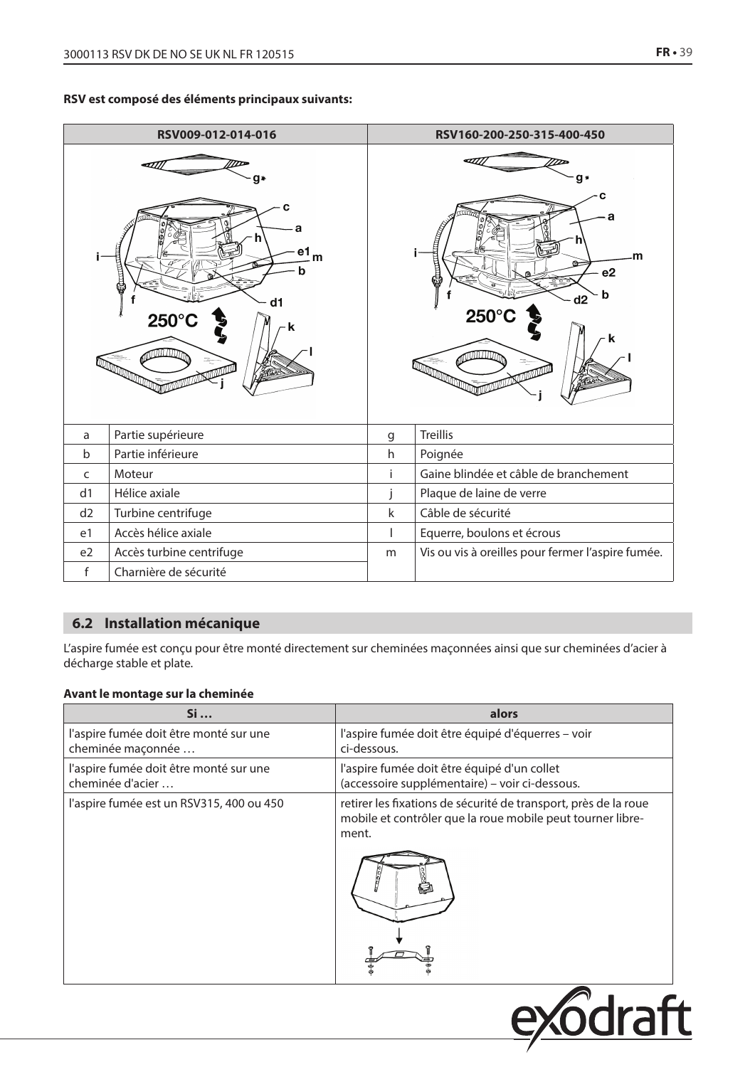**RSV est composé des éléments principaux suivants:**

| RSV009-012-014-016         |                          | RSV160-200-250-315-400-450 |                                                   |
|----------------------------|--------------------------|----------------------------|---------------------------------------------------|
| m<br>d1<br>$250^{\circ}$ C |                          |                            | m<br>e2<br>b<br>d2<br>$250^{\circ}$ C             |
| a                          | Partie supérieure        | $\mathsf g$                | <b>Treillis</b>                                   |
| b                          | Partie inférieure        | h                          | Poignée                                           |
| C                          | Moteur                   |                            | Gaine blindée et câble de branchement             |
| d1                         | Hélice axiale            |                            | Plaque de laine de verre                          |
| d2                         | Turbine centrifuge       | $\mathsf k$                | Câble de sécurité                                 |
| e1                         | Accès hélice axiale      |                            | Equerre, boulons et écrous                        |
| e2                         | Accès turbine centrifuge | m                          | Vis ou vis à oreilles pour fermer l'aspire fumée. |
| f                          | Charnière de sécurité    |                            |                                                   |

#### **6.2 Installation mécanique**

L'aspire fumée est conçu pour être monté directement sur cheminées maçonnées ainsi que sur cheminées d'acier à décharge stable et plate.

#### **Avant le montage sur la cheminée**

| Si                                       | alors                                                                                                                                  |
|------------------------------------------|----------------------------------------------------------------------------------------------------------------------------------------|
| l'aspire fumée doit être monté sur une   | l'aspire fumée doit être équipé d'équerres - voir                                                                                      |
| cheminée maçonnée                        | ci-dessous.                                                                                                                            |
| l'aspire fumée doit être monté sur une   | l'aspire fumée doit être équipé d'un collet                                                                                            |
| cheminée d'acier                         | (accessoire supplémentaire) - voir ci-dessous.                                                                                         |
| l'aspire fumée est un RSV315, 400 ou 450 | retirer les fixations de sécurité de transport, près de la roue<br>mobile et contrôler que la roue mobile peut tourner libre-<br>ment. |

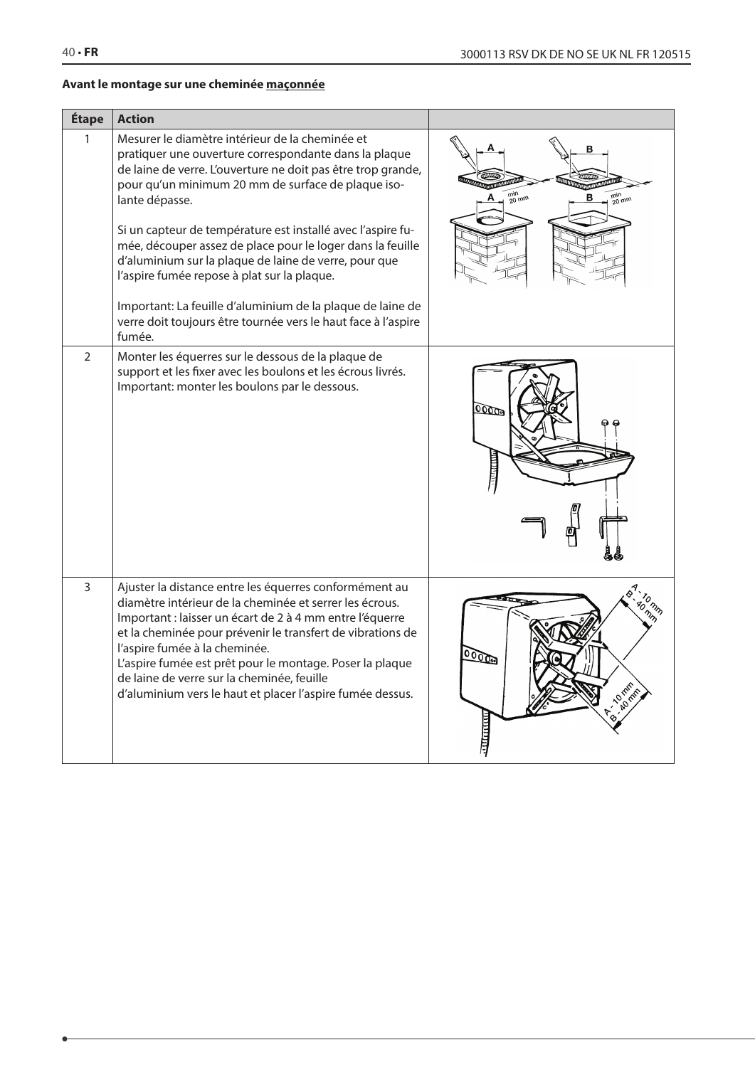# **Avant le montage sur une cheminée maçonnée**

| Étape | <b>Action</b>                                                                                                                                                                                                                                                                                                                                                                                                                                                                                                                                                                                                                  |                                                  |
|-------|--------------------------------------------------------------------------------------------------------------------------------------------------------------------------------------------------------------------------------------------------------------------------------------------------------------------------------------------------------------------------------------------------------------------------------------------------------------------------------------------------------------------------------------------------------------------------------------------------------------------------------|--------------------------------------------------|
| 1     | Mesurer le diamètre intérieur de la cheminée et<br>pratiquer une ouverture correspondante dans la plaque<br>de laine de verre. L'ouverture ne doit pas être trop grande,<br>pour qu'un minimum 20 mm de surface de plaque iso-<br>lante dépasse.<br>Si un capteur de température est installé avec l'aspire fu-<br>mée, découper assez de place pour le loger dans la feuille<br>d'aluminium sur la plaque de laine de verre, pour que<br>l'aspire fumée repose à plat sur la plaque.<br>Important: La feuille d'aluminium de la plaque de laine de<br>verre doit toujours être tournée vers le haut face à l'aspire<br>fumée. | в<br>$\frac{min}{20}$ mm<br>$\frac{min}{20}$ mm  |
| 2     | Monter les équerres sur le dessous de la plaque de<br>support et les fixer avec les boulons et les écrous livrés.<br>Important: monter les boulons par le dessous.                                                                                                                                                                                                                                                                                                                                                                                                                                                             | <u>ಯಾ</u>                                        |
| 3     | Ajuster la distance entre les équerres conformément au<br>diamètre intérieur de la cheminée et serrer les écrous.<br>Important : laisser un écart de 2 à 4 mm entre l'équerre<br>et la cheminée pour prévenir le transfert de vibrations de<br>l'aspire fumée à la cheminée.<br>L'aspire fumée est prêt pour le montage. Poser la plaque<br>de laine de verre sur la cheminée, feuille<br>d'aluminium vers le haut et placer l'aspire fumée dessus.                                                                                                                                                                            | <b>ADMM</b><br>$\overline{\text{OOS}}$<br>AO ram |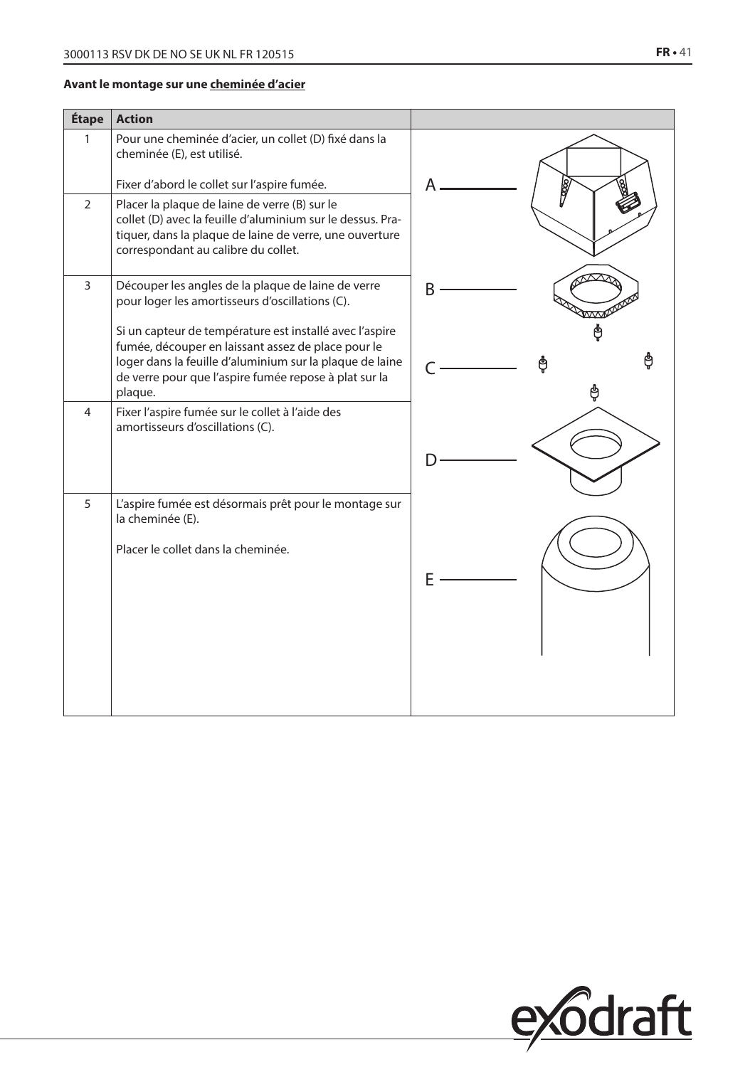#### **Avant le montage sur une cheminée d'acier**

| Étape          | <b>Action</b>                                                                                                                                                                                                 |        |
|----------------|---------------------------------------------------------------------------------------------------------------------------------------------------------------------------------------------------------------|--------|
| 1              | Pour une cheminée d'acier, un collet (D) fixé dans la<br>cheminée (E), est utilisé.<br>Fixer d'abord le collet sur l'aspire fumée.                                                                            | A      |
| $\overline{2}$ | Placer la plaque de laine de verre (B) sur le<br>collet (D) avec la feuille d'aluminium sur le dessus. Pra-<br>tiquer, dans la plaque de laine de verre, une ouverture<br>correspondant au calibre du collet. |        |
| 3              | Découper les angles de la plaque de laine de verre<br>pour loger les amortisseurs d'oscillations (C).<br>Si un capteur de température est installé avec l'aspire                                              | B      |
|                | fumée, découper en laissant assez de place pour le<br>loger dans la feuille d'aluminium sur la plaque de laine<br>de verre pour que l'aspire fumée repose à plat sur la<br>plaque.                            | ල<br>ტ |
| 4              | Fixer l'aspire fumée sur le collet à l'aide des<br>amortisseurs d'oscillations (C).                                                                                                                           |        |
| 5              | L'aspire fumée est désormais prêt pour le montage sur<br>la cheminée (E).                                                                                                                                     |        |
|                | Placer le collet dans la cheminée.                                                                                                                                                                            | E      |
|                |                                                                                                                                                                                                               |        |

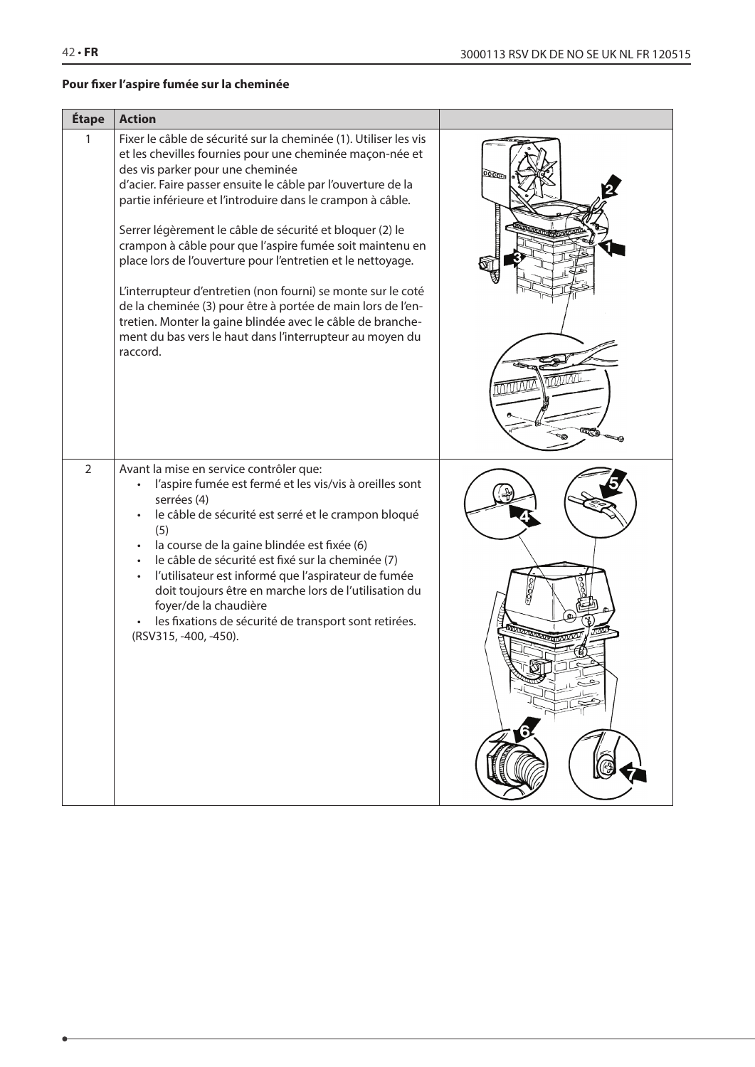#### Pour fixer l'aspire fumée sur la cheminée

| Étape          | <b>Action</b>                                                                                                                                                                                                                                                                                                                                                                                                                                                                                                                                                                                                                                                                                                                                              |                                               |
|----------------|------------------------------------------------------------------------------------------------------------------------------------------------------------------------------------------------------------------------------------------------------------------------------------------------------------------------------------------------------------------------------------------------------------------------------------------------------------------------------------------------------------------------------------------------------------------------------------------------------------------------------------------------------------------------------------------------------------------------------------------------------------|-----------------------------------------------|
| 1              | Fixer le câble de sécurité sur la cheminée (1). Utiliser les vis<br>et les chevilles fournies pour une cheminée maçon-née et<br>des vis parker pour une cheminée<br>d'acier. Faire passer ensuite le câble par l'ouverture de la<br>partie inférieure et l'introduire dans le crampon à câble.<br>Serrer légèrement le câble de sécurité et bloquer (2) le<br>crampon à câble pour que l'aspire fumée soit maintenu en<br>place lors de l'ouverture pour l'entretien et le nettoyage.<br>L'interrupteur d'entretien (non fourni) se monte sur le coté<br>de la cheminée (3) pour être à portée de main lors de l'en-<br>tretien. Monter la gaine blindée avec le câble de branche-<br>ment du bas vers le haut dans l'interrupteur au moyen du<br>raccord. | 0000<br><b>WWW</b><br>$\overline{\text{mmw}}$ |
| $\overline{2}$ | Avant la mise en service contrôler que:<br>l'aspire fumée est fermé et les vis/vis à oreilles sont<br>$\bullet$<br>serrées (4)<br>le câble de sécurité est serré et le crampon bloqué<br>$\bullet$<br>(5)<br>la course de la gaine blindée est fixée (6)<br>le câble de sécurité est fixé sur la cheminée (7)<br>l'utilisateur est informé que l'aspirateur de fumée<br>doit toujours être en marche lors de l'utilisation du<br>foyer/de la chaudière<br>les fixations de sécurité de transport sont retirées.<br>(RSV315, -400, -450).                                                                                                                                                                                                                   |                                               |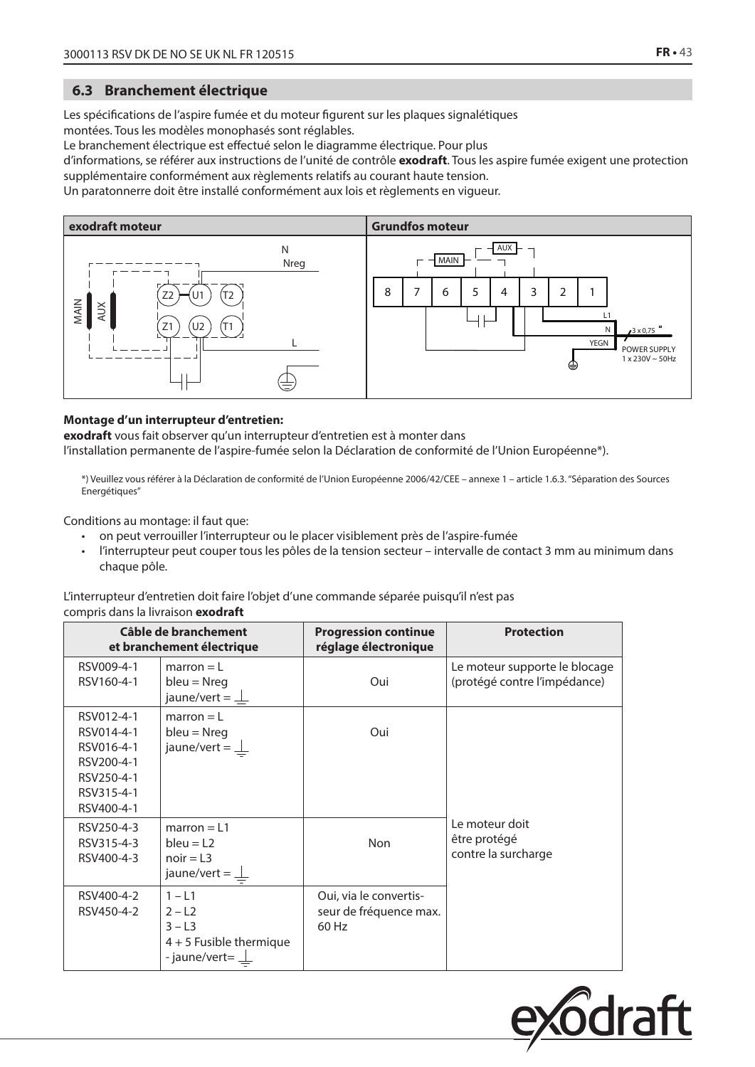Les spécifications de l'aspire fumée et du moteur figurent sur les plaques signalétiques

montées. Tous les modèles monophasés sont réglables.

Le branchement électrique est efectué selon le diagramme électrique. Pour plus

d'informations, se référer aux instructions de l'unité de contrôle **exodraft**. Tous les aspire fumée exigent une protection supplémentaire conformément aux règlements relatifs au courant haute tension.

Un paratonnerre doit être installé conformément aux lois et règlements en vigueur.



#### **Montage d'un interrupteur d'entretien:**

**exodraft** vous fait observer qu'un interrupteur d'entretien est à monter dans l'installation permanente de l'aspire-fumée selon la Déclaration de conformité de l'Union Européenne\*).

\*) Veuillez vous référer à la Déclaration de conformité de l'Union Européenne 2006/42/CEE – annexe 1 – article 1.6.3. "Séparation des Sources Energétiques"

Conditions au montage: il faut que:

- on peut verrouiller l'interrupteur ou le placer visiblement près de l'aspire-fumée
- l'interrupteur peut couper tous les pôles de la tension secteur intervalle de contact 3 mm au minimum dans chaque pôle.

L'interrupteur d'entretien doit faire l'objet d'une commande séparée puisqu'il n'est pas compris dans la livraison **exodraft**

|                                                                                                | Câble de branchement<br>et branchement électrique                                      | <b>Progression continue</b><br>réglage électronique       | <b>Protection</b>                                             |
|------------------------------------------------------------------------------------------------|----------------------------------------------------------------------------------------|-----------------------------------------------------------|---------------------------------------------------------------|
| RSV009-4-1<br>RSV160-4-1                                                                       | $marron = L$<br>$bleu = Nreg$<br>jaune/vert = $\perp$                                  | Oui                                                       | Le moteur supporte le blocage<br>(protégé contre l'impédance) |
| RSV012-4-1<br>RSV014-4-1<br>RSV016-4-1<br>RSV200-4-1<br>RSV250-4-1<br>RSV315-4-1<br>RSV400-4-1 | $marron = L$<br>$bleu = Nreg$<br>jaune/vert = $\perp$                                  | Oui                                                       |                                                               |
| RSV250-4-3<br>RSV315-4-3<br>RSV400-4-3                                                         | $marron = L1$<br>$bleu = L2$<br>$noir = L3$<br>jaune/vert = $\perp$                    | Non                                                       | Le moteur doit<br>être protégé<br>contre la surcharge         |
| RSV400-4-2<br>RSV450-4-2                                                                       | $1 - L1$<br>$2 - L2$<br>$3 - L3$<br>$4 + 5$ Fusible thermique<br>- jaune/vert= $\perp$ | Oui, via le convertis-<br>seur de fréquence max.<br>60 Hz |                                                               |

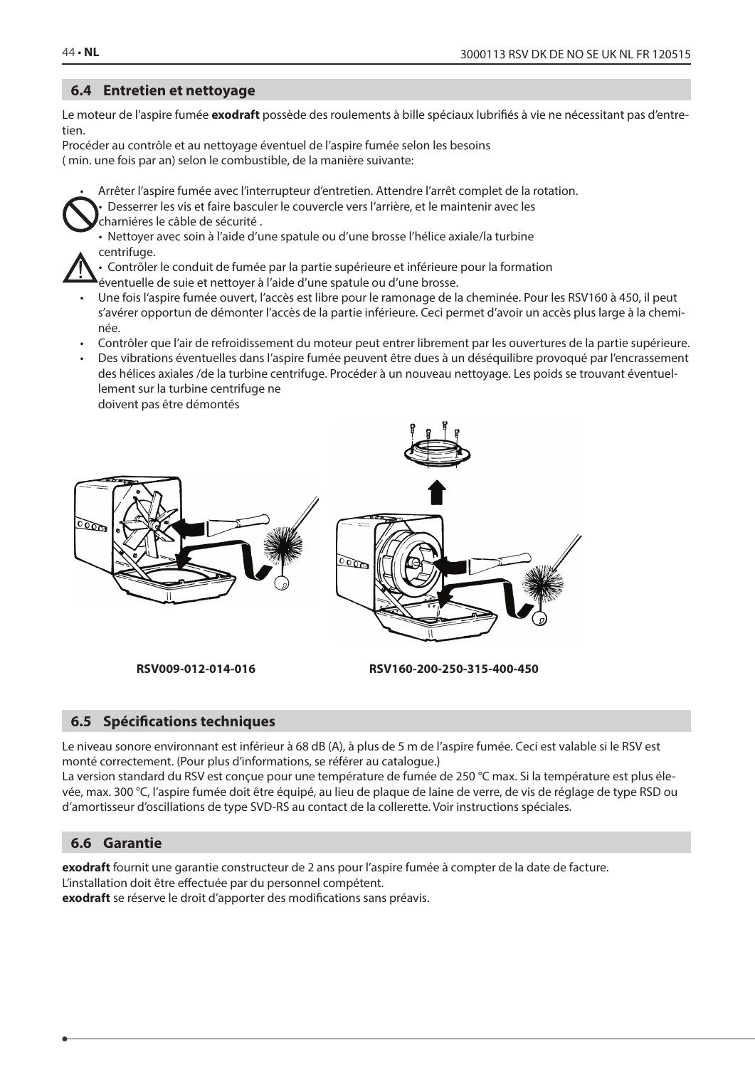#### **6.4 Entretien et nettoyage**

Le moteur de l'aspire fumée *exodraft* possède des roulements à bille spéciaux lubrifiés à vie ne nécessitant pas d'entretien.

Procéder au contrôle et au nettoyage éventuel de l'aspire fumée selon les besoins ( min. une fois par an) selon le combustible, de la manière suivante:





charniéres le câble de sécurité .





éventuelle de suie et nettoyer à l'aide d'une spatule ou d'une brosse.

- Une fois l'aspire fumée ouvert, l'accès est libre pour le ramonage de la cheminée. Pour les RSV160 à 450, il peut s'avérer opportun de démonter l'accès de la partie inférieure. Ceci permet d'avoir un accès plus large à la cheminée.
- Contrôler que l'air de refroidissement du moteur peut entrer librement par les ouvertures de la partie supérieure.
- Des vibrations éventuelles dans l'aspire fumée peuvent être dues à un déséquilibre provoqué par l'encrassement des hélices axiales /de la turbine centrifuge. Procéder à un nouveau nettoyage. Les poids se trouvant éventuellement sur la turbine centrifuge ne doivent pas être démontés





#### **6.5 Spéciications techniques**

Le niveau sonore environnant est inférieur à 68 dB (A), à plus de 5 m de l'aspire fumée. Ceci est valable si le RSV est monté correctement. (Pour plus d'informations, se référer au catalogue.)

La version standard du RSV est conçue pour une température de fumée de 250 °C max. Si la température est plus élevée, max. 300 °C, l'aspire fumée doit être équipé, au lieu de plaque de laine de verre, de vis de réglage de type RSD ou d'amortisseur d'oscillations de type SVD-RS au contact de la collerette. Voir instructions spéciales.

#### **6.6 Garantie**

**exodraft** fournit une garantie constructeur de 2 ans pour l'aspire fumée à compter de la date de facture. L'installation doit être effectuée par du personnel compétent. exodraft se réserve le droit d'apporter des modifications sans préavis.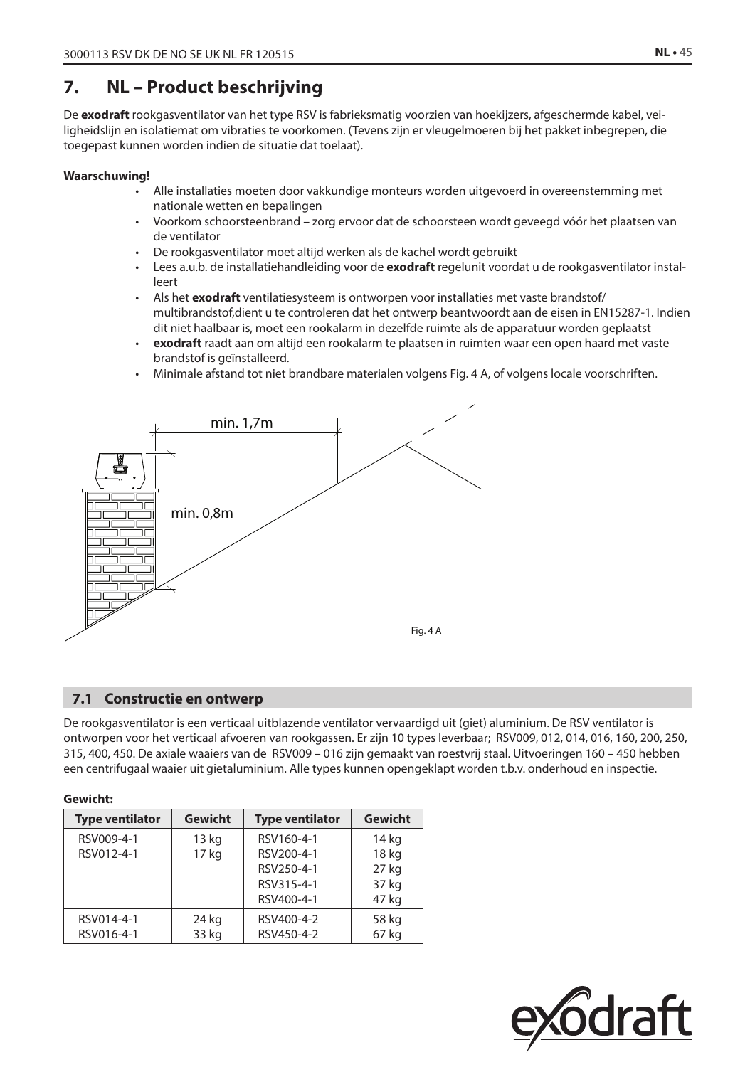# **7. NL – Product beschrijving**

De **exodraft** rookgasventilator van het type RSV is fabrieksmatig voorzien van hoekijzers, afgeschermde kabel, veiligheidslijn en isolatiemat om vibraties te voorkomen. (Tevens zijn er vleugelmoeren bij het pakket inbegrepen, die toegepast kunnen worden indien de situatie dat toelaat).

#### **Waarschuwing!**

- Alle installaties moeten door vakkundige monteurs worden uitgevoerd in overeenstemming met nationale wetten en bepalingen
- Voorkom schoorsteenbrand zorg ervoor dat de schoorsteen wordt geveegd vóór het plaatsen van de ventilator
- De rookgasventilator moet altijd werken als de kachel wordt gebruikt
- Lees a.u.b. de installatiehandleiding voor de **exodraft** regelunit voordat u de rookgasventilator installeert
- Als het **exodraft** ventilatiesysteem is ontworpen voor installaties met vaste brandstof/ multibrandstof,dient u te controleren dat het ontwerp beantwoordt aan de eisen in EN15287-1. Indien dit niet haalbaar is, moet een rookalarm in dezelfde ruimte als de apparatuur worden geplaatst
- **exodraft** raadt aan om altijd een rookalarm te plaatsen in ruimten waar een open haard met vaste brandstof is geïnstalleerd.
- Minimale afstand tot niet brandbare materialen volgens Fig. 4 A, of volgens locale voorschriften.



# **7.1 Constructie en ontwerp**

**Gewicht:**

De rookgasventilator is een verticaal uitblazende ventilator vervaardigd uit (giet) aluminium. De RSV ventilator is ontworpen voor het verticaal afvoeren van rookgassen. Er zijn 10 types leverbaar; RSV009, 012, 014, 016, 160, 200, 250, 315, 400, 450. De axiale waaiers van de RSV009 – 016 zijn gemaakt van roestvrij staal. Uitvoeringen 160 – 450 hebben een centrifugaal waaier uit gietaluminium. Alle types kunnen opengeklapt worden t.b.v. onderhoud en inspectie.

| <b>Type ventilator</b> | Gewicht | <b>Type ventilator</b> | <b>Gewicht</b> |
|------------------------|---------|------------------------|----------------|
| RSV009-4-1             | 13 kg   | RSV160-4-1             | 14 kg          |
| RSV012-4-1             | 17 kg   | RSV200-4-1             | 18 kg          |
|                        |         | RSV250-4-1             | 27 kg          |
|                        |         | RSV315-4-1             | 37 kg          |
|                        |         | RSV400-4-1             | 47 kg          |
| RSV014-4-1             | 24 kg   | RSV400-4-2             | 58 kg          |
| RSV016-4-1             | 33 kg   | RSV450-4-2             | 67 kg          |
|                        |         |                        |                |

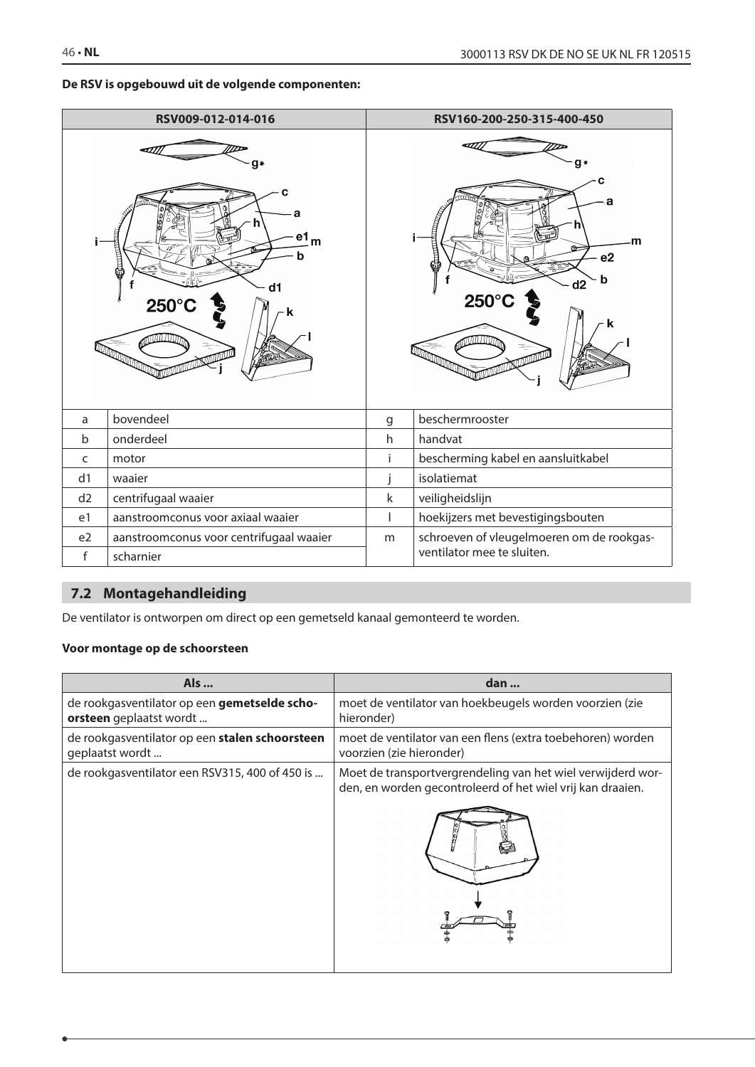#### **De RSV is opgebouwd uit de volgende componenten:**

| RSV009-012-014-016         |                                         | RSV160-200-250-315-400-450 |                                           |
|----------------------------|-----------------------------------------|----------------------------|-------------------------------------------|
| m<br>d1<br>$250^{\circ}$ C |                                         |                            | ٠m<br>e2<br>b<br>d2<br>$250^{\circ}$ C    |
| a                          | bovendeel                               | g                          | beschermrooster                           |
| $\mathsf b$                | onderdeel                               | h                          | handvat                                   |
| C                          | motor                                   | İ                          | bescherming kabel en aansluitkabel        |
| d1                         | waaier                                  |                            | isolatiemat                               |
| d2                         | centrifugaal waaier                     | k                          | veiligheidslijn                           |
| e1                         | aanstroomconus voor axiaal waaier       |                            | hoekijzers met bevestigingsbouten         |
| e2                         | aanstroomconus voor centrifugaal waaier | m                          | schroeven of vleugelmoeren om de rookgas- |
| f                          | scharnier                               |                            | ventilator mee te sluiten.                |

# **7.2 Montagehandleiding**

De ventilator is ontworpen om direct op een gemetseld kanaal gemonteerd te worden.

#### **Voor montage op de schoorsteen**

| $Also \dots$                                                            | dan                                                                                                                       |
|-------------------------------------------------------------------------|---------------------------------------------------------------------------------------------------------------------------|
| de rookgasventilator op een gemetselde scho-<br>orsteen geplaatst wordt | moet de ventilator van hoekbeugels worden voorzien (zie<br>hieronder)                                                     |
| de rookgasventilator op een stalen schoorsteen<br>geplaatst wordt       | moet de ventilator van een flens (extra toebehoren) worden<br>voorzien (zie hieronder)                                    |
| de rookgasventilator een RSV315, 400 of 450 is                          | Moet de transportvergrendeling van het wiel verwijderd wor-<br>den, en worden gecontroleerd of het wiel vrij kan draaien. |
|                                                                         |                                                                                                                           |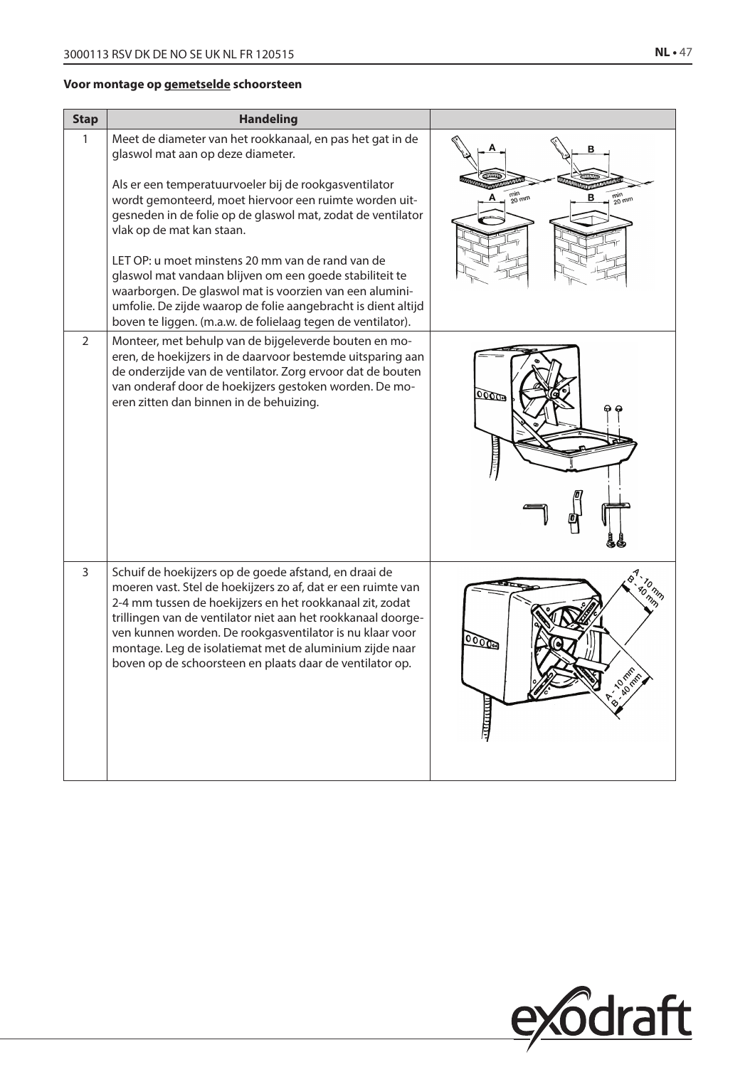#### **Voor montage op gemetselde schoorsteen**

| <b>Stap</b>    | <b>Handeling</b>                                                                                                                                                                                                                                                                                                                                                                                                                     |                                            |
|----------------|--------------------------------------------------------------------------------------------------------------------------------------------------------------------------------------------------------------------------------------------------------------------------------------------------------------------------------------------------------------------------------------------------------------------------------------|--------------------------------------------|
| 1              | Meet de diameter van het rookkanaal, en pas het gat in de<br>glaswol mat aan op deze diameter.                                                                                                                                                                                                                                                                                                                                       |                                            |
|                | Als er een temperatuurvoeler bij de rookgasventilator<br>wordt gemonteerd, moet hiervoor een ruimte worden uit-<br>gesneden in de folie op de glaswol mat, zodat de ventilator<br>vlak op de mat kan staan.                                                                                                                                                                                                                          | $\frac{min}{20}$ mm<br>$\frac{min}{20}$ mm |
|                | LET OP: u moet minstens 20 mm van de rand van de<br>glaswol mat vandaan blijven om een goede stabiliteit te<br>waarborgen. De glaswol mat is voorzien van een alumini-<br>umfolie. De zijde waarop de folie aangebracht is dient altijd<br>boven te liggen. (m.a.w. de folielaag tegen de ventilator).                                                                                                                               |                                            |
| 2              | Monteer, met behulp van de bijgeleverde bouten en mo-<br>eren, de hoekijzers in de daarvoor bestemde uitsparing aan<br>de onderzijde van de ventilator. Zorg ervoor dat de bouten<br>van onderaf door de hoekijzers gestoken worden. De mo-<br>eren zitten dan binnen in de behuizing.                                                                                                                                               | $\overline{\text{co}}$                     |
| $\overline{3}$ | Schuif de hoekijzers op de goede afstand, en draai de<br>moeren vast. Stel de hoekijzers zo af, dat er een ruimte van<br>2-4 mm tussen de hoekijzers en het rookkanaal zit, zodat<br>trillingen van de ventilator niet aan het rookkanaal doorge-<br>ven kunnen worden. De rookgasventilator is nu klaar voor<br>montage. Leg de isolatiemat met de aluminium zijde naar<br>boven op de schoorsteen en plaats daar de ventilator op. | 0000<br><b>10 mins</b>                     |



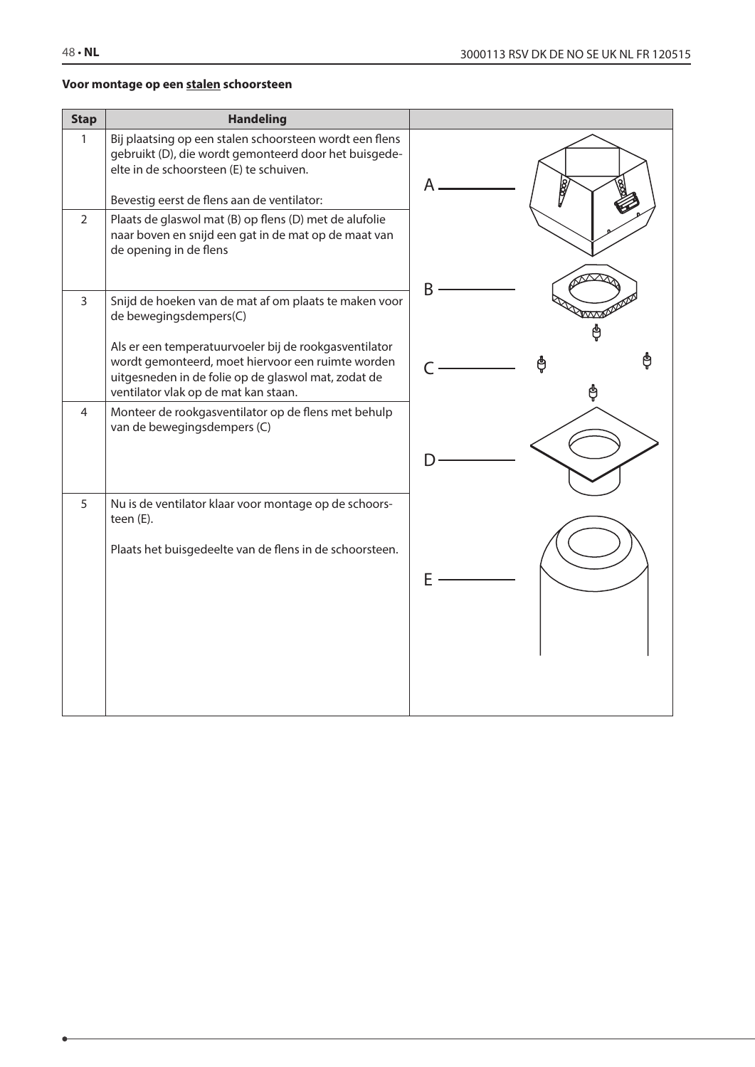# **Voor montage op een stalen schoorsteen**

| <b>Stap</b>    | <b>Handeling</b>                                                                                                                                                                                          |        |
|----------------|-----------------------------------------------------------------------------------------------------------------------------------------------------------------------------------------------------------|--------|
| 1              | Bij plaatsing op een stalen schoorsteen wordt een flens<br>gebruikt (D), die wordt gemonteerd door het buisgede-<br>elte in de schoorsteen (E) te schuiven.                                               |        |
|                | Bevestig eerst de flens aan de ventilator:                                                                                                                                                                |        |
| 2              | Plaats de glaswol mat (B) op flens (D) met de alufolie<br>naar boven en snijd een gat in de mat op de maat van<br>de opening in de flens                                                                  |        |
| $\overline{3}$ | Snijd de hoeken van de mat af om plaats te maken voor<br>de bewegingsdempers(C)                                                                                                                           | B<br>ტ |
|                | Als er een temperatuurvoeler bij de rookgasventilator<br>wordt gemonteerd, moet hiervoor een ruimte worden<br>uitgesneden in de folie op de glaswol mat, zodat de<br>ventilator vlak op de mat kan staan. |        |
| 4              | Monteer de rookgasventilator op de flens met behulp<br>van de bewegingsdempers (C)                                                                                                                        |        |
|                |                                                                                                                                                                                                           |        |
| 5              | Nu is de ventilator klaar voor montage op de schoors-<br>teen (E).                                                                                                                                        |        |
|                | Plaats het buisgedeelte van de flens in de schoorsteen.                                                                                                                                                   |        |
|                |                                                                                                                                                                                                           |        |
|                |                                                                                                                                                                                                           |        |
|                |                                                                                                                                                                                                           |        |
|                |                                                                                                                                                                                                           |        |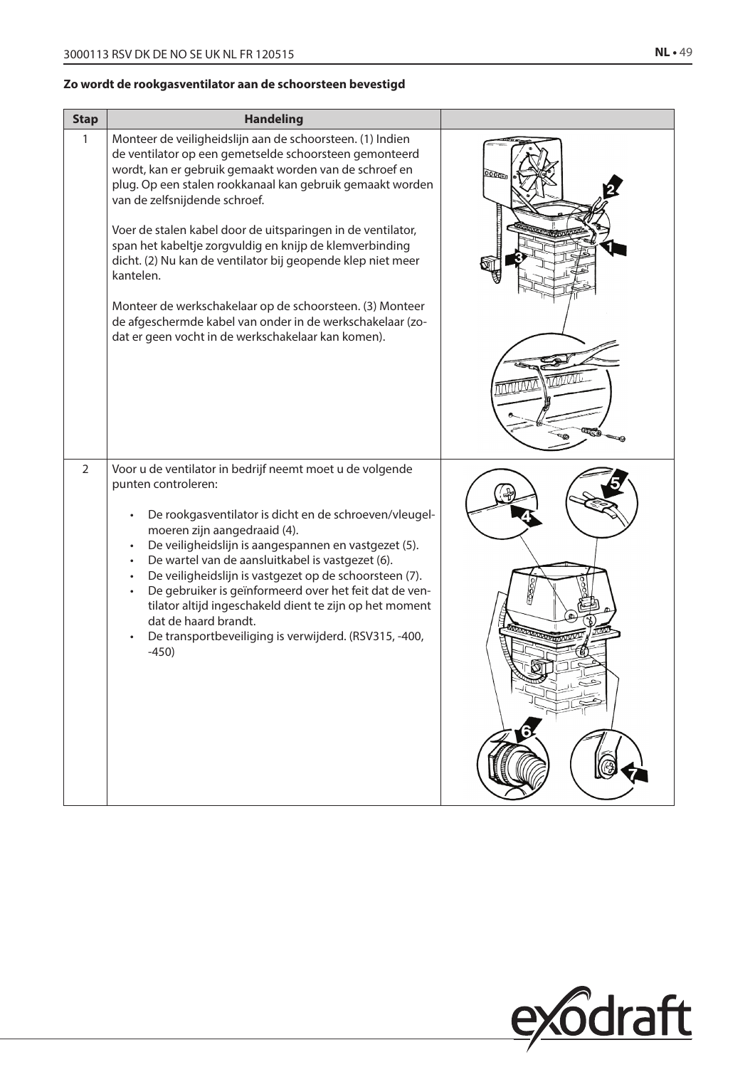#### **Zo wordt de rookgasventilator aan de schoorsteen bevestigd**

| <b>Stap</b> | <b>Handeling</b>                                                                                                                                                                                                                                                                                                                                                                                                                                                                                                                                                                                                                                                 |                                 |
|-------------|------------------------------------------------------------------------------------------------------------------------------------------------------------------------------------------------------------------------------------------------------------------------------------------------------------------------------------------------------------------------------------------------------------------------------------------------------------------------------------------------------------------------------------------------------------------------------------------------------------------------------------------------------------------|---------------------------------|
| 1           | Monteer de veiligheidslijn aan de schoorsteen. (1) Indien<br>de ventilator op een gemetselde schoorsteen gemonteerd<br>wordt, kan er gebruik gemaakt worden van de schroef en<br>plug. Op een stalen rookkanaal kan gebruik gemaakt worden<br>van de zelfsnijdende schroef.<br>Voer de stalen kabel door de uitsparingen in de ventilator,<br>span het kabeltje zorgvuldig en knijp de klemverbinding<br>dicht. (2) Nu kan de ventilator bij geopende klep niet meer<br>kantelen.<br>Monteer de werkschakelaar op de schoorsteen. (3) Monteer<br>de afgeschermde kabel van onder in de werkschakelaar (zo-<br>dat er geen vocht in de werkschakelaar kan komen). | $\frac{1}{10000}$<br>mmmi<br>mm |
| 2           | Voor u de ventilator in bedrijf neemt moet u de volgende<br>punten controleren:<br>De rookgasventilator is dicht en de schroeven/vleugel-<br>$\bullet$<br>moeren zijn aangedraaid (4).<br>De veiligheidslijn is aangespannen en vastgezet (5).<br>De wartel van de aansluitkabel is vastgezet (6).<br>De veiligheidslijn is vastgezet op de schoorsteen (7).<br>$\bullet$<br>De gebruiker is geïnformeerd over het feit dat de ven-<br>$\bullet$<br>tilator altijd ingeschakeld dient te zijn op het moment<br>dat de haard brandt.<br>De transportbeveiliging is verwijderd. (RSV315, -400,<br>$-450)$                                                          | O                               |

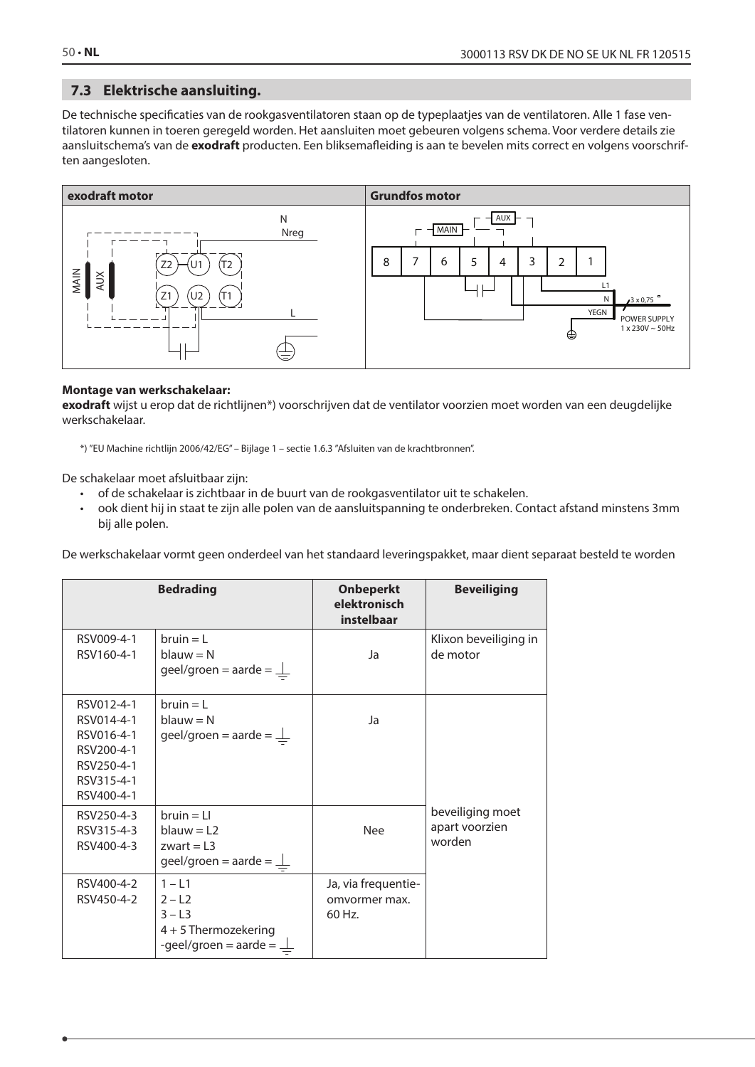# **7.3 Elektrische aansluiting.**

De technische specificaties van de rookgasventilatoren staan op de typeplaatjes van de ventilatoren. Alle 1 fase ventilatoren kunnen in toeren geregeld worden. Het aansluiten moet gebeuren volgens schema. Voor verdere details zie aansluitschema's van de **exodraft** producten. Een bliksemaleiding is aan te bevelen mits correct en volgens voorschriften aangesloten.



#### **Montage van werkschakelaar:**

**exodraft** wijst u erop dat de richtlijnen\*) voorschrijven dat de ventilator voorzien moet worden van een deugdelijke werkschakelaar.

\*) "EU Machine richtlijn 2006/42/EG" – Bijlage 1 – sectie 1.6.3 "Afsluiten van de krachtbronnen".

De schakelaar moet afsluitbaar zijn:

- of de schakelaar is zichtbaar in de buurt van de rookgasventilator uit te schakelen.
- ook dient hij in staat te zijn alle polen van de aansluitspanning te onderbreken. Contact afstand minstens 3mm bij alle polen.

De werkschakelaar vormt geen onderdeel van het standaard leveringspakket, maar dient separaat besteld te worden

|                                                                                                | <b>Bedrading</b>                                                                            | <b>Onbeperkt</b><br>elektronisch<br>instelbaar | <b>Beveiliging</b>                           |
|------------------------------------------------------------------------------------------------|---------------------------------------------------------------------------------------------|------------------------------------------------|----------------------------------------------|
| RSV009-4-1<br>RSV160-4-1                                                                       | $bruin = L$<br>$blauw = N$<br>geel/groen = aarde = $\perp$                                  | Ja                                             | Klixon beveiliging in<br>de motor            |
| RSV012-4-1<br>RSV014-4-1<br>RSV016-4-1<br>RSV200-4-1<br>RSV250-4-1<br>RSV315-4-1<br>RSV400-4-1 | $bruin = L$<br>$blauw = N$<br>geel/groen = aarde = $\perp$                                  | Ja                                             |                                              |
| RSV250-4-3<br>RSV315-4-3<br>RSV400-4-3                                                         | $bruin = LI$<br>blauw $= 12$<br>$zwart = L3$<br>geel/groen = aarde = $\perp$                | <b>Nee</b>                                     | beveiliging moet<br>apart voorzien<br>worden |
| RSV400-4-2<br>RSV450-4-2                                                                       | $1 - 11$<br>$2 - L2$<br>$3 - L3$<br>$4 + 5$ Thermozekering<br>-geel/groen = aarde = $\perp$ | Ja, via frequentie-<br>omvormer max.<br>60 Hz. |                                              |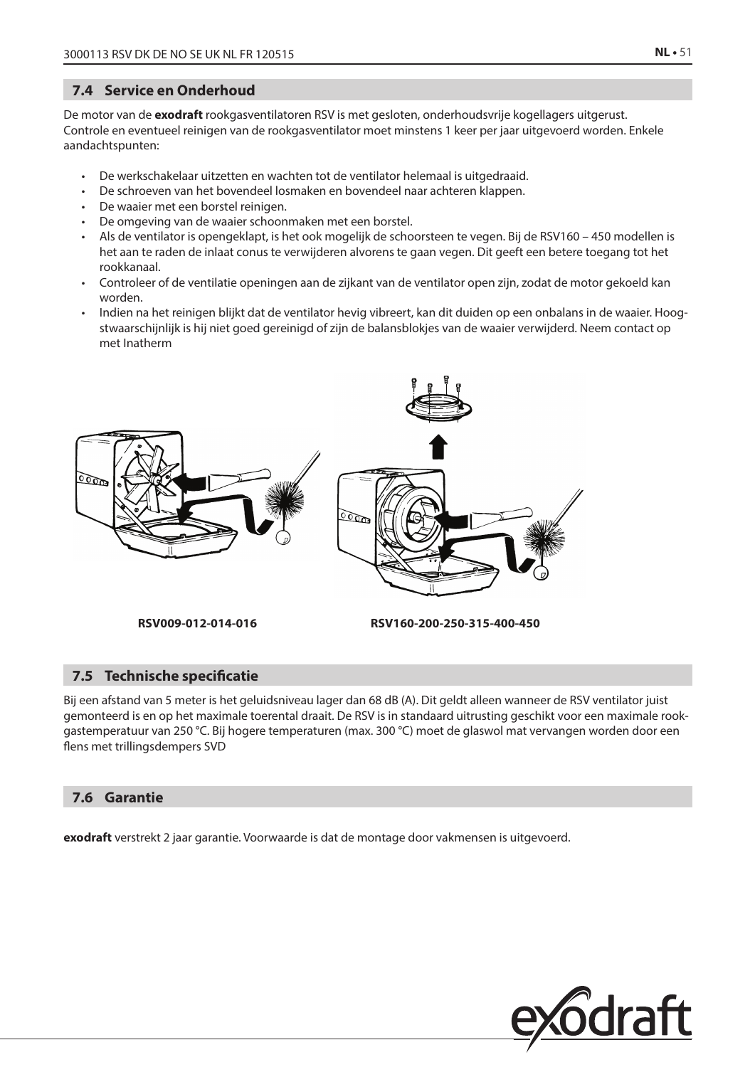## **7.4 Service en Onderhoud**

De motor van de **exodraft** rookgasventilatoren RSV is met gesloten, onderhoudsvrije kogellagers uitgerust. Controle en eventueel reinigen van de rookgasventilator moet minstens 1 keer per jaar uitgevoerd worden. Enkele aandachtspunten:

- De werkschakelaar uitzetten en wachten tot de ventilator helemaal is uitgedraaid.
- De schroeven van het bovendeel losmaken en bovendeel naar achteren klappen.
- De waaier met een borstel reinigen.
- De omgeving van de waaier schoonmaken met een borstel.
- Als de ventilator is opengeklapt, is het ook mogelijk de schoorsteen te vegen. Bij de RSV160 450 modellen is het aan te raden de inlaat conus te verwijderen alvorens te gaan vegen. Dit geeft een betere toegang tot het rookkanaal.
- Controleer of de ventilatie openingen aan de zijkant van de ventilator open zijn, zodat de motor gekoeld kan worden.
- Indien na het reinigen blijkt dat de ventilator hevig vibreert, kan dit duiden op een onbalans in de waaier. Hoogstwaarschijnlijk is hij niet goed gereinigd of zijn de balansblokjes van de waaier verwijderd. Neem contact op met Inatherm



#### **7.5 Technische specificatie**

Bij een afstand van 5 meter is het geluidsniveau lager dan 68 dB (A). Dit geldt alleen wanneer de RSV ventilator juist gemonteerd is en op het maximale toerental draait. De RSV is in standaard uitrusting geschikt voor een maximale rookgastemperatuur van 250 °C. Bij hogere temperaturen (max. 300 °C) moet de glaswol mat vervangen worden door een lens met trillingsdempers SVD

#### **7.6 Garantie**

**exodraft** verstrekt 2 jaar garantie. Voorwaarde is dat de montage door vakmensen is uitgevoerd.

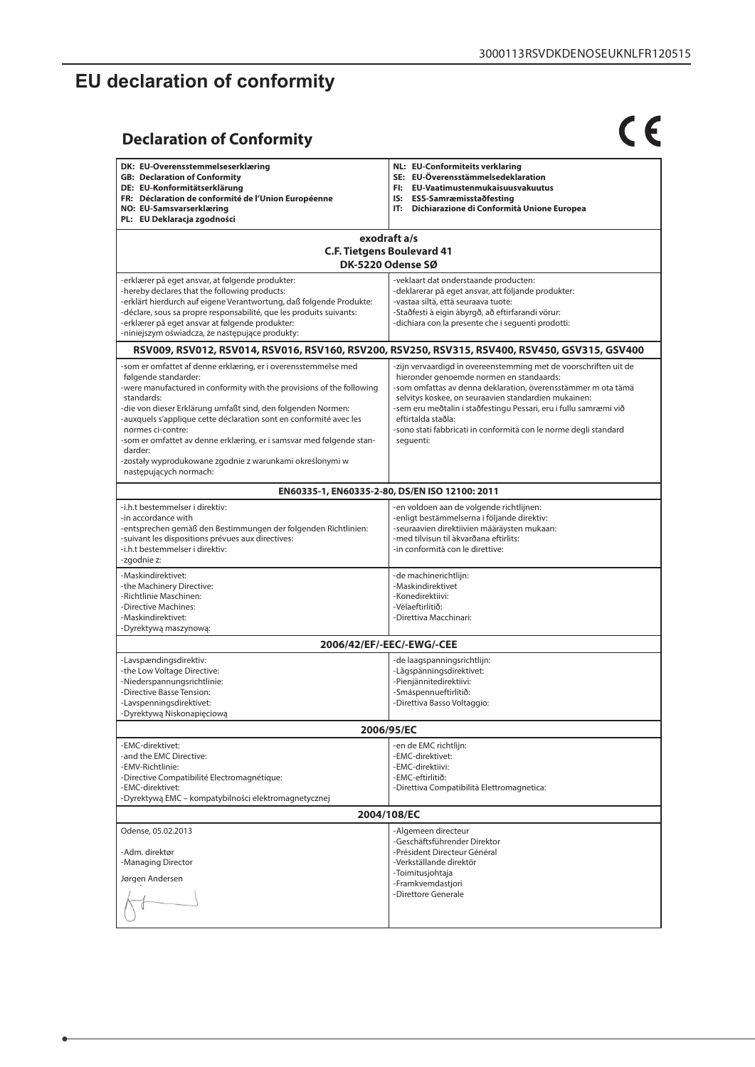# **EU declaration of conformity**

# **Declaration of Conformity**

# $C<sub>6</sub>$

| DK: EU-Overensstemmelseserklæring<br><b>GB: Declaration of Conformity</b><br>DE: EU-Konformitätserklärung<br>FR: Déclaration de conformité de l'Union Européenne<br>NO: EU-Samsvarserklæring<br>PL: EU Deklaracja zgodności                                                                                                                                                                                                                                                                                    | NL: EU-Conformiteits verklaring<br>SE: EU-Överensstämmelsedeklaration<br>FI: EU-Vaatimustenmukaisuusvakuutus<br>IS: ESS-Samræmisstaðfesting<br>IT: Dichiarazione di Conformità Unione Europea                                                                                                                                                                                                                     |  |  |  |
|----------------------------------------------------------------------------------------------------------------------------------------------------------------------------------------------------------------------------------------------------------------------------------------------------------------------------------------------------------------------------------------------------------------------------------------------------------------------------------------------------------------|-------------------------------------------------------------------------------------------------------------------------------------------------------------------------------------------------------------------------------------------------------------------------------------------------------------------------------------------------------------------------------------------------------------------|--|--|--|
| exodraft a/s                                                                                                                                                                                                                                                                                                                                                                                                                                                                                                   |                                                                                                                                                                                                                                                                                                                                                                                                                   |  |  |  |
| <b>C.F. Tietgens Boulevard 41</b>                                                                                                                                                                                                                                                                                                                                                                                                                                                                              |                                                                                                                                                                                                                                                                                                                                                                                                                   |  |  |  |
|                                                                                                                                                                                                                                                                                                                                                                                                                                                                                                                | DK-5220 Odense SØ                                                                                                                                                                                                                                                                                                                                                                                                 |  |  |  |
| -erklærer på eget ansvar, at følgende produkter:<br>-hereby declares that the following products:<br>erklärt hierdurch auf eigene Verantwortung, daß folgende Produkte:<br>-déclare, sous sa propre responsabilité, que les produits suivants:<br>erklærer på eget ansvar at følgende produkter:<br>-niniejszym oświadcza, że następujące produkty:                                                                                                                                                            | -veklaart dat onderstaande producten:<br>-deklarerar på eget ansvar, att följande produkter:<br>-vastaa siltä, että seuraava tuote:<br>-Staðfesti à eigin àbyrgð, að eftirfarandi vörur:<br>-dichiara con la presente che i seguenti prodotti:                                                                                                                                                                    |  |  |  |
|                                                                                                                                                                                                                                                                                                                                                                                                                                                                                                                | RSV009, RSV012, RSV014, RSV016, RSV160, RSV200, RSV250, RSV315, RSV400, RSV450, GSV315, GSV400                                                                                                                                                                                                                                                                                                                    |  |  |  |
| -som er omfattet af denne erklæring, er i overensstemmelse med<br>følgende standarder:<br>-were manufactured in conformity with the provisions of the following<br>standards:<br>die von dieser Erklärung umfaßt sind, den folgenden Normen:<br>auxquels s'applique cette déclaration sont en conformité avec les<br>normes ci-contre:<br>-som er omfattet av denne erklæring, er i samsvar med følgende stan-<br>darder:<br>zostały wyprodukowane zgodnie z warunkami określonymi w<br>następujących normach: | -zijn vervaardigd in overeenstemming met de voorschriften uit de<br>hieronder genoemde normen en standaards:<br>-som omfattas av denna deklaration, överensstämmer m ota tämä<br>selvitys koskee, on seuraavien standardien mukainen:<br>-sem eru meðtalin i staðfestingu Pessari, eru i fullu samræmi við<br>eftirtalda staðla:<br>-sono stati fabbricati in conformità con le norme degli standard<br>seguenti: |  |  |  |
| EN60335-1, EN60335-2-80, DS/EN ISO 12100: 2011                                                                                                                                                                                                                                                                                                                                                                                                                                                                 |                                                                                                                                                                                                                                                                                                                                                                                                                   |  |  |  |
| -i.h.t bestemmelser i direktiv:<br>-in accordance with<br>-entsprechen gemäß den Bestimmungen der folgenden Richtlinien:<br>-suivant les dispositions prévues aux directives:<br>-i.h.t bestemmelser i direktiv:<br>-zgodnie z:                                                                                                                                                                                                                                                                                | -en voldoen aan de volgende richtlijnen:<br>-enligt bestämmelserna i följande direktiv:<br>-seuraavien direktiivien määräysten mukaan:<br>-med tilvisun til àkvarðana eftirlits:<br>-in conformità con le direttive:                                                                                                                                                                                              |  |  |  |
| -Maskindirektivet:<br>-the Machinery Directive:<br>-Richtlinie Maschinen:<br>-Directive Machines:<br>-Maskindirektivet:<br>-Dyrektywą maszynową:                                                                                                                                                                                                                                                                                                                                                               | -de machinerichtlijn:<br>-Maskindirektivet<br>-Konedirektiivi:<br>-Vèlaeftirlitið:<br>-Direttiva Macchinari:                                                                                                                                                                                                                                                                                                      |  |  |  |
|                                                                                                                                                                                                                                                                                                                                                                                                                                                                                                                | 2006/42/EF/-EEC/-EWG/-CEE                                                                                                                                                                                                                                                                                                                                                                                         |  |  |  |
| -Lavspændingsdirektiv:<br>-the Low Voltage Directive:<br>-Niederspannungsrichtlinie:<br>-Directive Basse Tension:<br>-Lavspenningsdirektivet:<br>-Dyrektywą Niskonapięciową                                                                                                                                                                                                                                                                                                                                    | -de laagspanningsrichtlijn:<br>-Lågspänningsdirektivet:<br>-Pienjännitedirektiivi:<br>-Smáspennueftirlitið:<br>-Direttiva Basso Voltaggio:                                                                                                                                                                                                                                                                        |  |  |  |
| 2006/95/EC                                                                                                                                                                                                                                                                                                                                                                                                                                                                                                     |                                                                                                                                                                                                                                                                                                                                                                                                                   |  |  |  |
| -EMC-direktivet:<br>-and the EMC Directive:<br>-EMV-Richtlinie:<br>-Directive Compatibilité Electromagnétique:<br>-EMC-direktivet:<br>-Dyrektywą EMC – kompatybilności elektromagnetycznej                                                                                                                                                                                                                                                                                                                     | -en de EMC richtlijn:<br>-EMC-direktivet:<br>-EMC-direktiivi:<br>-EMC-eftirlitið:<br>-Direttiva Compatibilità Elettromagnetica:                                                                                                                                                                                                                                                                                   |  |  |  |
|                                                                                                                                                                                                                                                                                                                                                                                                                                                                                                                | 2004/108/EC                                                                                                                                                                                                                                                                                                                                                                                                       |  |  |  |
| Odense, 05.02.2013<br>-Adm. direktør<br>-Managing Director<br>Jørgen Andersen                                                                                                                                                                                                                                                                                                                                                                                                                                  | -Algemeen directeur<br>-Geschäftsführender Direktor<br>-Président Directeur Général<br>-Verkställande direktör<br>-Toimitusjohtaja<br>-Framkvemdastjori<br>-Direttore Generale                                                                                                                                                                                                                                    |  |  |  |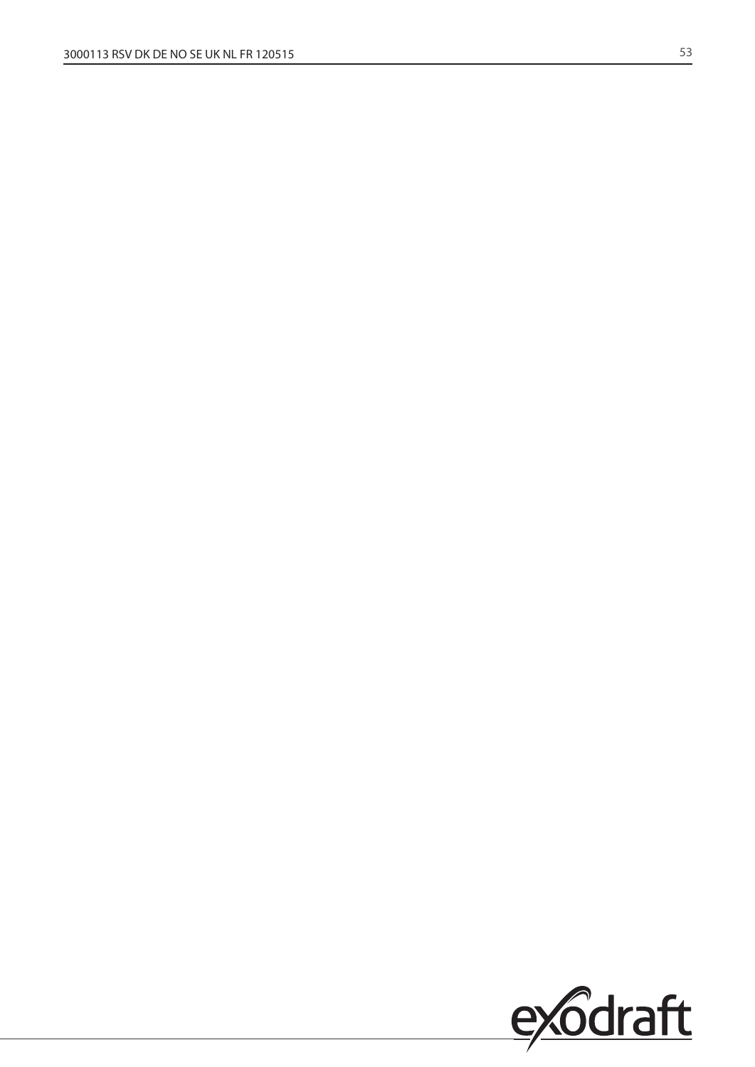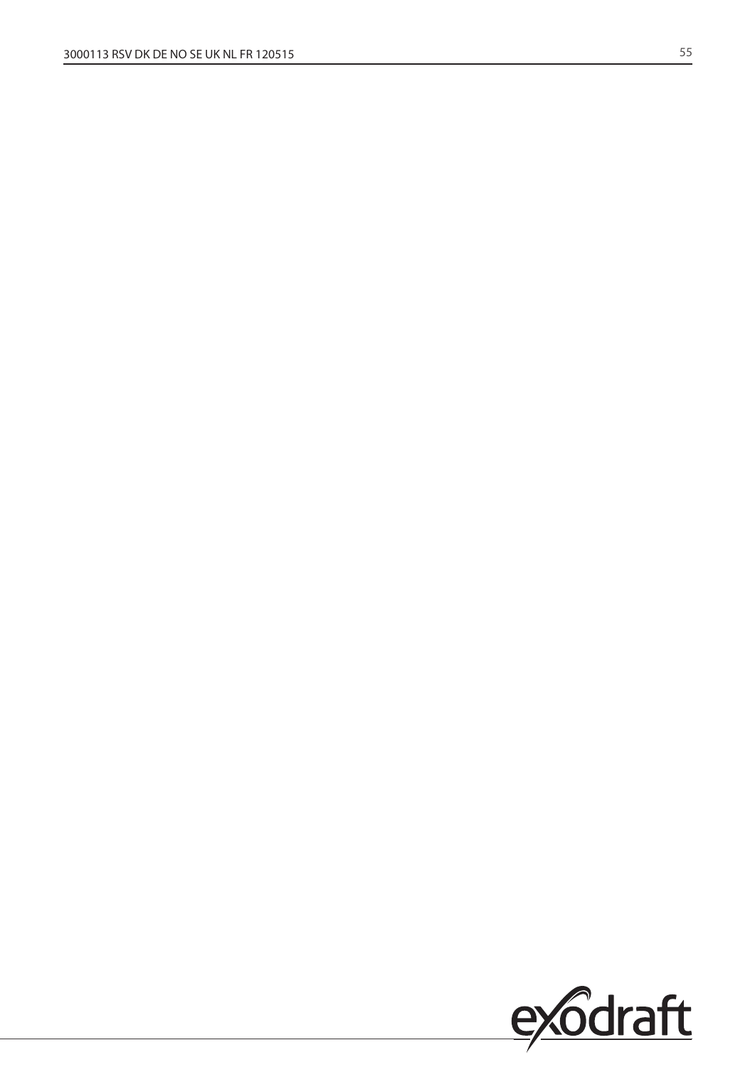